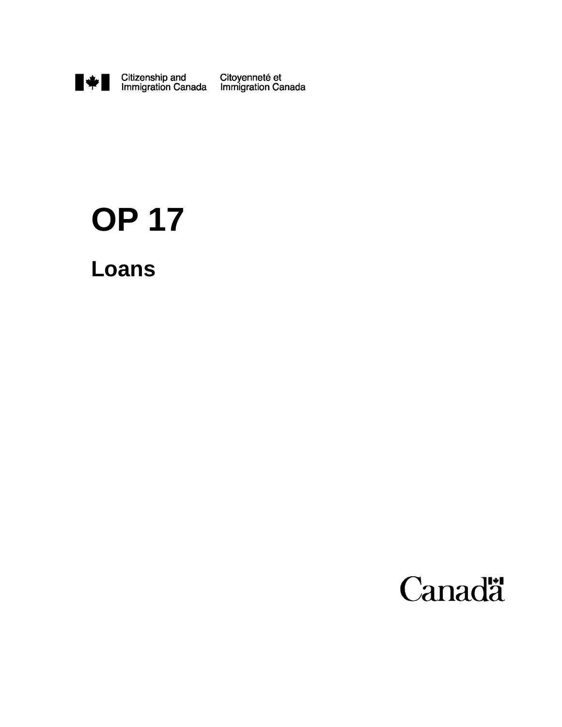

# **OP 17**

**Loans**

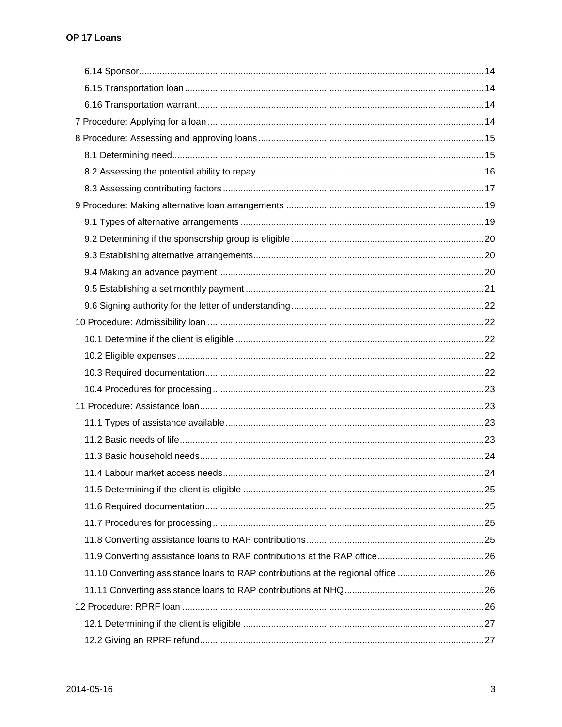|                                                                                  | .24 |
|----------------------------------------------------------------------------------|-----|
|                                                                                  |     |
|                                                                                  |     |
|                                                                                  |     |
|                                                                                  |     |
|                                                                                  |     |
| 11.10 Converting assistance loans to RAP contributions at the regional office 26 |     |
|                                                                                  |     |
|                                                                                  |     |
|                                                                                  |     |
|                                                                                  |     |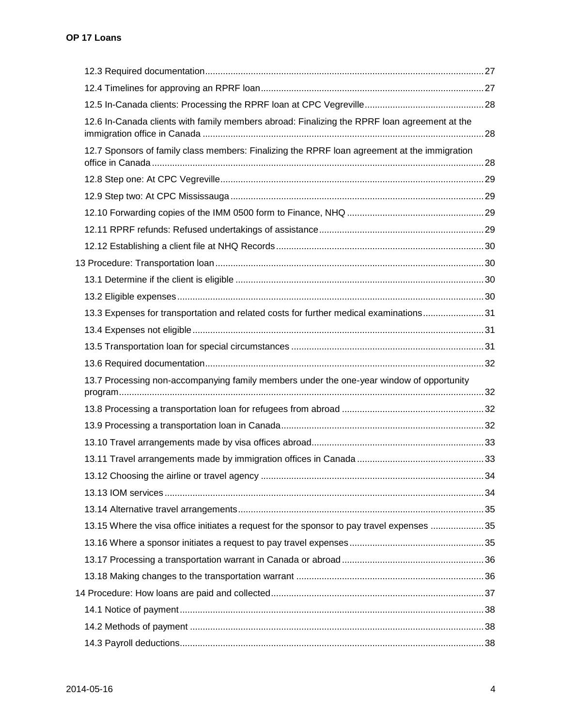| 12.6 In-Canada clients with family members abroad: Finalizing the RPRF loan agreement at the |  |
|----------------------------------------------------------------------------------------------|--|
| 12.7 Sponsors of family class members: Finalizing the RPRF loan agreement at the immigration |  |
|                                                                                              |  |
|                                                                                              |  |
|                                                                                              |  |
|                                                                                              |  |
|                                                                                              |  |
|                                                                                              |  |
|                                                                                              |  |
|                                                                                              |  |
| 13.3 Expenses for transportation and related costs for further medical examinations31        |  |
|                                                                                              |  |
|                                                                                              |  |
|                                                                                              |  |
| 13.7 Processing non-accompanying family members under the one-year window of opportunity     |  |
|                                                                                              |  |
|                                                                                              |  |
|                                                                                              |  |
|                                                                                              |  |
|                                                                                              |  |
|                                                                                              |  |
|                                                                                              |  |
|                                                                                              |  |
| 13.15 Where the visa office initiates a request for the sponsor to pay travel expenses 35    |  |
|                                                                                              |  |
|                                                                                              |  |
|                                                                                              |  |
|                                                                                              |  |
|                                                                                              |  |
|                                                                                              |  |
|                                                                                              |  |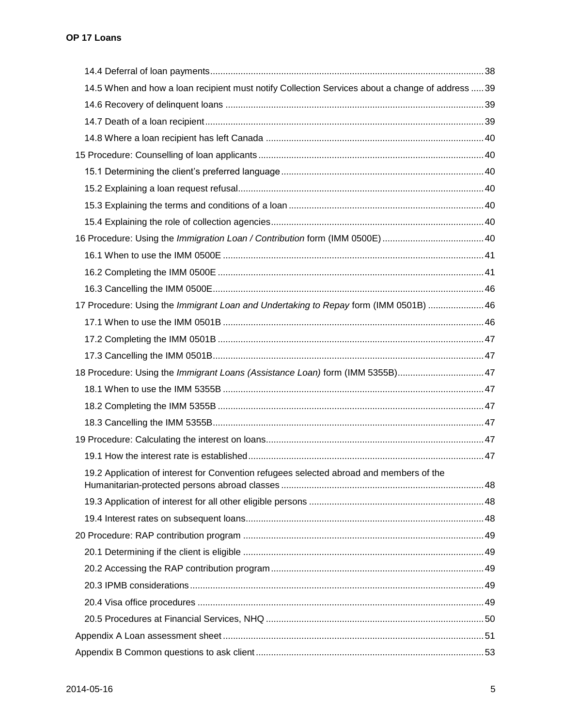| 14.5 When and how a loan recipient must notify Collection Services about a change of address  39 |  |
|--------------------------------------------------------------------------------------------------|--|
|                                                                                                  |  |
|                                                                                                  |  |
|                                                                                                  |  |
|                                                                                                  |  |
|                                                                                                  |  |
|                                                                                                  |  |
|                                                                                                  |  |
|                                                                                                  |  |
|                                                                                                  |  |
|                                                                                                  |  |
|                                                                                                  |  |
|                                                                                                  |  |
| 17 Procedure: Using the Immigrant Loan and Undertaking to Repay form (IMM 0501B)  46             |  |
|                                                                                                  |  |
|                                                                                                  |  |
|                                                                                                  |  |
| 18 Procedure: Using the Immigrant Loans (Assistance Loan) form (IMM 5355B) 47                    |  |
|                                                                                                  |  |
|                                                                                                  |  |
|                                                                                                  |  |
|                                                                                                  |  |
|                                                                                                  |  |
| 19.2 Application of interest for Convention refugees selected abroad and members of the          |  |
|                                                                                                  |  |
|                                                                                                  |  |
|                                                                                                  |  |
|                                                                                                  |  |
|                                                                                                  |  |
|                                                                                                  |  |
|                                                                                                  |  |
|                                                                                                  |  |
|                                                                                                  |  |
|                                                                                                  |  |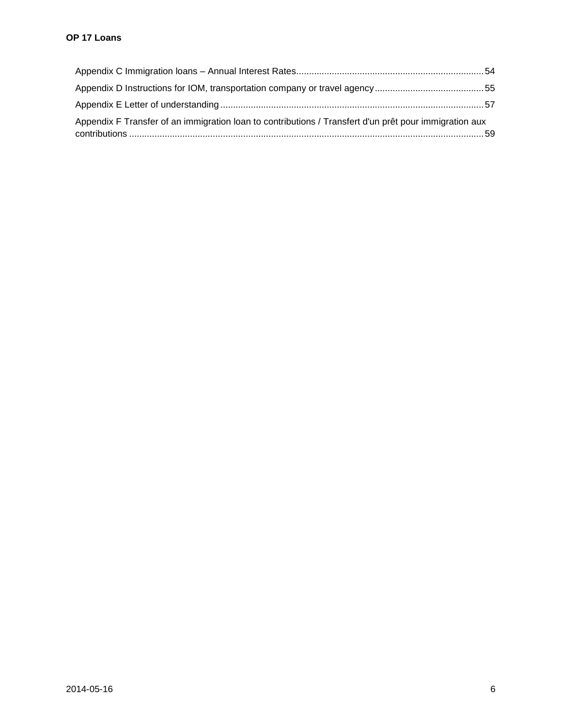| Appendix F Transfer of an immigration loan to contributions / Transfert d'un prêt pour immigration aux |  |
|--------------------------------------------------------------------------------------------------------|--|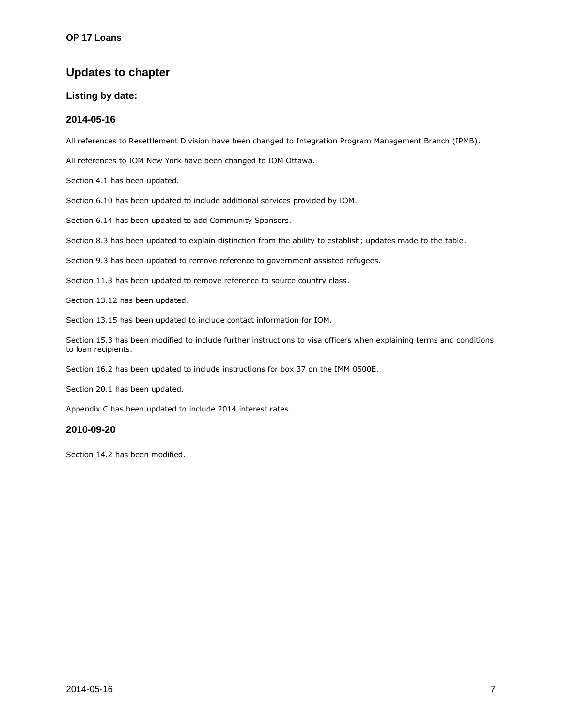# <span id="page-6-0"></span>**Updates to chapter**

#### **Listing by date:**

#### **2014-05-16**

All references to Resettlement Division have been changed to Integration Program Management Branch (IPMB).

All references to IOM New York have been changed to IOM Ottawa.

Section 4.1 has been updated.

Section 6.10 has been updated to include additional services provided by IOM.

Section 6.14 has been updated to add Community Sponsors.

Section 8.3 has been updated to explain distinction from the ability to establish; updates made to the table.

Section 9.3 has been updated to remove reference to government assisted refugees.

Section 11.3 has been updated to remove reference to source country class.

Section 13.12 has been updated.

Section 13.15 has been updated to include contact information for IOM.

Section 15.3 has been modified to include further instructions to visa officers when explaining terms and conditions to loan recipients.

Section 16.2 has been updated to include instructions for box 37 on the IMM 0500E.

Section 20.1 has been updated.

Appendix C has been updated to include 2014 interest rates.

#### **2010-09-20**

Section 14.2 has been modified.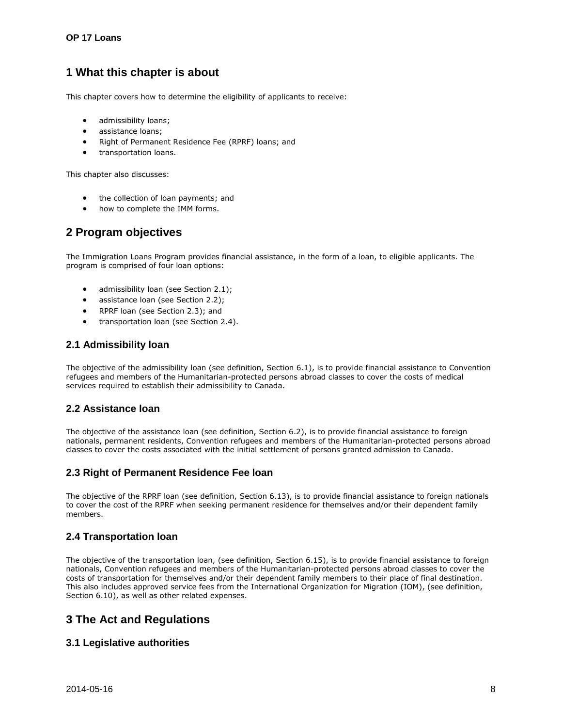# <span id="page-7-0"></span>**1 What this chapter is about**

This chapter covers how to determine the eligibility of applicants to receive:

- admissibility loans;
- assistance loans;
- Right of Permanent Residence Fee (RPRF) loans; and
- transportation loans.

This chapter also discusses:

- the collection of loan payments; and
- how to complete the IMM forms.

# <span id="page-7-1"></span>**2 Program objectives**

The Immigration Loans Program provides financial assistance, in the form of a loan, to eligible applicants. The program is comprised of four loan options:

- admissibility loan (see Section 2.1);
- assistance loan (see Section 2.2);
- RPRF loan (see Section 2.3); and
- **•** transportation loan (see Section 2.4).

# <span id="page-7-2"></span>**2.1 Admissibility loan**

The objective of the admissibility loan (see definition, Section 6.1), is to provide financial assistance to Convention refugees and members of the Humanitarian-protected persons abroad classes to cover the costs of medical services required to establish their admissibility to Canada.

# <span id="page-7-3"></span>**2.2 Assistance loan**

The objective of the assistance loan (see definition, Section 6.2), is to provide financial assistance to foreign nationals, permanent residents, Convention refugees and members of the Humanitarian-protected persons abroad classes to cover the costs associated with the initial settlement of persons granted admission to Canada.

# <span id="page-7-4"></span>**2.3 Right of Permanent Residence Fee loan**

The objective of the RPRF loan (see definition, Section 6.13), is to provide financial assistance to foreign nationals to cover the cost of the RPRF when seeking permanent residence for themselves and/or their dependent family members.

# <span id="page-7-5"></span>**2.4 Transportation loan**

The objective of the transportation loan, (see definition, Section 6.15), is to provide financial assistance to foreign nationals, Convention refugees and members of the Humanitarian-protected persons abroad classes to cover the costs of transportation for themselves and/or their dependent family members to their place of final destination. This also includes approved service fees from the International Organization for Migration (IOM), (see definition, Section 6.10), as well as other related expenses.

# <span id="page-7-6"></span>**3 The Act and Regulations**

# <span id="page-7-7"></span>**3.1 Legislative authorities**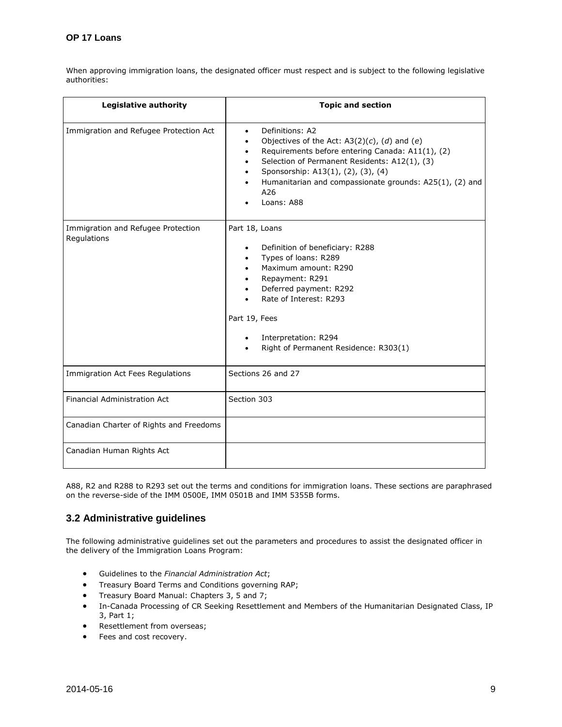When approving immigration loans, the designated officer must respect and is subject to the following legislative authorities:

| <b>Legislative authority</b>                      | <b>Topic and section</b>                                                                                                                                                                                                                                                                                   |
|---------------------------------------------------|------------------------------------------------------------------------------------------------------------------------------------------------------------------------------------------------------------------------------------------------------------------------------------------------------------|
| Immigration and Refugee Protection Act            | Definitions: A2<br>$\bullet$<br>Objectives of the Act: $A3(2)(c)$ , (d) and (e)<br>Requirements before entering Canada: A11(1), (2)<br>Selection of Permanent Residents: A12(1), (3)<br>Sponsorship: A13(1), (2), (3), (4)<br>Humanitarian and compassionate grounds: A25(1), (2) and<br>A26<br>Loans: A88 |
| Immigration and Refugee Protection<br>Regulations | Part 18, Loans<br>Definition of beneficiary: R288<br>$\bullet$<br>Types of loans: R289<br>Maximum amount: R290<br>Repayment: R291<br>Deferred payment: R292<br>Rate of Interest: R293<br>Part 19, Fees<br>Interpretation: R294<br>$\bullet$<br>Right of Permanent Residence: R303(1)                       |
| Immigration Act Fees Regulations                  | Sections 26 and 27                                                                                                                                                                                                                                                                                         |
| <b>Financial Administration Act</b>               | Section 303                                                                                                                                                                                                                                                                                                |
| Canadian Charter of Rights and Freedoms           |                                                                                                                                                                                                                                                                                                            |
| Canadian Human Rights Act                         |                                                                                                                                                                                                                                                                                                            |

A88, R2 and R288 to R293 set out the terms and conditions for immigration loans. These sections are paraphrased on the reverse-side of the IMM 0500E, IMM 0501B and IMM 5355B forms.

# <span id="page-8-0"></span>**3.2 Administrative guidelines**

The following administrative guidelines set out the parameters and procedures to assist the designated officer in the delivery of the Immigration Loans Program:

- Guidelines to the *Financial Administration Act*;
- **•** Treasury Board Terms and Conditions governing RAP;
- **•** Treasury Board Manual: Chapters 3, 5 and 7;
- In-Canada Processing of CR Seeking Resettlement and Members of the Humanitarian Designated Class, IP 3, Part 1;
- Resettlement from overseas;
- Fees and cost recovery.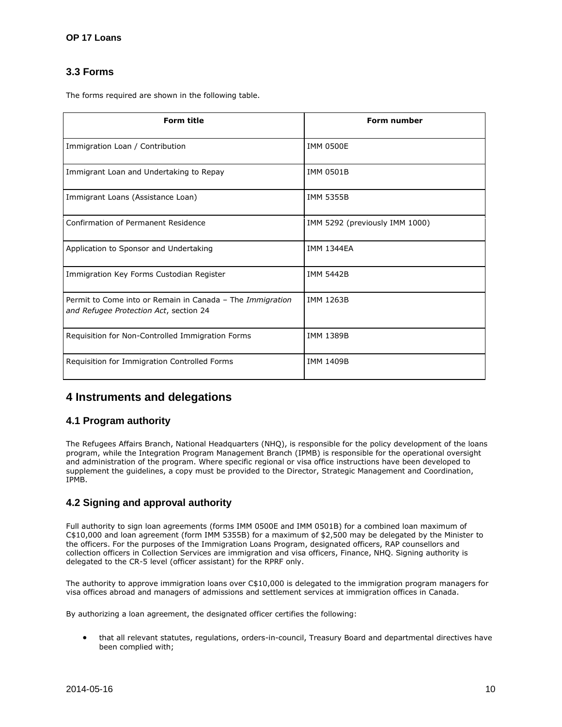# <span id="page-9-0"></span>**3.3 Forms**

The forms required are shown in the following table.

| <b>Form title</b>                                                                                   | <b>Form number</b>             |
|-----------------------------------------------------------------------------------------------------|--------------------------------|
| Immigration Loan / Contribution                                                                     | <b>IMM 0500E</b>               |
| Immigrant Loan and Undertaking to Repay                                                             | <b>IMM 0501B</b>               |
| Immigrant Loans (Assistance Loan)                                                                   | <b>IMM 5355B</b>               |
| Confirmation of Permanent Residence                                                                 | IMM 5292 (previously IMM 1000) |
| Application to Sponsor and Undertaking                                                              | <b>IMM 1344FA</b>              |
| Immigration Key Forms Custodian Register                                                            | <b>IMM 5442B</b>               |
| Permit to Come into or Remain in Canada - The Immigration<br>and Refugee Protection Act, section 24 | <b>IMM 1263B</b>               |
| Requisition for Non-Controlled Immigration Forms                                                    | <b>IMM 1389B</b>               |
| Requisition for Immigration Controlled Forms                                                        | <b>IMM 1409B</b>               |

# <span id="page-9-1"></span>**4 Instruments and delegations**

# <span id="page-9-2"></span>**4.1 Program authority**

The Refugees Affairs Branch, National Headquarters (NHQ), is responsible for the policy development of the loans program, while the Integration Program Management Branch (IPMB) is responsible for the operational oversight and administration of the program. Where specific regional or visa office instructions have been developed to supplement the guidelines, a copy must be provided to the Director, Strategic Management and Coordination, IPMB.

# <span id="page-9-3"></span>**4.2 Signing and approval authority**

Full authority to sign loan agreements (forms IMM 0500E and IMM 0501B) for a combined loan maximum of C\$10,000 and loan agreement (form IMM 5355B) for a maximum of \$2,500 may be delegated by the Minister to the officers. For the purposes of the Immigration Loans Program, designated officers, RAP counsellors and collection officers in Collection Services are immigration and visa officers, Finance, NHQ. Signing authority is delegated to the CR-5 level (officer assistant) for the RPRF only.

The authority to approve immigration loans over C\$10,000 is delegated to the immigration program managers for visa offices abroad and managers of admissions and settlement services at immigration offices in Canada.

By authorizing a loan agreement, the designated officer certifies the following:

 that all relevant statutes, regulations, orders-in-council, Treasury Board and departmental directives have been complied with;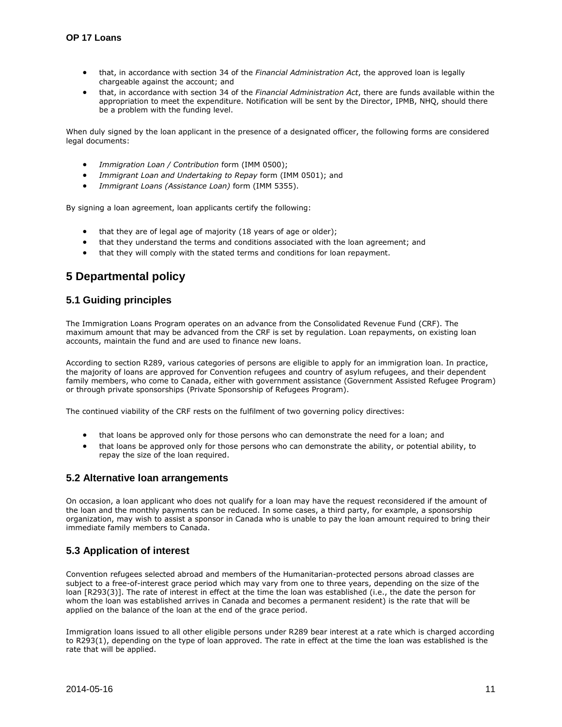- that, in accordance with section 34 of the *Financial Administration Act*, the approved loan is legally chargeable against the account; and
- that, in accordance with section 34 of the *Financial Administration Act*, there are funds available within the appropriation to meet the expenditure. Notification will be sent by the Director, IPMB, NHQ, should there be a problem with the funding level.

When duly signed by the loan applicant in the presence of a designated officer, the following forms are considered legal documents:

- *Immigration Loan / Contribution* form (IMM 0500);
- *Immigrant Loan and Undertaking to Repay* form (IMM 0501); and
- *Immigrant Loans (Assistance Loan)* form (IMM 5355).

By signing a loan agreement, loan applicants certify the following:

- that they are of legal age of majority (18 years of age or older);
- that they understand the terms and conditions associated with the loan agreement; and
- that they will comply with the stated terms and conditions for loan repayment.

# <span id="page-10-0"></span>**5 Departmental policy**

### <span id="page-10-1"></span>**5.1 Guiding principles**

The Immigration Loans Program operates on an advance from the Consolidated Revenue Fund (CRF). The maximum amount that may be advanced from the CRF is set by regulation. Loan repayments, on existing loan accounts, maintain the fund and are used to finance new loans.

According to section R289, various categories of persons are eligible to apply for an immigration loan. In practice, the majority of loans are approved for Convention refugees and country of asylum refugees, and their dependent family members, who come to Canada, either with government assistance (Government Assisted Refugee Program) or through private sponsorships (Private Sponsorship of Refugees Program).

The continued viability of the CRF rests on the fulfilment of two governing policy directives:

- that loans be approved only for those persons who can demonstrate the need for a loan; and
- that loans be approved only for those persons who can demonstrate the ability, or potential ability, to repay the size of the loan required.

#### <span id="page-10-2"></span>**5.2 Alternative loan arrangements**

On occasion, a loan applicant who does not qualify for a loan may have the request reconsidered if the amount of the loan and the monthly payments can be reduced. In some cases, a third party, for example, a sponsorship organization, may wish to assist a sponsor in Canada who is unable to pay the loan amount required to bring their immediate family members to Canada.

# <span id="page-10-3"></span>**5.3 Application of interest**

Convention refugees selected abroad and members of the Humanitarian-protected persons abroad classes are subject to a free-of-interest grace period which may vary from one to three years, depending on the size of the loan [R293(3)]. The rate of interest in effect at the time the loan was established (i.e., the date the person for whom the loan was established arrives in Canada and becomes a permanent resident) is the rate that will be applied on the balance of the loan at the end of the grace period.

Immigration loans issued to all other eligible persons under R289 bear interest at a rate which is charged according to R293(1), depending on the type of loan approved. The rate in effect at the time the loan was established is the rate that will be applied.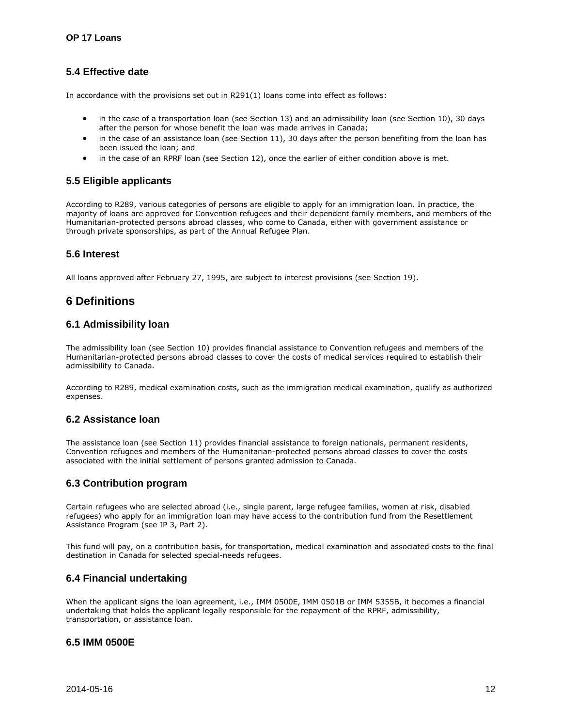# <span id="page-11-0"></span>**5.4 Effective date**

In accordance with the provisions set out in R291(1) loans come into effect as follows:

- in the case of a transportation loan (see Section 13) and an admissibility loan (see Section 10), 30 days after the person for whose benefit the loan was made arrives in Canada;
- in the case of an assistance loan (see Section 11), 30 days after the person benefiting from the loan has been issued the loan; and
- in the case of an RPRF loan (see Section 12), once the earlier of either condition above is met.

# <span id="page-11-1"></span>**5.5 Eligible applicants**

According to R289, various categories of persons are eligible to apply for an immigration loan. In practice, the majority of loans are approved for Convention refugees and their dependent family members, and members of the Humanitarian-protected persons abroad classes, who come to Canada, either with government assistance or through private sponsorships, as part of the Annual Refugee Plan.

#### <span id="page-11-2"></span>**5.6 Interest**

All loans approved after February 27, 1995, are subject to interest provisions (see Section 19).

# <span id="page-11-3"></span>**6 Definitions**

# <span id="page-11-4"></span>**6.1 Admissibility loan**

The admissibility loan (see Section 10) provides financial assistance to Convention refugees and members of the Humanitarian-protected persons abroad classes to cover the costs of medical services required to establish their admissibility to Canada.

According to R289, medical examination costs, such as the immigration medical examination, qualify as authorized expenses.

# <span id="page-11-5"></span>**6.2 Assistance loan**

The assistance loan (see Section 11) provides financial assistance to foreign nationals, permanent residents, Convention refugees and members of the Humanitarian-protected persons abroad classes to cover the costs associated with the initial settlement of persons granted admission to Canada.

# <span id="page-11-6"></span>**6.3 Contribution program**

Certain refugees who are selected abroad (i.e., single parent, large refugee families, women at risk, disabled refugees) who apply for an immigration loan may have access to the contribution fund from the Resettlement Assistance Program (see IP 3, Part 2).

This fund will pay, on a contribution basis, for transportation, medical examination and associated costs to the final destination in Canada for selected special-needs refugees.

# <span id="page-11-7"></span>**6.4 Financial undertaking**

When the applicant signs the loan agreement, i.e., IMM 0500E, IMM 0501B or IMM 5355B, it becomes a financial undertaking that holds the applicant legally responsible for the repayment of the RPRF, admissibility, transportation, or assistance loan.

# <span id="page-11-8"></span>**6.5 IMM 0500E**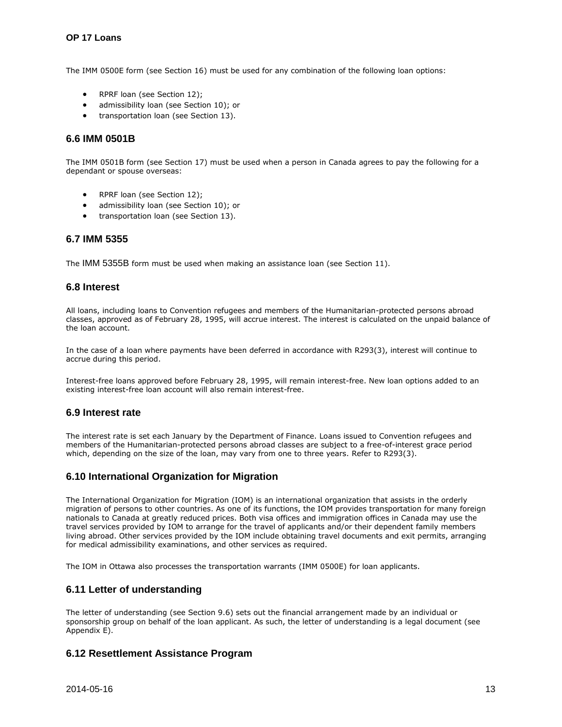The IMM 0500E form (see Section 16) must be used for any combination of the following loan options:

- RPRF loan (see Section 12);
- admissibility loan (see Section 10); or
- transportation loan (see Section 13).

### <span id="page-12-0"></span>**6.6 IMM 0501B**

The IMM 0501B form (see Section 17) must be used when a person in Canada agrees to pay the following for a dependant or spouse overseas:

- RPRF loan (see Section 12);
- admissibility loan (see Section 10); or
- transportation loan (see Section 13).

#### <span id="page-12-1"></span>**6.7 IMM 5355**

The IMM 5355B form must be used when making an assistance loan (see Section 11).

# <span id="page-12-2"></span>**6.8 Interest**

All loans, including loans to Convention refugees and members of the Humanitarian-protected persons abroad classes, approved as of February 28, 1995, will accrue interest. The interest is calculated on the unpaid balance of the loan account.

In the case of a loan where payments have been deferred in accordance with R293(3), interest will continue to accrue during this period.

Interest-free loans approved before February 28, 1995, will remain interest-free. New loan options added to an existing interest-free loan account will also remain interest-free.

#### <span id="page-12-3"></span>**6.9 Interest rate**

The interest rate is set each January by the Department of Finance. Loans issued to Convention refugees and members of the Humanitarian-protected persons abroad classes are subject to a free-of-interest grace period which, depending on the size of the loan, may vary from one to three years. Refer to R293(3).

# <span id="page-12-4"></span>**6.10 International Organization for Migration**

The International Organization for Migration (IOM) is an international organization that assists in the orderly migration of persons to other countries. As one of its functions, the IOM provides transportation for many foreign nationals to Canada at greatly reduced prices. Both visa offices and immigration offices in Canada may use the travel services provided by IOM to arrange for the travel of applicants and/or their dependent family members living abroad. Other services provided by the IOM include obtaining travel documents and exit permits, arranging for medical admissibility examinations, and other services as required.

The IOM in Ottawa also processes the transportation warrants (IMM 0500E) for loan applicants.

# <span id="page-12-5"></span>**6.11 Letter of understanding**

The letter of understanding (see Section 9.6) sets out the financial arrangement made by an individual or sponsorship group on behalf of the loan applicant. As such, the letter of understanding is a legal document (see Appendix E).

# <span id="page-12-6"></span>**6.12 Resettlement Assistance Program**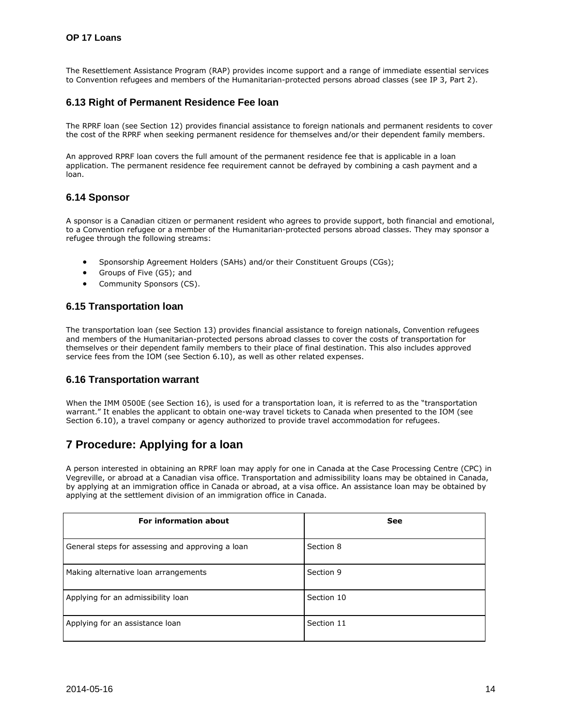The Resettlement Assistance Program (RAP) provides income support and a range of immediate essential services to Convention refugees and members of the Humanitarian-protected persons abroad classes (see IP 3, Part 2).

# <span id="page-13-0"></span>**6.13 Right of Permanent Residence Fee loan**

The RPRF loan (see Section 12) provides financial assistance to foreign nationals and permanent residents to cover the cost of the RPRF when seeking permanent residence for themselves and/or their dependent family members.

An approved RPRF loan covers the full amount of the permanent residence fee that is applicable in a loan application. The permanent residence fee requirement cannot be defrayed by combining a cash payment and a loan.

# <span id="page-13-1"></span>**6.14 Sponsor**

A sponsor is a Canadian citizen or permanent resident who agrees to provide support, both financial and emotional, to a Convention refugee or a member of the Humanitarian-protected persons abroad classes. They may sponsor a refugee through the following streams:

- Sponsorship Agreement Holders (SAHs) and/or their Constituent Groups (CGs);
- Groups of Five (G5); and
- Community Sponsors (CS).

# <span id="page-13-2"></span>**6.15 Transportation loan**

The transportation loan (see Section 13) provides financial assistance to foreign nationals, Convention refugees and members of the Humanitarian-protected persons abroad classes to cover the costs of transportation for themselves or their dependent family members to their place of final destination. This also includes approved service fees from the IOM (see Section 6.10), as well as other related expenses.

#### <span id="page-13-3"></span>**6.16 Transportation warrant**

When the IMM 0500E (see Section 16), is used for a transportation loan, it is referred to as the "transportation warrant." It enables the applicant to obtain one-way travel tickets to Canada when presented to the IOM (see Section 6.10), a travel company or agency authorized to provide travel accommodation for refugees.

# <span id="page-13-4"></span>**7 Procedure: Applying for a loan**

A person interested in obtaining an RPRF loan may apply for one in Canada at the Case Processing Centre (CPC) in Vegreville, or abroad at a Canadian visa office. Transportation and admissibility loans may be obtained in Canada, by applying at an immigration office in Canada or abroad, at a visa office. An assistance loan may be obtained by applying at the settlement division of an immigration office in Canada.

| <b>For information about</b>                     | See        |
|--------------------------------------------------|------------|
| General steps for assessing and approving a loan | Section 8  |
| Making alternative loan arrangements             | Section 9  |
| Applying for an admissibility loan               | Section 10 |
| Applying for an assistance loan                  | Section 11 |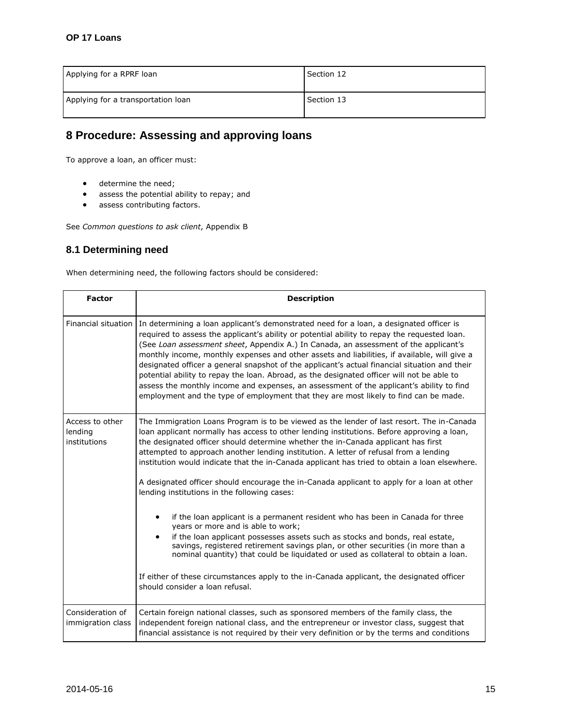| Applying for a RPRF loan           | Section 12 |
|------------------------------------|------------|
| Applying for a transportation loan | Section 13 |

# <span id="page-14-0"></span>**8 Procedure: Assessing and approving loans**

To approve a loan, an officer must:

- **e** determine the need;
- assess the potential ability to repay; and
- **•** assess contributing factors.

See *Common questions to ask client*, Appendix B

# <span id="page-14-1"></span>**8.1 Determining need**

When determining need, the following factors should be considered:

| <b>Factor</b>                              | <b>Description</b>                                                                                                                                                                                                                                                                                                                                                                                                                                                                                                                                                                                                                                                                                                                                                                                                                                                                                                                                                                                      |
|--------------------------------------------|---------------------------------------------------------------------------------------------------------------------------------------------------------------------------------------------------------------------------------------------------------------------------------------------------------------------------------------------------------------------------------------------------------------------------------------------------------------------------------------------------------------------------------------------------------------------------------------------------------------------------------------------------------------------------------------------------------------------------------------------------------------------------------------------------------------------------------------------------------------------------------------------------------------------------------------------------------------------------------------------------------|
|                                            | Financial situation In determining a loan applicant's demonstrated need for a loan, a designated officer is<br>required to assess the applicant's ability or potential ability to repay the requested loan.<br>(See Loan assessment sheet, Appendix A.) In Canada, an assessment of the applicant's<br>monthly income, monthly expenses and other assets and liabilities, if available, will give a<br>designated officer a general snapshot of the applicant's actual financial situation and their<br>potential ability to repay the loan. Abroad, as the designated officer will not be able to<br>assess the monthly income and expenses, an assessment of the applicant's ability to find<br>employment and the type of employment that they are most likely to find can be made.                                                                                                                                                                                                                  |
| Access to other<br>lending<br>institutions | The Immigration Loans Program is to be viewed as the lender of last resort. The in-Canada<br>loan applicant normally has access to other lending institutions. Before approving a loan,<br>the designated officer should determine whether the in-Canada applicant has first<br>attempted to approach another lending institution. A letter of refusal from a lending<br>institution would indicate that the in-Canada applicant has tried to obtain a loan elsewhere.<br>A designated officer should encourage the in-Canada applicant to apply for a loan at other<br>lending institutions in the following cases:<br>if the loan applicant is a permanent resident who has been in Canada for three<br>years or more and is able to work;<br>if the loan applicant possesses assets such as stocks and bonds, real estate,<br>savings, registered retirement savings plan, or other securities (in more than a<br>nominal quantity) that could be liquidated or used as collateral to obtain a loan. |
|                                            | If either of these circumstances apply to the in-Canada applicant, the designated officer<br>should consider a loan refusal.                                                                                                                                                                                                                                                                                                                                                                                                                                                                                                                                                                                                                                                                                                                                                                                                                                                                            |
| Consideration of<br>immigration class      | Certain foreign national classes, such as sponsored members of the family class, the<br>independent foreign national class, and the entrepreneur or investor class, suggest that<br>financial assistance is not required by their very definition or by the terms and conditions                                                                                                                                                                                                                                                                                                                                                                                                                                                                                                                                                                                                                                                                                                                        |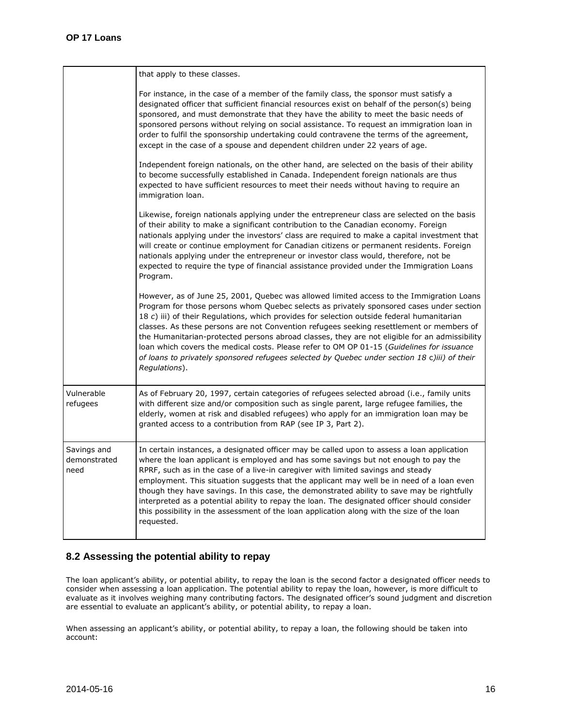|                                     | that apply to these classes.                                                                                                                                                                                                                                                                                                                                                                                                                                                                                                                                                                                                                                                                  |
|-------------------------------------|-----------------------------------------------------------------------------------------------------------------------------------------------------------------------------------------------------------------------------------------------------------------------------------------------------------------------------------------------------------------------------------------------------------------------------------------------------------------------------------------------------------------------------------------------------------------------------------------------------------------------------------------------------------------------------------------------|
|                                     | For instance, in the case of a member of the family class, the sponsor must satisfy a<br>designated officer that sufficient financial resources exist on behalf of the person(s) being<br>sponsored, and must demonstrate that they have the ability to meet the basic needs of<br>sponsored persons without relying on social assistance. To request an immigration loan in<br>order to fulfil the sponsorship undertaking could contravene the terms of the agreement,<br>except in the case of a spouse and dependent children under 22 years of age.                                                                                                                                      |
|                                     | Independent foreign nationals, on the other hand, are selected on the basis of their ability<br>to become successfully established in Canada. Independent foreign nationals are thus<br>expected to have sufficient resources to meet their needs without having to require an<br>immigration loan.                                                                                                                                                                                                                                                                                                                                                                                           |
|                                     | Likewise, foreign nationals applying under the entrepreneur class are selected on the basis<br>of their ability to make a significant contribution to the Canadian economy. Foreign<br>nationals applying under the investors' class are required to make a capital investment that<br>will create or continue employment for Canadian citizens or permanent residents. Foreign<br>nationals applying under the entrepreneur or investor class would, therefore, not be<br>expected to require the type of financial assistance provided under the Immigration Loans<br>Program.                                                                                                              |
|                                     | However, as of June 25, 2001, Quebec was allowed limited access to the Immigration Loans<br>Program for those persons whom Quebec selects as privately sponsored cases under section<br>18 c) iii) of their Regulations, which provides for selection outside federal humanitarian<br>classes. As these persons are not Convention refugees seeking resettlement or members of<br>the Humanitarian-protected persons abroad classes, they are not eligible for an admissibility<br>loan which covers the medical costs. Please refer to OM OP 01-15 (Guidelines for issuance<br>of loans to privately sponsored refugees selected by Quebec under section 18 c)iii) of their<br>Regulations). |
| Vulnerable<br>refugees              | As of February 20, 1997, certain categories of refugees selected abroad (i.e., family units<br>with different size and/or composition such as single parent, large refugee families, the<br>elderly, women at risk and disabled refugees) who apply for an immigration loan may be<br>granted access to a contribution from RAP (see IP 3, Part 2).                                                                                                                                                                                                                                                                                                                                           |
| Savings and<br>demonstrated<br>need | In certain instances, a designated officer may be called upon to assess a loan application<br>where the loan applicant is employed and has some savings but not enough to pay the<br>RPRF, such as in the case of a live-in caregiver with limited savings and steady<br>employment. This situation suggests that the applicant may well be in need of a loan even<br>though they have savings. In this case, the demonstrated ability to save may be rightfully<br>interpreted as a potential ability to repay the loan. The designated officer should consider<br>this possibility in the assessment of the loan application along with the size of the loan<br>requested.                  |

# <span id="page-15-0"></span>**8.2 Assessing the potential ability to repay**

The loan applicant's ability, or potential ability, to repay the loan is the second factor a designated officer needs to consider when assessing a loan application. The potential ability to repay the loan, however, is more difficult to evaluate as it involves weighing many contributing factors. The designated officer's sound judgment and discretion are essential to evaluate an applicant's ability, or potential ability, to repay a loan.

When assessing an applicant's ability, or potential ability, to repay a loan, the following should be taken into account: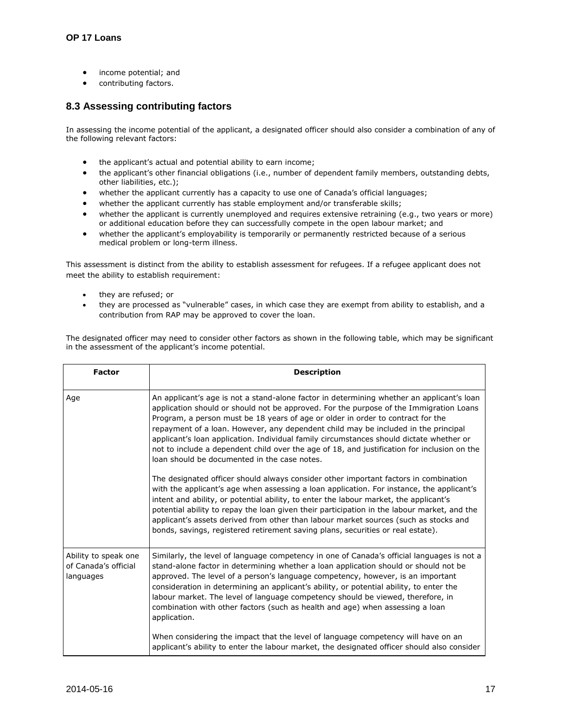- income potential; and
- contributing factors.

# <span id="page-16-0"></span>**8.3 Assessing contributing factors**

In assessing the income potential of the applicant, a designated officer should also consider a combination of any of the following relevant factors:

- the applicant's actual and potential ability to earn income;
- the applicant's other financial obligations (i.e., number of dependent family members, outstanding debts, other liabilities, etc.);
- whether the applicant currently has a capacity to use one of Canada's official languages;
- whether the applicant currently has stable employment and/or transferable skills;
- whether the applicant is currently unemployed and requires extensive retraining (e.g., two years or more) or additional education before they can successfully compete in the open labour market; and
- whether the applicant's employability is temporarily or permanently restricted because of a serious medical problem or long-term illness.

This assessment is distinct from the ability to establish assessment for refugees. If a refugee applicant does not meet the ability to establish requirement:

- they are refused; or
- they are processed as "vulnerable" cases, in which case they are exempt from ability to establish, and a contribution from RAP may be approved to cover the loan.

The designated officer may need to consider other factors as shown in the following table, which may be significant in the assessment of the applicant's income potential.

| <b>Factor</b>                                             | <b>Description</b>                                                                                                                                                                                                                                                                                                                                                                                                                                                                                                                                                                                     |
|-----------------------------------------------------------|--------------------------------------------------------------------------------------------------------------------------------------------------------------------------------------------------------------------------------------------------------------------------------------------------------------------------------------------------------------------------------------------------------------------------------------------------------------------------------------------------------------------------------------------------------------------------------------------------------|
| Age                                                       | An applicant's age is not a stand-alone factor in determining whether an applicant's loan<br>application should or should not be approved. For the purpose of the Immigration Loans<br>Program, a person must be 18 years of age or older in order to contract for the<br>repayment of a loan. However, any dependent child may be included in the principal<br>applicant's loan application. Individual family circumstances should dictate whether or<br>not to include a dependent child over the age of 18, and justification for inclusion on the<br>loan should be documented in the case notes. |
|                                                           | The designated officer should always consider other important factors in combination<br>with the applicant's age when assessing a loan application. For instance, the applicant's<br>intent and ability, or potential ability, to enter the labour market, the applicant's<br>potential ability to repay the loan given their participation in the labour market, and the<br>applicant's assets derived from other than labour market sources (such as stocks and<br>bonds, savings, registered retirement saving plans, securities or real estate).                                                   |
| Ability to speak one<br>of Canada's official<br>languages | Similarly, the level of language competency in one of Canada's official languages is not a<br>stand-alone factor in determining whether a loan application should or should not be<br>approved. The level of a person's language competency, however, is an important<br>consideration in determining an applicant's ability, or potential ability, to enter the<br>labour market. The level of language competency should be viewed, therefore, in<br>combination with other factors (such as health and age) when assessing a loan<br>application.                                                   |
|                                                           | When considering the impact that the level of language competency will have on an<br>applicant's ability to enter the labour market, the designated officer should also consider                                                                                                                                                                                                                                                                                                                                                                                                                       |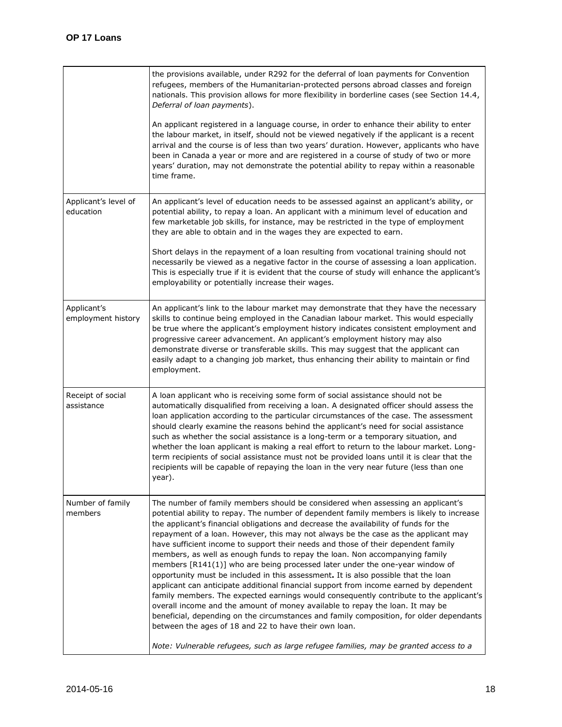|                                   | the provisions available, under R292 for the deferral of loan payments for Convention<br>refugees, members of the Humanitarian-protected persons abroad classes and foreign<br>nationals. This provision allows for more flexibility in borderline cases (see Section 14.4,<br>Deferral of loan payments).<br>An applicant registered in a language course, in order to enhance their ability to enter                                                                                                                                                                                                                                                                                                                                                                                                                                                                                                                                                                                                                                                                                                                                                                                                               |
|-----------------------------------|----------------------------------------------------------------------------------------------------------------------------------------------------------------------------------------------------------------------------------------------------------------------------------------------------------------------------------------------------------------------------------------------------------------------------------------------------------------------------------------------------------------------------------------------------------------------------------------------------------------------------------------------------------------------------------------------------------------------------------------------------------------------------------------------------------------------------------------------------------------------------------------------------------------------------------------------------------------------------------------------------------------------------------------------------------------------------------------------------------------------------------------------------------------------------------------------------------------------|
|                                   | the labour market, in itself, should not be viewed negatively if the applicant is a recent<br>arrival and the course is of less than two years' duration. However, applicants who have<br>been in Canada a year or more and are registered in a course of study of two or more<br>years' duration, may not demonstrate the potential ability to repay within a reasonable<br>time frame.                                                                                                                                                                                                                                                                                                                                                                                                                                                                                                                                                                                                                                                                                                                                                                                                                             |
| Applicant's level of<br>education | An applicant's level of education needs to be assessed against an applicant's ability, or<br>potential ability, to repay a loan. An applicant with a minimum level of education and<br>few marketable job skills, for instance, may be restricted in the type of employment<br>they are able to obtain and in the wages they are expected to earn.                                                                                                                                                                                                                                                                                                                                                                                                                                                                                                                                                                                                                                                                                                                                                                                                                                                                   |
|                                   | Short delays in the repayment of a loan resulting from vocational training should not<br>necessarily be viewed as a negative factor in the course of assessing a loan application.<br>This is especially true if it is evident that the course of study will enhance the applicant's<br>employability or potentially increase their wages.                                                                                                                                                                                                                                                                                                                                                                                                                                                                                                                                                                                                                                                                                                                                                                                                                                                                           |
| Applicant's<br>employment history | An applicant's link to the labour market may demonstrate that they have the necessary<br>skills to continue being employed in the Canadian labour market. This would especially<br>be true where the applicant's employment history indicates consistent employment and<br>progressive career advancement. An applicant's employment history may also<br>demonstrate diverse or transferable skills. This may suggest that the applicant can<br>easily adapt to a changing job market, thus enhancing their ability to maintain or find<br>employment.                                                                                                                                                                                                                                                                                                                                                                                                                                                                                                                                                                                                                                                               |
| Receipt of social<br>assistance   | A loan applicant who is receiving some form of social assistance should not be<br>automatically disqualified from receiving a loan. A designated officer should assess the<br>loan application according to the particular circumstances of the case. The assessment<br>should clearly examine the reasons behind the applicant's need for social assistance<br>such as whether the social assistance is a long-term or a temporary situation, and<br>whether the loan applicant is making a real effort to return to the labour market. Long-<br>term recipients of social assistance must not be provided loans until it is clear that the<br>recipients will be capable of repaying the loan in the very near future (less than one<br>year).                                                                                                                                                                                                                                                                                                                                                                                                                                                                     |
| Number of family<br>members       | The number of family members should be considered when assessing an applicant's<br>potential ability to repay. The number of dependent family members is likely to increase<br>the applicant's financial obligations and decrease the availability of funds for the<br>repayment of a loan. However, this may not always be the case as the applicant may<br>have sufficient income to support their needs and those of their dependent family<br>members, as well as enough funds to repay the loan. Non accompanying family<br>members [R141(1)] who are being processed later under the one-year window of<br>opportunity must be included in this assessment. It is also possible that the loan<br>applicant can anticipate additional financial support from income earned by dependent<br>family members. The expected earnings would consequently contribute to the applicant's<br>overall income and the amount of money available to repay the loan. It may be<br>beneficial, depending on the circumstances and family composition, for older dependants<br>between the ages of 18 and 22 to have their own loan.<br>Note: Vulnerable refugees, such as large refugee families, may be granted access to a |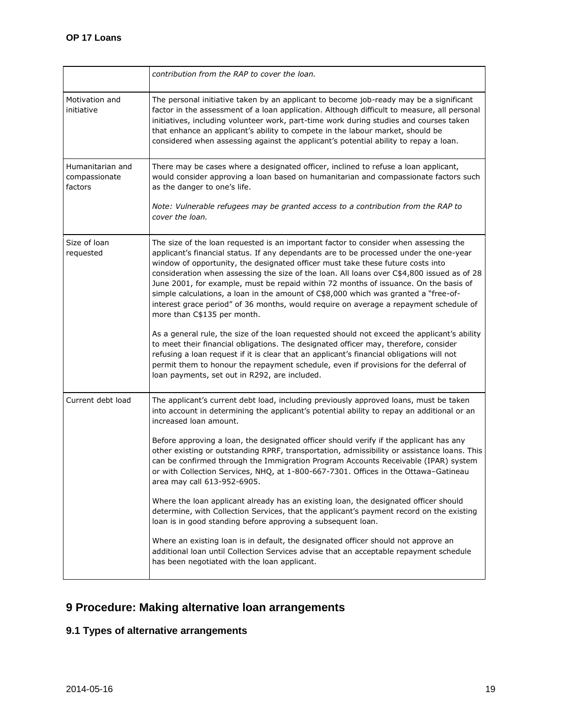|                                              | contribution from the RAP to cover the loan.                                                                                                                                                                                                                                                                                                                                                                                                                                                                                                                                                                                                                           |
|----------------------------------------------|------------------------------------------------------------------------------------------------------------------------------------------------------------------------------------------------------------------------------------------------------------------------------------------------------------------------------------------------------------------------------------------------------------------------------------------------------------------------------------------------------------------------------------------------------------------------------------------------------------------------------------------------------------------------|
| Motivation and<br>initiative                 | The personal initiative taken by an applicant to become job-ready may be a significant<br>factor in the assessment of a loan application. Although difficult to measure, all personal<br>initiatives, including volunteer work, part-time work during studies and courses taken<br>that enhance an applicant's ability to compete in the labour market, should be<br>considered when assessing against the applicant's potential ability to repay a loan.                                                                                                                                                                                                              |
| Humanitarian and<br>compassionate<br>factors | There may be cases where a designated officer, inclined to refuse a loan applicant,<br>would consider approving a loan based on humanitarian and compassionate factors such<br>as the danger to one's life.                                                                                                                                                                                                                                                                                                                                                                                                                                                            |
|                                              | Note: Vulnerable refugees may be granted access to a contribution from the RAP to<br>cover the loan.                                                                                                                                                                                                                                                                                                                                                                                                                                                                                                                                                                   |
| Size of loan<br>requested                    | The size of the loan requested is an important factor to consider when assessing the<br>applicant's financial status. If any dependants are to be processed under the one-year<br>window of opportunity, the designated officer must take these future costs into<br>consideration when assessing the size of the loan. All loans over C\$4,800 issued as of 28<br>June 2001, for example, must be repaid within 72 months of issuance. On the basis of<br>simple calculations, a loan in the amount of C\$8,000 which was granted a "free-of-<br>interest grace period" of 36 months, would require on average a repayment schedule of<br>more than C\$135 per month. |
|                                              | As a general rule, the size of the loan requested should not exceed the applicant's ability<br>to meet their financial obligations. The designated officer may, therefore, consider<br>refusing a loan request if it is clear that an applicant's financial obligations will not<br>permit them to honour the repayment schedule, even if provisions for the deferral of<br>loan payments, set out in R292, are included.                                                                                                                                                                                                                                              |
| Current debt load                            | The applicant's current debt load, including previously approved loans, must be taken<br>into account in determining the applicant's potential ability to repay an additional or an<br>increased loan amount.                                                                                                                                                                                                                                                                                                                                                                                                                                                          |
|                                              | Before approving a loan, the designated officer should verify if the applicant has any<br>other existing or outstanding RPRF, transportation, admissibility or assistance loans. This<br>can be confirmed through the Immigration Program Accounts Receivable (IPAR) system<br>or with Collection Services, NHQ, at 1-800-667-7301. Offices in the Ottawa-Gatineau<br>area may call 613-952-6905.                                                                                                                                                                                                                                                                      |
|                                              | Where the loan applicant already has an existing loan, the designated officer should<br>determine, with Collection Services, that the applicant's payment record on the existing<br>loan is in good standing before approving a subsequent loan.                                                                                                                                                                                                                                                                                                                                                                                                                       |
|                                              | Where an existing loan is in default, the designated officer should not approve an<br>additional loan until Collection Services advise that an acceptable repayment schedule<br>has been negotiated with the loan applicant.                                                                                                                                                                                                                                                                                                                                                                                                                                           |

# <span id="page-18-0"></span>**9 Procedure: Making alternative loan arrangements**

# <span id="page-18-1"></span>**9.1 Types of alternative arrangements**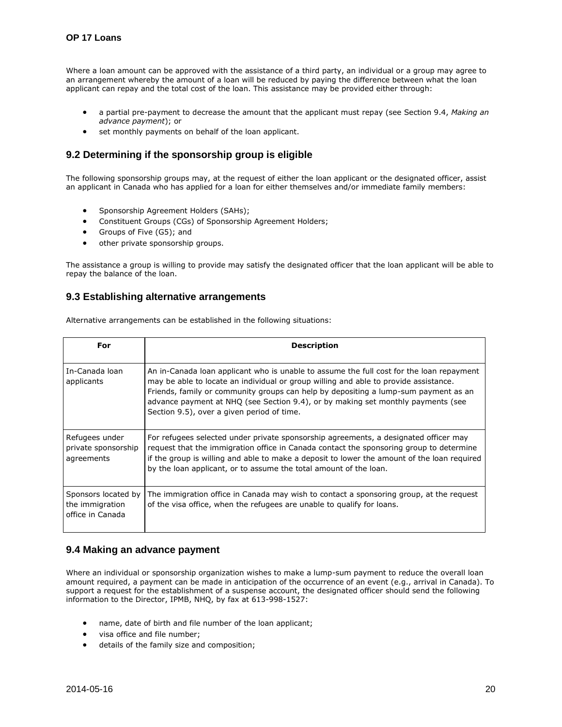Where a loan amount can be approved with the assistance of a third party, an individual or a group may agree to an arrangement whereby the amount of a loan will be reduced by paying the difference between what the loan applicant can repay and the total cost of the loan. This assistance may be provided either through:

- a partial pre-payment to decrease the amount that the applicant must repay (see Section 9.4, *Making an advance payment*); or
- set monthly payments on behalf of the loan applicant.

# <span id="page-19-0"></span>**9.2 Determining if the sponsorship group is eligible**

The following sponsorship groups may, at the request of either the loan applicant or the designated officer, assist an applicant in Canada who has applied for a loan for either themselves and/or immediate family members:

- Sponsorship Agreement Holders (SAHs);
- Constituent Groups (CGs) of Sponsorship Agreement Holders;
- Groups of Five (G5); and
- other private sponsorship groups.

The assistance a group is willing to provide may satisfy the designated officer that the loan applicant will be able to repay the balance of the loan.

# <span id="page-19-1"></span>**9.3 Establishing alternative arrangements**

Alternative arrangements can be established in the following situations:

| For                                                        | <b>Description</b>                                                                                                                                                                                                                                                                                                                                                                                        |
|------------------------------------------------------------|-----------------------------------------------------------------------------------------------------------------------------------------------------------------------------------------------------------------------------------------------------------------------------------------------------------------------------------------------------------------------------------------------------------|
| In-Canada loan<br>applicants                               | An in-Canada loan applicant who is unable to assume the full cost for the loan repayment<br>may be able to locate an individual or group willing and able to provide assistance.<br>Friends, family or community groups can help by depositing a lump-sum payment as an<br>advance payment at NHQ (see Section 9.4), or by making set monthly payments (see<br>Section 9.5), over a given period of time. |
| Refugees under<br>private sponsorship<br>agreements        | For refugees selected under private sponsorship agreements, a designated officer may<br>request that the immigration office in Canada contact the sponsoring group to determine<br>if the group is willing and able to make a deposit to lower the amount of the loan required<br>by the loan applicant, or to assume the total amount of the loan.                                                       |
| Sponsors located by<br>the immigration<br>office in Canada | The immigration office in Canada may wish to contact a sponsoring group, at the request<br>of the visa office, when the refugees are unable to qualify for loans.                                                                                                                                                                                                                                         |

#### <span id="page-19-2"></span>**9.4 Making an advance payment**

Where an individual or sponsorship organization wishes to make a lump-sum payment to reduce the overall loan amount required, a payment can be made in anticipation of the occurrence of an event (e.g., arrival in Canada). To support a request for the establishment of a suspense account, the designated officer should send the following information to the Director, IPMB, NHQ, by fax at 613-998-1527:

- name, date of birth and file number of the loan applicant;
- visa office and file number;
- details of the family size and composition;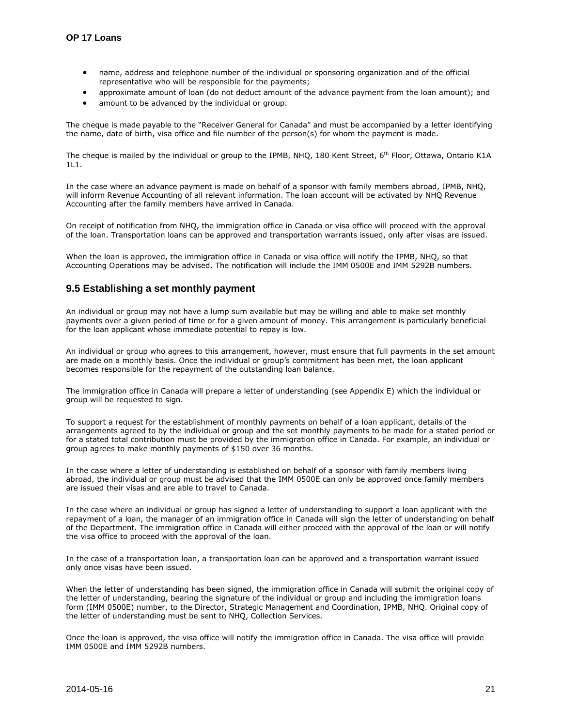- name, address and telephone number of the individual or sponsoring organization and of the official representative who will be responsible for the payments;
- approximate amount of loan (do not deduct amount of the advance payment from the loan amount); and
- amount to be advanced by the individual or group.

The cheque is made payable to the "Receiver General for Canada" and must be accompanied by a letter identifying the name, date of birth, visa office and file number of the person(s) for whom the payment is made.

The cheque is mailed by the individual or group to the IPMB, NHQ, 180 Kent Street, 6<sup>th</sup> Floor, Ottawa, Ontario K1A 1L1.

In the case where an advance payment is made on behalf of a sponsor with family members abroad, IPMB, NHQ, will inform Revenue Accounting of all relevant information. The loan account will be activated by NHQ Revenue Accounting after the family members have arrived in Canada.

On receipt of notification from NHQ, the immigration office in Canada or visa office will proceed with the approval of the loan. Transportation loans can be approved and transportation warrants issued, only after visas are issued.

When the loan is approved, the immigration office in Canada or visa office will notify the IPMB, NHQ, so that Accounting Operations may be advised. The notification will include the IMM 0500E and IMM 5292B numbers.

#### <span id="page-20-0"></span>**9.5 Establishing a set monthly payment**

An individual or group may not have a lump sum available but may be willing and able to make set monthly payments over a given period of time or for a given amount of money. This arrangement is particularly beneficial for the loan applicant whose immediate potential to repay is low.

An individual or group who agrees to this arrangement, however, must ensure that full payments in the set amount are made on a monthly basis. Once the individual or group's commitment has been met, the loan applicant becomes responsible for the repayment of the outstanding loan balance.

The immigration office in Canada will prepare a letter of understanding (see Appendix E) which the individual or group will be requested to sign.

To support a request for the establishment of monthly payments on behalf of a loan applicant, details of the arrangements agreed to by the individual or group and the set monthly payments to be made for a stated period or for a stated total contribution must be provided by the immigration office in Canada. For example, an individual or group agrees to make monthly payments of \$150 over 36 months.

In the case where a letter of understanding is established on behalf of a sponsor with family members living abroad, the individual or group must be advised that the IMM 0500E can only be approved once family members are issued their visas and are able to travel to Canada.

In the case where an individual or group has signed a letter of understanding to support a loan applicant with the repayment of a loan, the manager of an immigration office in Canada will sign the letter of understanding on behalf of the Department. The immigration office in Canada will either proceed with the approval of the loan or will notify the visa office to proceed with the approval of the loan.

In the case of a transportation loan, a transportation loan can be approved and a transportation warrant issued only once visas have been issued.

When the letter of understanding has been signed, the immigration office in Canada will submit the original copy of the letter of understanding, bearing the signature of the individual or group and including the immigration loans form (IMM 0500E) number, to the Director, Strategic Management and Coordination, IPMB, NHQ. Original copy of the letter of understanding must be sent to NHQ, Collection Services*.*

Once the loan is approved, the visa office will notify the immigration office in Canada. The visa office will provide IMM 0500E and IMM 5292B numbers.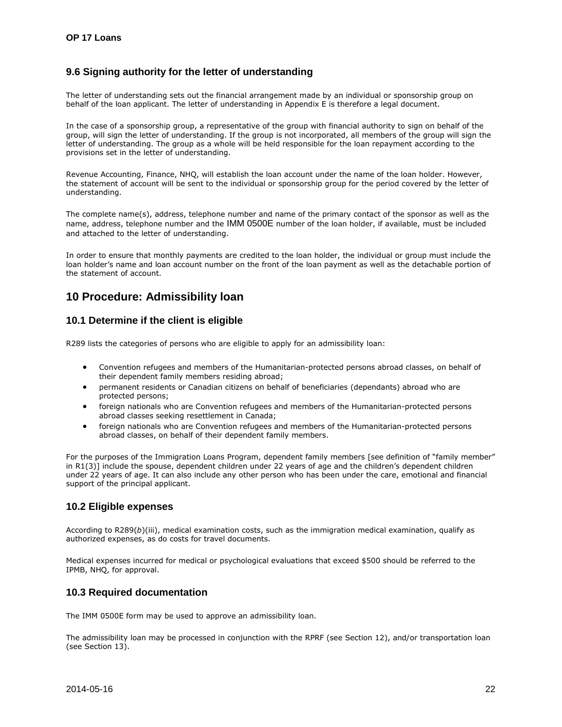# <span id="page-21-0"></span>**9.6 Signing authority for the letter of understanding**

The letter of understanding sets out the financial arrangement made by an individual or sponsorship group on behalf of the loan applicant. The letter of understanding in Appendix E is therefore a legal document.

In the case of a sponsorship group, a representative of the group with financial authority to sign on behalf of the group, will sign the letter of understanding. If the group is not incorporated, all members of the group will sign the letter of understanding. The group as a whole will be held responsible for the loan repayment according to the provisions set in the letter of understanding.

Revenue Accounting, Finance, NHQ, will establish the loan account under the name of the loan holder. However, the statement of account will be sent to the individual or sponsorship group for the period covered by the letter of understanding.

The complete name(s), address, telephone number and name of the primary contact of the sponsor as well as the name, address, telephone number and the IMM 0500E number of the loan holder, if available, must be included and attached to the letter of understanding.

In order to ensure that monthly payments are credited to the loan holder, the individual or group must include the loan holder's name and loan account number on the front of the loan payment as well as the detachable portion of the statement of account.

# <span id="page-21-1"></span>**10 Procedure: Admissibility loan**

# <span id="page-21-2"></span>**10.1 Determine if the client is eligible**

R289 lists the categories of persons who are eligible to apply for an admissibility loan:

- Convention refugees and members of the Humanitarian-protected persons abroad classes, on behalf of their dependent family members residing abroad;
- permanent residents or Canadian citizens on behalf of beneficiaries (dependants) abroad who are protected persons;
- foreign nationals who are Convention refugees and members of the Humanitarian-protected persons abroad classes seeking resettlement in Canada;
- foreign nationals who are Convention refugees and members of the Humanitarian-protected persons abroad classes, on behalf of their dependent family members.

For the purposes of the Immigration Loans Program, dependent family members [see definition of "family member" in R1(3)] include the spouse, dependent children under 22 years of age and the children's dependent children under 22 years of age. It can also include any other person who has been under the care, emotional and financial support of the principal applicant.

# <span id="page-21-3"></span>**10.2 Eligible expenses**

According to R289(*b*)(iii), medical examination costs, such as the immigration medical examination, qualify as authorized expenses, as do costs for travel documents.

Medical expenses incurred for medical or psychological evaluations that exceed \$500 should be referred to the IPMB, NHQ, for approval.

# <span id="page-21-4"></span>**10.3 Required documentation**

The IMM 0500E form may be used to approve an admissibility loan.

The admissibility loan may be processed in conjunction with the RPRF (see Section 12), and/or transportation loan (see Section 13).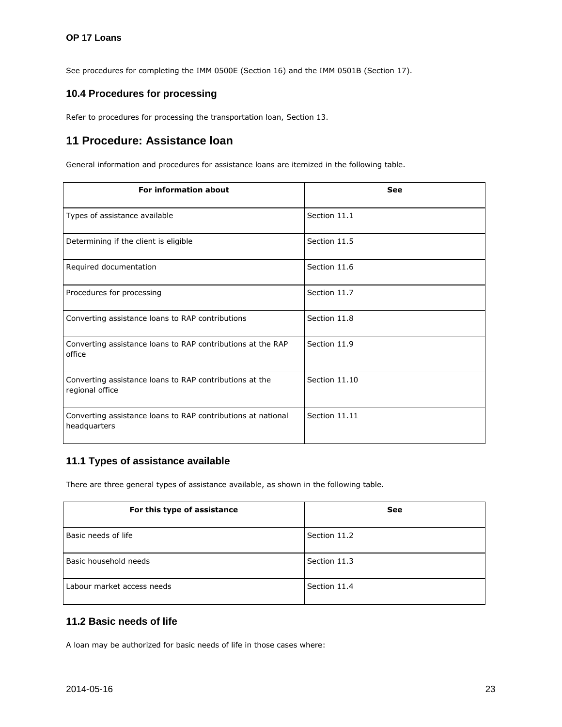See procedures for completing the IMM 0500E (Section 16) and the IMM 0501B (Section 17).

# <span id="page-22-0"></span>**10.4 Procedures for processing**

Refer to procedures for processing the transportation loan, Section 13.

# <span id="page-22-1"></span>**11 Procedure: Assistance loan**

General information and procedures for assistance loans are itemized in the following table.

| <b>For information about</b>                                                 | <b>See</b>    |
|------------------------------------------------------------------------------|---------------|
| Types of assistance available                                                | Section 11.1  |
| Determining if the client is eligible                                        | Section 11.5  |
| Required documentation                                                       | Section 11.6  |
| Procedures for processing                                                    | Section 11.7  |
| Converting assistance loans to RAP contributions                             | Section 11.8  |
| Converting assistance loans to RAP contributions at the RAP<br>office        | Section 11.9  |
| Converting assistance loans to RAP contributions at the<br>regional office   | Section 11.10 |
| Converting assistance loans to RAP contributions at national<br>headquarters | Section 11.11 |

# <span id="page-22-2"></span>**11.1 Types of assistance available**

There are three general types of assistance available, as shown in the following table.

| For this type of assistance | See          |
|-----------------------------|--------------|
| Basic needs of life         | Section 11.2 |
| Basic household needs       | Section 11.3 |
| Labour market access needs  | Section 11.4 |

# <span id="page-22-3"></span>**11.2 Basic needs of life**

A loan may be authorized for basic needs of life in those cases where: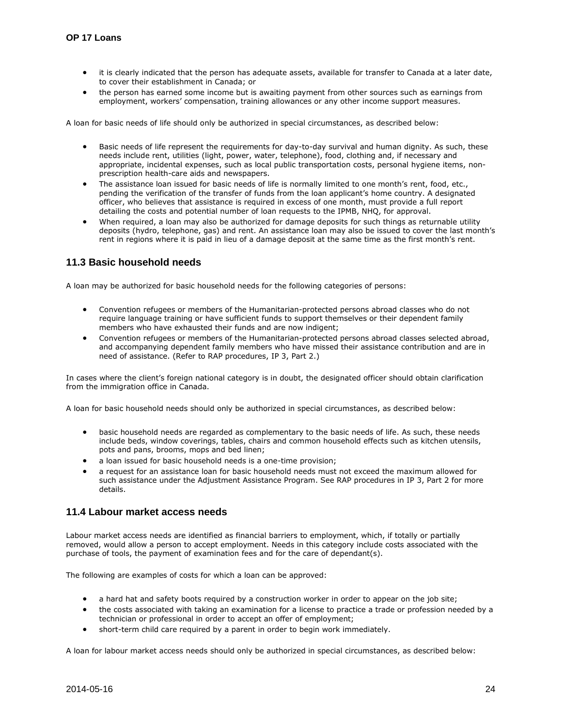- it is clearly indicated that the person has adequate assets, available for transfer to Canada at a later date, to cover their establishment in Canada; or
- the person has earned some income but is awaiting payment from other sources such as earnings from employment, workers' compensation, training allowances or any other income support measures.

A loan for basic needs of life should only be authorized in special circumstances, as described below:

- Basic needs of life represent the requirements for day-to-day survival and human dignity. As such, these needs include rent, utilities (light, power, water, telephone), food, clothing and, if necessary and appropriate, incidental expenses, such as local public transportation costs, personal hygiene items, nonprescription health-care aids and newspapers.
- The assistance loan issued for basic needs of life is normally limited to one month's rent, food, etc., pending the verification of the transfer of funds from the loan applicant's home country. A designated officer, who believes that assistance is required in excess of one month, must provide a full report detailing the costs and potential number of loan requests to the IPMB, NHQ, for approval.
- When required, a loan may also be authorized for damage deposits for such things as returnable utility deposits (hydro, telephone, gas) and rent. An assistance loan may also be issued to cover the last month's rent in regions where it is paid in lieu of a damage deposit at the same time as the first month's rent.

# <span id="page-23-0"></span>**11.3 Basic household needs**

A loan may be authorized for basic household needs for the following categories of persons:

- Convention refugees or members of the Humanitarian-protected persons abroad classes who do not require language training or have sufficient funds to support themselves or their dependent family members who have exhausted their funds and are now indigent;
- Convention refugees or members of the Humanitarian-protected persons abroad classes selected abroad, and accompanying dependent family members who have missed their assistance contribution and are in need of assistance. (Refer to RAP procedures, IP 3, Part 2.)

In cases where the client's foreign national category is in doubt, the designated officer should obtain clarification from the immigration office in Canada.

A loan for basic household needs should only be authorized in special circumstances, as described below:

- basic household needs are regarded as complementary to the basic needs of life. As such, these needs include beds, window coverings, tables, chairs and common household effects such as kitchen utensils, pots and pans, brooms, mops and bed linen;
- a loan issued for basic household needs is a one-time provision;
- a request for an assistance loan for basic household needs must not exceed the maximum allowed for such assistance under the Adjustment Assistance Program. See RAP procedures in IP 3, Part 2 for more details.

#### <span id="page-23-1"></span>**11.4 Labour market access needs**

Labour market access needs are identified as financial barriers to employment, which, if totally or partially removed, would allow a person to accept employment. Needs in this category include costs associated with the purchase of tools, the payment of examination fees and for the care of dependant(s).

The following are examples of costs for which a loan can be approved:

- a hard hat and safety boots required by a construction worker in order to appear on the job site;
- the costs associated with taking an examination for a license to practice a trade or profession needed by a technician or professional in order to accept an offer of employment;
- short-term child care required by a parent in order to begin work immediately.

A loan for labour market access needs should only be authorized in special circumstances, as described below: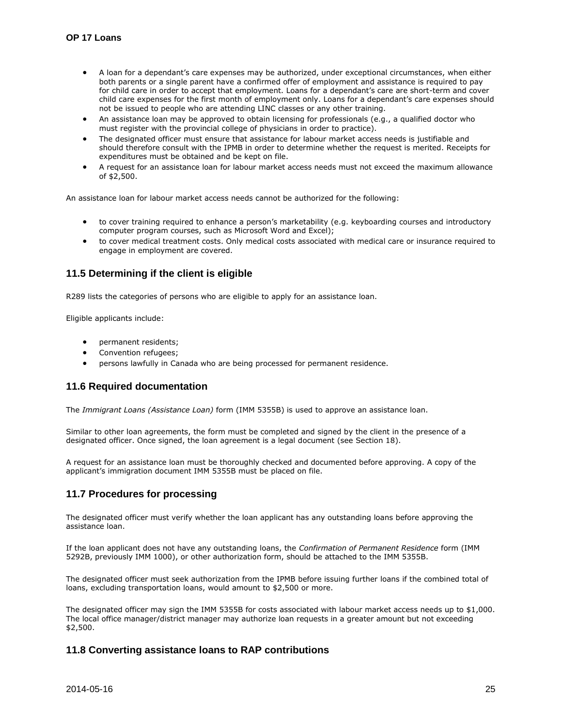- A loan for a dependant's care expenses may be authorized, under exceptional circumstances, when either both parents or a single parent have a confirmed offer of employment and assistance is required to pay for child care in order to accept that employment. Loans for a dependant's care are short-term and cover child care expenses for the first month of employment only. Loans for a dependant's care expenses should not be issued to people who are attending LINC classes or any other training.
- An assistance loan may be approved to obtain licensing for professionals (e.g., a qualified doctor who must register with the provincial college of physicians in order to practice).
- The designated officer must ensure that assistance for labour market access needs is justifiable and should therefore consult with the IPMB in order to determine whether the request is merited. Receipts for expenditures must be obtained and be kept on file.
- A request for an assistance loan for labour market access needs must not exceed the maximum allowance of \$2,500.

An assistance loan for labour market access needs cannot be authorized for the following:

- to cover training required to enhance a person's marketability (e.g. keyboarding courses and introductory computer program courses, such as Microsoft Word and Excel);
- to cover medical treatment costs. Only medical costs associated with medical care or insurance required to engage in employment are covered.

# <span id="page-24-0"></span>**11.5 Determining if the client is eligible**

R289 lists the categories of persons who are eligible to apply for an assistance loan.

Eligible applicants include:

- permanent residents;
- Convention refugees;
- persons lawfully in Canada who are being processed for permanent residence.

# <span id="page-24-1"></span>**11.6 Required documentation**

The *Immigrant Loans (Assistance Loan)* form (IMM 5355B) is used to approve an assistance loan.

Similar to other loan agreements, the form must be completed and signed by the client in the presence of a designated officer. Once signed, the loan agreement is a legal document (see Section 18).

A request for an assistance loan must be thoroughly checked and documented before approving. A copy of the applicant's immigration document IMM 5355B must be placed on file.

# <span id="page-24-2"></span>**11.7 Procedures for processing**

The designated officer must verify whether the loan applicant has any outstanding loans before approving the assistance loan.

If the loan applicant does not have any outstanding loans, the *Confirmation of Permanent Residence* form (IMM 5292B, previously IMM 1000), or other authorization form, should be attached to the IMM 5355B.

The designated officer must seek authorization from the IPMB before issuing further loans if the combined total of loans, excluding transportation loans, would amount to \$2,500 or more.

The designated officer may sign the IMM 5355B for costs associated with labour market access needs up to \$1,000. The local office manager/district manager may authorize loan requests in a greater amount but not exceeding \$2,500.

# <span id="page-24-3"></span>**11.8 Converting assistance loans to RAP contributions**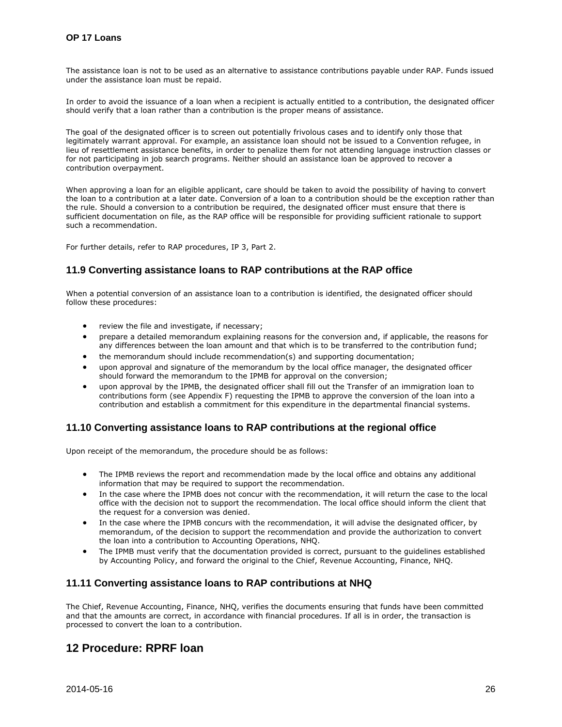The assistance loan is not to be used as an alternative to assistance contributions payable under RAP. Funds issued under the assistance loan must be repaid.

In order to avoid the issuance of a loan when a recipient is actually entitled to a contribution, the designated officer should verify that a loan rather than a contribution is the proper means of assistance.

The goal of the designated officer is to screen out potentially frivolous cases and to identify only those that legitimately warrant approval. For example, an assistance loan should not be issued to a Convention refugee, in lieu of resettlement assistance benefits, in order to penalize them for not attending language instruction classes or for not participating in job search programs. Neither should an assistance loan be approved to recover a contribution overpayment.

When approving a loan for an eligible applicant, care should be taken to avoid the possibility of having to convert the loan to a contribution at a later date. Conversion of a loan to a contribution should be the exception rather than the rule. Should a conversion to a contribution be required, the designated officer must ensure that there is sufficient documentation on file, as the RAP office will be responsible for providing sufficient rationale to support such a recommendation.

For further details, refer to RAP procedures, IP 3, Part 2.

#### <span id="page-25-0"></span>**11.9 Converting assistance loans to RAP contributions at the RAP office**

When a potential conversion of an assistance loan to a contribution is identified, the designated officer should follow these procedures:

- review the file and investigate, if necessary;
- prepare a detailed memorandum explaining reasons for the conversion and, if applicable, the reasons for any differences between the loan amount and that which is to be transferred to the contribution fund;
- the memorandum should include recommendation(s) and supporting documentation;
- upon approval and signature of the memorandum by the local office manager, the designated officer should forward the memorandum to the IPMB for approval on the conversion;
- upon approval by the IPMB, the designated officer shall fill out the Transfer of an immigration loan to contributions form (see Appendix F) requesting the IPMB to approve the conversion of the loan into a contribution and establish a commitment for this expenditure in the departmental financial systems.

#### <span id="page-25-1"></span>**11.10 Converting assistance loans to RAP contributions at the regional office**

Upon receipt of the memorandum, the procedure should be as follows:

- The IPMB reviews the report and recommendation made by the local office and obtains any additional information that may be required to support the recommendation.
- In the case where the IPMB does not concur with the recommendation, it will return the case to the local office with the decision not to support the recommendation. The local office should inform the client that the request for a conversion was denied.
- In the case where the IPMB concurs with the recommendation, it will advise the designated officer, by memorandum, of the decision to support the recommendation and provide the authorization to convert the loan into a contribution to Accounting Operations, NHQ.
- The IPMB must verify that the documentation provided is correct, pursuant to the guidelines established by Accounting Policy, and forward the original to the Chief, Revenue Accounting, Finance, NHQ.

#### <span id="page-25-2"></span>**11.11 Converting assistance loans to RAP contributions at NHQ**

The Chief, Revenue Accounting, Finance, NHQ, verifies the documents ensuring that funds have been committed and that the amounts are correct, in accordance with financial procedures. If all is in order, the transaction is processed to convert the loan to a contribution.

# <span id="page-25-3"></span>**12 Procedure: RPRF loan**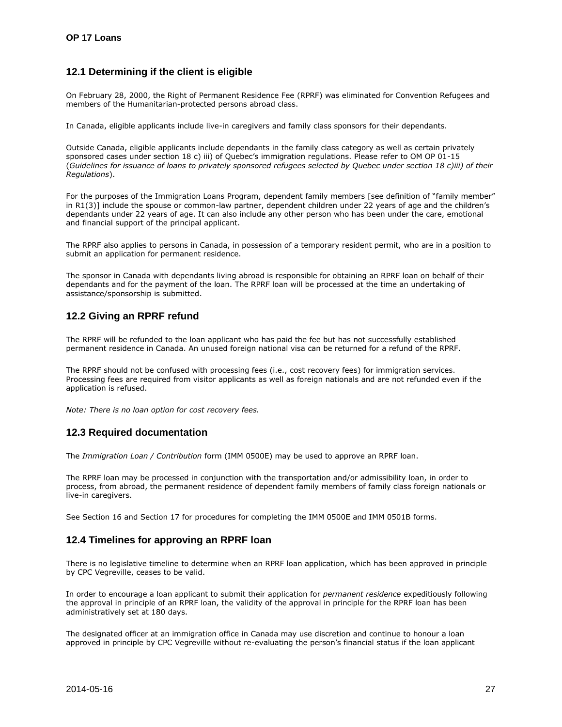# <span id="page-26-0"></span>**12.1 Determining if the client is eligible**

On February 28, 2000, the Right of Permanent Residence Fee (RPRF) was eliminated for Convention Refugees and members of the Humanitarian-protected persons abroad class.

In Canada, eligible applicants include live-in caregivers and family class sponsors for their dependants.

Outside Canada, eligible applicants include dependants in the family class category as well as certain privately sponsored cases under section 18 c) iii) of Quebec's immigration regulations. Please refer to OM OP 01-15 (*Guidelines for issuance of loans to privately sponsored refugees selected by Quebec under section 18 c)iii) of their Regulations*).

For the purposes of the Immigration Loans Program, dependent family members [see definition of "family member" in R1(3)] include the spouse or common-law partner, dependent children under 22 years of age and the children's dependants under 22 years of age. It can also include any other person who has been under the care, emotional and financial support of the principal applicant.

The RPRF also applies to persons in Canada, in possession of a temporary resident permit, who are in a position to submit an application for permanent residence.

The sponsor in Canada with dependants living abroad is responsible for obtaining an RPRF loan on behalf of their dependants and for the payment of the loan. The RPRF loan will be processed at the time an undertaking of assistance/sponsorship is submitted.

# <span id="page-26-1"></span>**12.2 Giving an RPRF refund**

The RPRF will be refunded to the loan applicant who has paid the fee but has not successfully established permanent residence in Canada. An unused foreign national visa can be returned for a refund of the RPRF.

The RPRF should not be confused with processing fees (i.e., cost recovery fees) for immigration services. Processing fees are required from visitor applicants as well as foreign nationals and are not refunded even if the application is refused.

*Note: There is no loan option for cost recovery fees.* 

# <span id="page-26-2"></span>**12.3 Required documentation**

The *Immigration Loan / Contribution* form (IMM 0500E) may be used to approve an RPRF loan.

The RPRF loan may be processed in conjunction with the transportation and/or admissibility loan, in order to process, from abroad, the permanent residence of dependent family members of family class foreign nationals or live-in caregivers.

See Section 16 and Section 17 for procedures for completing the IMM 0500E and IMM 0501B forms.

# <span id="page-26-3"></span>**12.4 Timelines for approving an RPRF loan**

There is no legislative timeline to determine when an RPRF loan application, which has been approved in principle by CPC Vegreville, ceases to be valid.

In order to encourage a loan applicant to submit their application for *permanent residence* expeditiously following the approval in principle of an RPRF loan, the validity of the approval in principle for the RPRF loan has been administratively set at 180 days.

The designated officer at an immigration office in Canada may use discretion and continue to honour a loan approved in principle by CPC Vegreville without re-evaluating the person's financial status if the loan applicant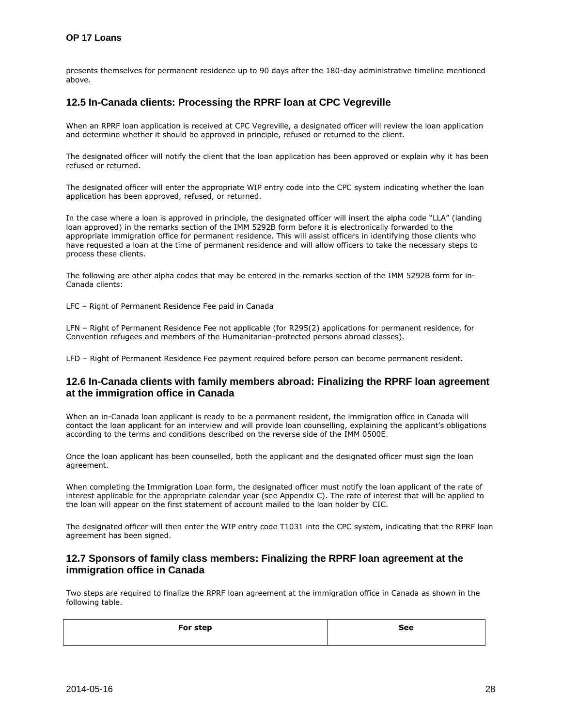#### **OP 17 Loans**

presents themselves for permanent residence up to 90 days after the 180-day administrative timeline mentioned above.

#### <span id="page-27-0"></span>**12.5 In-Canada clients: Processing the RPRF loan at CPC Vegreville**

When an RPRF loan application is received at CPC Vegreville, a designated officer will review the loan application and determine whether it should be approved in principle, refused or returned to the client.

The designated officer will notify the client that the loan application has been approved or explain why it has been refused or returned.

The designated officer will enter the appropriate WIP entry code into the CPC system indicating whether the loan application has been approved, refused, or returned.

In the case where a loan is approved in principle, the designated officer will insert the alpha code "LLA" (landing loan approved) in the remarks section of the IMM 5292B form before it is electronically forwarded to the appropriate immigration office for permanent residence. This will assist officers in identifying those clients who have requested a loan at the time of permanent residence and will allow officers to take the necessary steps to process these clients.

The following are other alpha codes that may be entered in the remarks section of the IMM 5292B form for in-Canada clients:

LFC – Right of Permanent Residence Fee paid in Canada

LFN – Right of Permanent Residence Fee not applicable (for R295(2) applications for permanent residence, for Convention refugees and members of the Humanitarian-protected persons abroad classes).

LFD – Right of Permanent Residence Fee payment required before person can become permanent resident.

#### <span id="page-27-1"></span>**12.6 In-Canada clients with family members abroad: Finalizing the RPRF loan agreement at the immigration office in Canada**

When an in-Canada loan applicant is ready to be a permanent resident, the immigration office in Canada will contact the loan applicant for an interview and will provide loan counselling, explaining the applicant's obligations according to the terms and conditions described on the reverse side of the IMM 0500E.

Once the loan applicant has been counselled, both the applicant and the designated officer must sign the loan agreement.

When completing the Immigration Loan form, the designated officer must notify the loan applicant of the rate of interest applicable for the appropriate calendar year (see Appendix C). The rate of interest that will be applied to the loan will appear on the first statement of account mailed to the loan holder by CIC.

The designated officer will then enter the WIP entry code T1031 into the CPC system, indicating that the RPRF loan agreement has been signed.

#### <span id="page-27-2"></span>**12.7 Sponsors of family class members: Finalizing the RPRF loan agreement at the immigration office in Canada**

Two steps are required to finalize the RPRF loan agreement at the immigration office in Canada as shown in the following table.

| For step | <b>See</b> |
|----------|------------|
|          |            |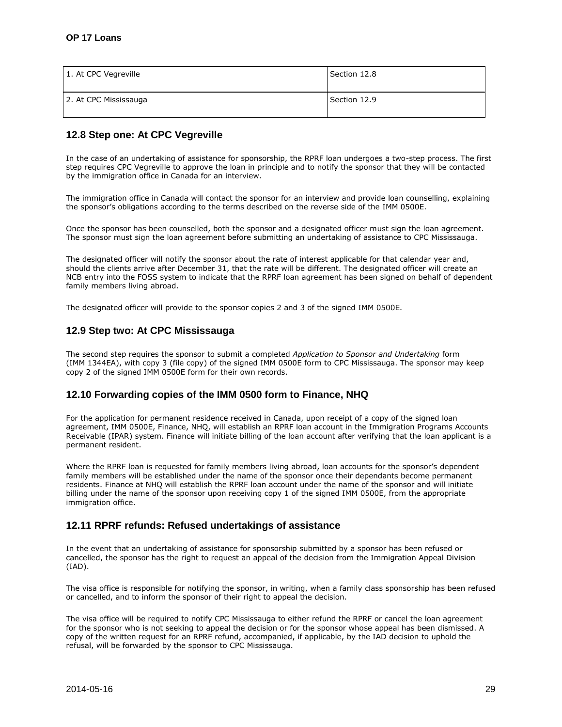| 1. At CPC Vegreville  | Section 12.8 |
|-----------------------|--------------|
| 2. At CPC Mississauga | Section 12.9 |

# <span id="page-28-0"></span>**12.8 Step one: At CPC Vegreville**

In the case of an undertaking of assistance for sponsorship, the RPRF loan undergoes a two-step process. The first step requires CPC Vegreville to approve the loan in principle and to notify the sponsor that they will be contacted by the immigration office in Canada for an interview.

The immigration office in Canada will contact the sponsor for an interview and provide loan counselling, explaining the sponsor's obligations according to the terms described on the reverse side of the IMM 0500E.

Once the sponsor has been counselled, both the sponsor and a designated officer must sign the loan agreement. The sponsor must sign the loan agreement before submitting an undertaking of assistance to CPC Mississauga.

The designated officer will notify the sponsor about the rate of interest applicable for that calendar year and, should the clients arrive after December 31, that the rate will be different. The designated officer will create an NCB entry into the FOSS system to indicate that the RPRF loan agreement has been signed on behalf of dependent family members living abroad.

The designated officer will provide to the sponsor copies 2 and 3 of the signed IMM 0500E.

#### <span id="page-28-1"></span>**12.9 Step two: At CPC Mississauga**

The second step requires the sponsor to submit a completed *Application to Sponsor and Undertaking* form (IMM 1344EA), with copy 3 (file copy) of the signed IMM 0500E form to CPC Mississauga. The sponsor may keep copy 2 of the signed IMM 0500E form for their own records.

#### <span id="page-28-2"></span>**12.10 Forwarding copies of the IMM 0500 form to Finance, NHQ**

For the application for permanent residence received in Canada, upon receipt of a copy of the signed loan agreement, IMM 0500E, Finance, NHQ, will establish an RPRF loan account in the Immigration Programs Accounts Receivable (IPAR) system. Finance will initiate billing of the loan account after verifying that the loan applicant is a permanent resident.

Where the RPRF loan is requested for family members living abroad, loan accounts for the sponsor's dependent family members will be established under the name of the sponsor once their dependants become permanent residents. Finance at NHQ will establish the RPRF loan account under the name of the sponsor and will initiate billing under the name of the sponsor upon receiving copy 1 of the signed IMM 0500E, from the appropriate immigration office.

# <span id="page-28-3"></span>**12.11 RPRF refunds: Refused undertakings of assistance**

In the event that an undertaking of assistance for sponsorship submitted by a sponsor has been refused or cancelled, the sponsor has the right to request an appeal of the decision from the Immigration Appeal Division (IAD).

The visa office is responsible for notifying the sponsor, in writing, when a family class sponsorship has been refused or cancelled, and to inform the sponsor of their right to appeal the decision.

The visa office will be required to notify CPC Mississauga to either refund the RPRF or cancel the loan agreement for the sponsor who is not seeking to appeal the decision or for the sponsor whose appeal has been dismissed. A copy of the written request for an RPRF refund, accompanied, if applicable, by the IAD decision to uphold the refusal, will be forwarded by the sponsor to CPC Mississauga.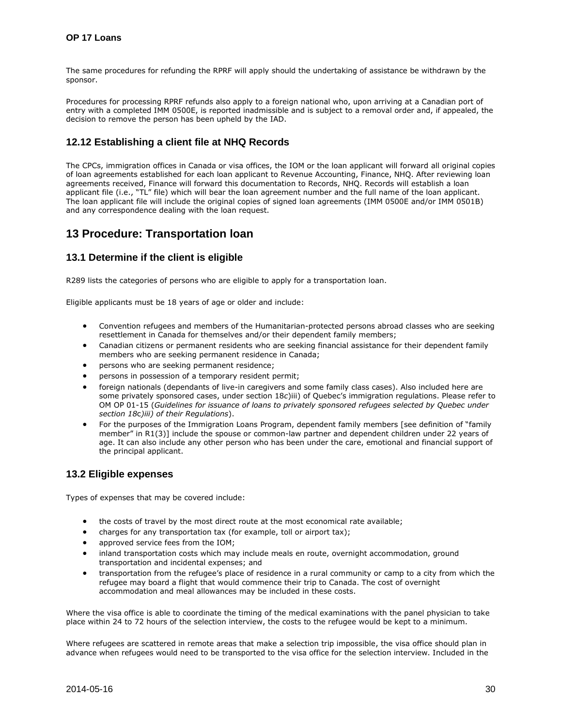The same procedures for refunding the RPRF will apply should the undertaking of assistance be withdrawn by the sponsor.

Procedures for processing RPRF refunds also apply to a foreign national who, upon arriving at a Canadian port of entry with a completed IMM 0500E, is reported inadmissible and is subject to a removal order and, if appealed, the decision to remove the person has been upheld by the IAD.

# <span id="page-29-0"></span>**12.12 Establishing a client file at NHQ Records**

The CPCs, immigration offices in Canada or visa offices, the IOM or the loan applicant will forward all original copies of loan agreements established for each loan applicant to Revenue Accounting, Finance, NHQ. After reviewing loan agreements received, Finance will forward this documentation to Records, NHQ. Records will establish a loan applicant file (i.e., "TL" file) which will bear the loan agreement number and the full name of the loan applicant. The loan applicant file will include the original copies of signed loan agreements (IMM 0500E and/or IMM 0501B) and any correspondence dealing with the loan request.

# <span id="page-29-1"></span>**13 Procedure: Transportation loan**

#### <span id="page-29-2"></span>**13.1 Determine if the client is eligible**

R289 lists the categories of persons who are eligible to apply for a transportation loan.

Eligible applicants must be 18 years of age or older and include:

- Convention refugees and members of the Humanitarian-protected persons abroad classes who are seeking resettlement in Canada for themselves and/or their dependent family members;
- Canadian citizens or permanent residents who are seeking financial assistance for their dependent family members who are seeking permanent residence in Canada;
- persons who are seeking permanent residence;
- persons in possession of a temporary resident permit;
- foreign nationals (dependants of live-in caregivers and some family class cases). Also included here are some privately sponsored cases, under section 18*c*)iii) of Quebec's immigration regulations. Please refer to OM OP 01-15 (*Guidelines for issuance of loans to privately sponsored refugees selected by Quebec under section 18*c*)iii) of their Regulations*).
- For the purposes of the Immigration Loans Program, dependent family members [see definition of "family member" in R1(3)] include the spouse or common-law partner and dependent children under 22 years of age. It can also include any other person who has been under the care, emotional and financial support of the principal applicant.

#### <span id="page-29-3"></span>**13.2 Eligible expenses**

Types of expenses that may be covered include:

- the costs of travel by the most direct route at the most economical rate available;
- charges for any transportation tax (for example, toll or airport tax);
- approved service fees from the IOM;
- inland transportation costs which may include meals en route, overnight accommodation, ground transportation and incidental expenses; and
- transportation from the refugee's place of residence in a rural community or camp to a city from which the refugee may board a flight that would commence their trip to Canada. The cost of overnight accommodation and meal allowances may be included in these costs.

Where the visa office is able to coordinate the timing of the medical examinations with the panel physician to take place within 24 to 72 hours of the selection interview, the costs to the refugee would be kept to a minimum.

Where refugees are scattered in remote areas that make a selection trip impossible, the visa office should plan in advance when refugees would need to be transported to the visa office for the selection interview. Included in the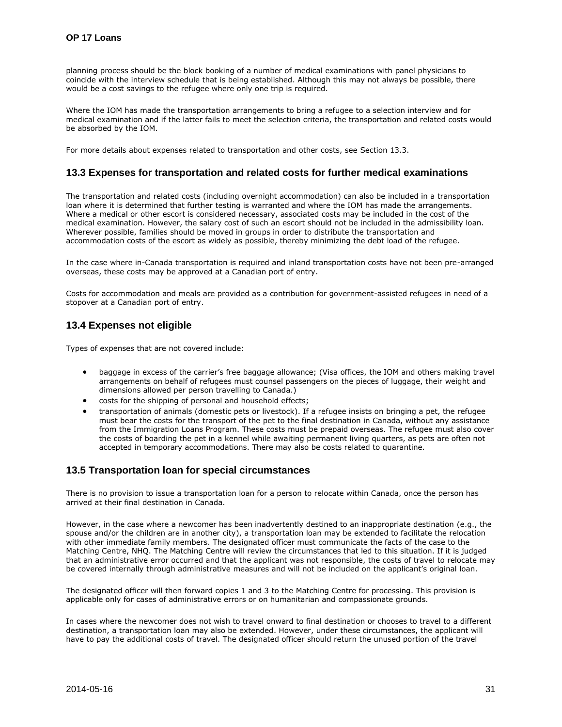planning process should be the block booking of a number of medical examinations with panel physicians to coincide with the interview schedule that is being established. Although this may not always be possible, there would be a cost savings to the refugee where only one trip is required.

Where the IOM has made the transportation arrangements to bring a refugee to a selection interview and for medical examination and if the latter fails to meet the selection criteria, the transportation and related costs would be absorbed by the IOM.

For more details about expenses related to transportation and other costs, see Section 13.3.

#### <span id="page-30-0"></span>**13.3 Expenses for transportation and related costs for further medical examinations**

The transportation and related costs (including overnight accommodation) can also be included in a transportation loan where it is determined that further testing is warranted and where the IOM has made the arrangements. Where a medical or other escort is considered necessary, associated costs may be included in the cost of the medical examination. However, the salary cost of such an escort should not be included in the admissibility loan. Wherever possible, families should be moved in groups in order to distribute the transportation and accommodation costs of the escort as widely as possible, thereby minimizing the debt load of the refugee.

In the case where in-Canada transportation is required and inland transportation costs have not been pre-arranged overseas, these costs may be approved at a Canadian port of entry.

Costs for accommodation and meals are provided as a contribution for government-assisted refugees in need of a stopover at a Canadian port of entry.

# <span id="page-30-1"></span>**13.4 Expenses not eligible**

Types of expenses that are not covered include:

- baggage in excess of the carrier's free baggage allowance; (Visa offices, the IOM and others making travel arrangements on behalf of refugees must counsel passengers on the pieces of luggage, their weight and dimensions allowed per person travelling to Canada.)
- costs for the shipping of personal and household effects;
- transportation of animals (domestic pets or livestock). If a refugee insists on bringing a pet, the refugee must bear the costs for the transport of the pet to the final destination in Canada, without any assistance from the Immigration Loans Program. These costs must be prepaid overseas. The refugee must also cover the costs of boarding the pet in a kennel while awaiting permanent living quarters, as pets are often not accepted in temporary accommodations. There may also be costs related to quarantine*.*

#### <span id="page-30-2"></span>**13.5 Transportation loan for special circumstances**

There is no provision to issue a transportation loan for a person to relocate within Canada, once the person has arrived at their final destination in Canada.

However, in the case where a newcomer has been inadvertently destined to an inappropriate destination (e.g., the spouse and/or the children are in another city), a transportation loan may be extended to facilitate the relocation with other immediate family members. The designated officer must communicate the facts of the case to the Matching Centre, NHQ. The Matching Centre will review the circumstances that led to this situation. If it is judged that an administrative error occurred and that the applicant was not responsible, the costs of travel to relocate may be covered internally through administrative measures and will not be included on the applicant's original loan.

The designated officer will then forward copies 1 and 3 to the Matching Centre for processing. This provision is applicable only for cases of administrative errors or on humanitarian and compassionate grounds.

In cases where the newcomer does not wish to travel onward to final destination or chooses to travel to a different destination, a transportation loan may also be extended. However, under these circumstances, the applicant will have to pay the additional costs of travel. The designated officer should return the unused portion of the travel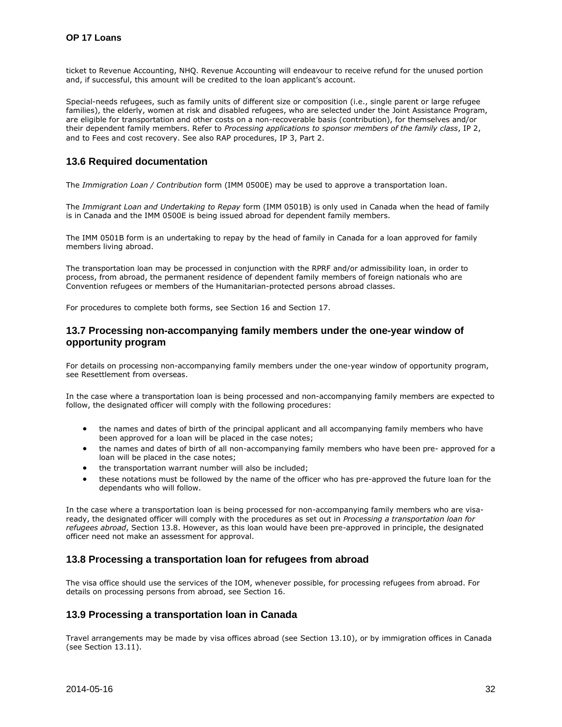ticket to Revenue Accounting, NHQ. Revenue Accounting will endeavour to receive refund for the unused portion and, if successful, this amount will be credited to the loan applicant's account.

Special-needs refugees, such as family units of different size or composition (i.e., single parent or large refugee families), the elderly, women at risk and disabled refugees, who are selected under the Joint Assistance Program, are eligible for transportation and other costs on a non-recoverable basis (contribution), for themselves and/or their dependent family members. Refer to *Processing applications to sponsor members of the family class*, IP 2, and to Fees and cost recovery. See also RAP procedures, IP 3, Part 2.

# <span id="page-31-0"></span>**13.6 Required documentation**

The *Immigration Loan / Contribution* form (IMM 0500E) may be used to approve a transportation loan.

The *Immigrant Loan and Undertaking to Repay* form (IMM 0501B) is only used in Canada when the head of family is in Canada and the IMM 0500E is being issued abroad for dependent family members.

The IMM 0501B form is an undertaking to repay by the head of family in Canada for a loan approved for family members living abroad.

The transportation loan may be processed in conjunction with the RPRF and/or admissibility loan, in order to process, from abroad, the permanent residence of dependent family members of foreign nationals who are Convention refugees or members of the Humanitarian-protected persons abroad classes.

For procedures to complete both forms, see Section 16 and Section 17.

#### <span id="page-31-1"></span>**13.7 Processing non-accompanying family members under the one-year window of opportunity program**

For details on processing non-accompanying family members under the one-year window of opportunity program, see Resettlement from overseas.

In the case where a transportation loan is being processed and non-accompanying family members are expected to follow, the designated officer will comply with the following procedures:

- the names and dates of birth of the principal applicant and all accompanying family members who have been approved for a loan will be placed in the case notes;
- the names and dates of birth of all non-accompanying family members who have been pre- approved for a loan will be placed in the case notes;
- the transportation warrant number will also be included;
- these notations must be followed by the name of the officer who has pre-approved the future loan for the dependants who will follow.

In the case where a transportation loan is being processed for non-accompanying family members who are visaready, the designated officer will comply with the procedures as set out in *Processing a transportation loan for refugees abroad*, Section 13.8. However, as this loan would have been pre-approved in principle, the designated officer need not make an assessment for approval.

#### <span id="page-31-2"></span>**13.8 Processing a transportation loan for refugees from abroad**

The visa office should use the services of the IOM, whenever possible, for processing refugees from abroad. For details on processing persons from abroad, see Section 16.

#### <span id="page-31-3"></span>**13.9 Processing a transportation loan in Canada**

Travel arrangements may be made by visa offices abroad (see Section 13.10), or by immigration offices in Canada (see Section 13.11).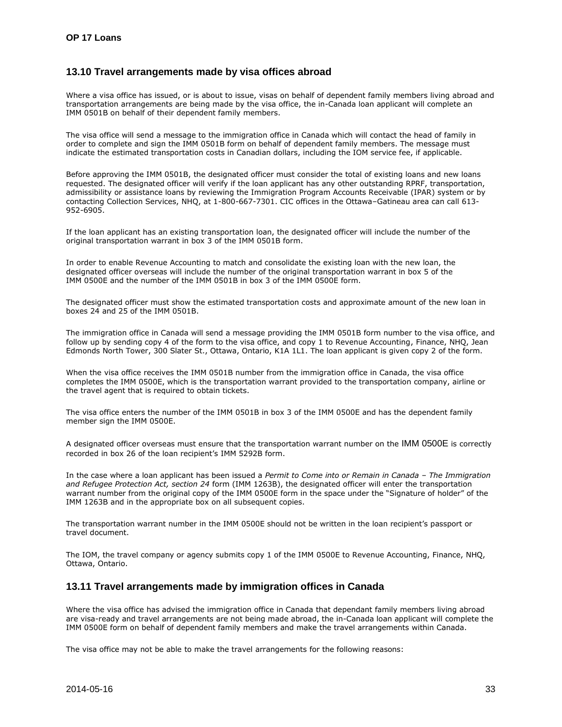# <span id="page-32-0"></span>**13.10 Travel arrangements made by visa offices abroad**

Where a visa office has issued, or is about to issue, visas on behalf of dependent family members living abroad and transportation arrangements are being made by the visa office, the in-Canada loan applicant will complete an IMM 0501B on behalf of their dependent family members.

The visa office will send a message to the immigration office in Canada which will contact the head of family in order to complete and sign the IMM 0501B form on behalf of dependent family members. The message must indicate the estimated transportation costs in Canadian dollars, including the IOM service fee, if applicable.

Before approving the IMM 0501B, the designated officer must consider the total of existing loans and new loans requested. The designated officer will verify if the loan applicant has any other outstanding RPRF, transportation, admissibility or assistance loans by reviewing the Immigration Program Accounts Receivable (IPAR) system or by contacting Collection Services, NHQ, at 1-800-667-7301. CIC offices in the Ottawa–Gatineau area can call 613- 952-6905.

If the loan applicant has an existing transportation loan, the designated officer will include the number of the original transportation warrant in box 3 of the IMM 0501B form.

In order to enable Revenue Accounting to match and consolidate the existing loan with the new loan, the designated officer overseas will include the number of the original transportation warrant in box 5 of the IMM 0500E and the number of the IMM 0501B in box 3 of the IMM 0500E form.

The designated officer must show the estimated transportation costs and approximate amount of the new loan in boxes 24 and 25 of the IMM 0501B.

The immigration office in Canada will send a message providing the IMM 0501B form number to the visa office, and follow up by sending copy 4 of the form to the visa office, and copy 1 to Revenue Accounting, Finance, NHQ, Jean Edmonds North Tower, 300 Slater St., Ottawa, Ontario, K1A 1L1. The loan applicant is given copy 2 of the form.

When the visa office receives the IMM 0501B number from the immigration office in Canada, the visa office completes the IMM 0500E, which is the transportation warrant provided to the transportation company, airline or the travel agent that is required to obtain tickets.

The visa office enters the number of the IMM 0501B in box 3 of the IMM 0500E and has the dependent family member sign the IMM 0500E.

A designated officer overseas must ensure that the transportation warrant number on the IMM 0500E is correctly recorded in box 26 of the loan recipient's IMM 5292B form.

In the case where a loan applicant has been issued a *Permit to Come into or Remain in Canada – The Immigration and Refugee Protection Act, section 24* form (IMM 1263B), the designated officer will enter the transportation warrant number from the original copy of the IMM 0500E form in the space under the "Signature of holder" of the IMM 1263B and in the appropriate box on all subsequent copies.

The transportation warrant number in the IMM 0500E should not be written in the loan recipient's passport or travel document.

The IOM, the travel company or agency submits copy 1 of the IMM 0500E to Revenue Accounting, Finance, NHQ, Ottawa, Ontario.

# <span id="page-32-1"></span>**13.11 Travel arrangements made by immigration offices in Canada**

Where the visa office has advised the immigration office in Canada that dependant family members living abroad are visa-ready and travel arrangements are not being made abroad, the in-Canada loan applicant will complete the IMM 0500E form on behalf of dependent family members and make the travel arrangements within Canada.

The visa office may not be able to make the travel arrangements for the following reasons: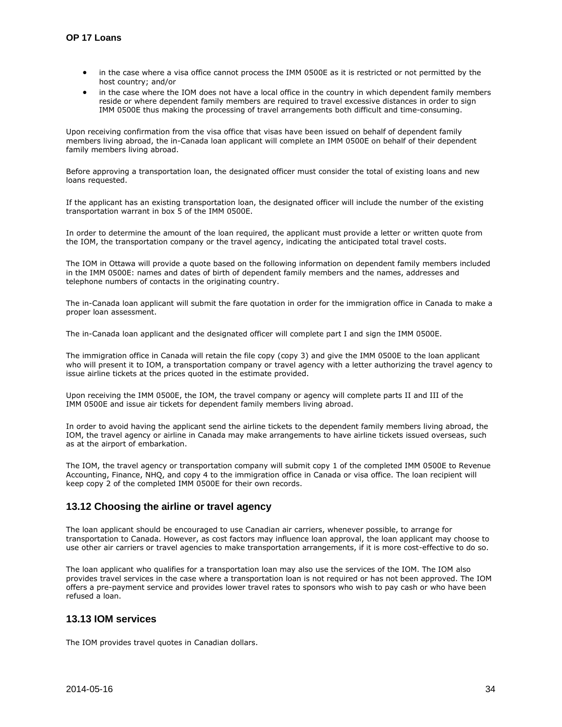- in the case where a visa office cannot process the IMM 0500E as it is restricted or not permitted by the host country; and/or
- in the case where the IOM does not have a local office in the country in which dependent family members reside or where dependent family members are required to travel excessive distances in order to sign IMM 0500E thus making the processing of travel arrangements both difficult and time-consuming.

Upon receiving confirmation from the visa office that visas have been issued on behalf of dependent family members living abroad, the in-Canada loan applicant will complete an IMM 0500E on behalf of their dependent family members living abroad.

Before approving a transportation loan, the designated officer must consider the total of existing loans and new loans requested.

If the applicant has an existing transportation loan, the designated officer will include the number of the existing transportation warrant in box 5 of the IMM 0500E.

In order to determine the amount of the loan required, the applicant must provide a letter or written quote from the IOM, the transportation company or the travel agency, indicating the anticipated total travel costs.

The IOM in Ottawa will provide a quote based on the following information on dependent family members included in the IMM 0500E: names and dates of birth of dependent family members and the names, addresses and telephone numbers of contacts in the originating country.

The in-Canada loan applicant will submit the fare quotation in order for the immigration office in Canada to make a proper loan assessment.

The in-Canada loan applicant and the designated officer will complete part I and sign the IMM 0500E.

The immigration office in Canada will retain the file copy (copy 3) and give the IMM 0500E to the loan applicant who will present it to IOM, a transportation company or travel agency with a letter authorizing the travel agency to issue airline tickets at the prices quoted in the estimate provided.

Upon receiving the IMM 0500E, the IOM, the travel company or agency will complete parts II and III of the IMM 0500E and issue air tickets for dependent family members living abroad.

In order to avoid having the applicant send the airline tickets to the dependent family members living abroad, the IOM, the travel agency or airline in Canada may make arrangements to have airline tickets issued overseas, such as at the airport of embarkation.

The IOM, the travel agency or transportation company will submit copy 1 of the completed IMM 0500E to Revenue Accounting, Finance, NHQ, and copy 4 to the immigration office in Canada or visa office. The loan recipient will keep copy 2 of the completed IMM 0500E for their own records.

# <span id="page-33-0"></span>**13.12 Choosing the airline or travel agency**

The loan applicant should be encouraged to use Canadian air carriers, whenever possible, to arrange for transportation to Canada. However, as cost factors may influence loan approval, the loan applicant may choose to use other air carriers or travel agencies to make transportation arrangements, if it is more cost-effective to do so.

The loan applicant who qualifies for a transportation loan may also use the services of the IOM. The IOM also provides travel services in the case where a transportation loan is not required or has not been approved. The IOM offers a pre-payment service and provides lower travel rates to sponsors who wish to pay cash or who have been refused a loan.

#### <span id="page-33-1"></span>**13.13 IOM services**

The IOM provides travel quotes in Canadian dollars.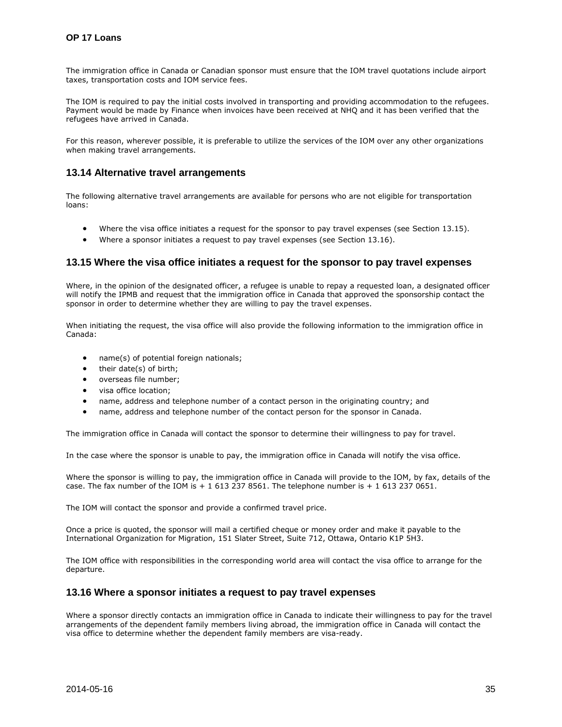The immigration office in Canada or Canadian sponsor must ensure that the IOM travel quotations include airport taxes, transportation costs and IOM service fees.

The IOM is required to pay the initial costs involved in transporting and providing accommodation to the refugees. Payment would be made by Finance when invoices have been received at NHQ and it has been verified that the refugees have arrived in Canada.

For this reason, wherever possible, it is preferable to utilize the services of the IOM over any other organizations when making travel arrangements.

#### <span id="page-34-0"></span>**13.14 Alternative travel arrangements**

The following alternative travel arrangements are available for persons who are not eligible for transportation loans:

- Where the visa office initiates a request for the sponsor to pay travel expenses (see Section 13.15).
- Where a sponsor initiates a request to pay travel expenses (see Section 13.16).

#### <span id="page-34-1"></span>**13.15 Where the visa office initiates a request for the sponsor to pay travel expenses**

Where, in the opinion of the designated officer, a refugee is unable to repay a reguested loan, a designated officer will notify the IPMB and request that the immigration office in Canada that approved the sponsorship contact the sponsor in order to determine whether they are willing to pay the travel expenses.

When initiating the request, the visa office will also provide the following information to the immigration office in Canada:

- name(s) of potential foreign nationals;
- their date(s) of birth;
- overseas file number;
- visa office location;
- name, address and telephone number of a contact person in the originating country; and
- name, address and telephone number of the contact person for the sponsor in Canada.

The immigration office in Canada will contact the sponsor to determine their willingness to pay for travel.

In the case where the sponsor is unable to pay, the immigration office in Canada will notify the visa office.

Where the sponsor is willing to pay, the immigration office in Canada will provide to the IOM, by fax, details of the case. The fax number of the IOM is  $+ 16132378561$ . The telephone number is  $+ 16132370651$ .

The IOM will contact the sponsor and provide a confirmed travel price.

Once a price is quoted, the sponsor will mail a certified cheque or money order and make it payable to the International Organization for Migration, 151 Slater Street, Suite 712, Ottawa, Ontario K1P 5H3.

The IOM office with responsibilities in the corresponding world area will contact the visa office to arrange for the departure.

#### <span id="page-34-2"></span>**13.16 Where a sponsor initiates a request to pay travel expenses**

Where a sponsor directly contacts an immigration office in Canada to indicate their willingness to pay for the travel arrangements of the dependent family members living abroad, the immigration office in Canada will contact the visa office to determine whether the dependent family members are visa-ready.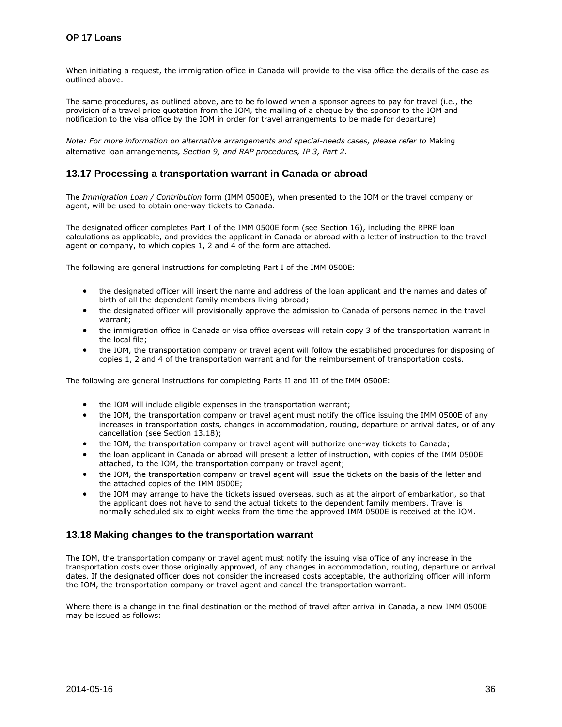When initiating a request, the immigration office in Canada will provide to the visa office the details of the case as outlined above.

The same procedures, as outlined above, are to be followed when a sponsor agrees to pay for travel (i.e., the provision of a travel price quotation from the IOM, the mailing of a cheque by the sponsor to the IOM and notification to the visa office by the IOM in order for travel arrangements to be made for departure).

*Note: For more information on alternative arrangements and special-needs cases, please refer to* Making alternative loan arrangements*, Section 9, and RAP procedures, IP 3, Part 2.* 

# <span id="page-35-0"></span>**13.17 Processing a transportation warrant in Canada or abroad**

The *Immigration Loan / Contribution* form (IMM 0500E), when presented to the IOM or the travel company or agent, will be used to obtain one-way tickets to Canada.

The designated officer completes Part I of the IMM 0500E form (see Section 16), including the RPRF loan calculations as applicable, and provides the applicant in Canada or abroad with a letter of instruction to the travel agent or company, to which copies 1, 2 and 4 of the form are attached.

The following are general instructions for completing Part I of the IMM 0500E:

- the designated officer will insert the name and address of the loan applicant and the names and dates of birth of all the dependent family members living abroad;
- the designated officer will provisionally approve the admission to Canada of persons named in the travel warrant;
- the immigration office in Canada or visa office overseas will retain copy 3 of the transportation warrant in the local file;
- the IOM, the transportation company or travel agent will follow the established procedures for disposing of copies 1, 2 and 4 of the transportation warrant and for the reimbursement of transportation costs.

The following are general instructions for completing Parts II and III of the IMM 0500E:

- the IOM will include eligible expenses in the transportation warrant;
- the IOM, the transportation company or travel agent must notify the office issuing the IMM 0500E of any increases in transportation costs, changes in accommodation, routing, departure or arrival dates, or of any cancellation (see Section 13.18);
- the IOM, the transportation company or travel agent will authorize one-way tickets to Canada;
- the loan applicant in Canada or abroad will present a letter of instruction, with copies of the IMM 0500E attached, to the IOM, the transportation company or travel agent;
- the IOM, the transportation company or travel agent will issue the tickets on the basis of the letter and the attached copies of the IMM 0500E;
- the IOM may arrange to have the tickets issued overseas, such as at the airport of embarkation, so that the applicant does not have to send the actual tickets to the dependent family members. Travel is normally scheduled six to eight weeks from the time the approved IMM 0500E is received at the IOM.

# <span id="page-35-1"></span>**13.18 Making changes to the transportation warrant**

The IOM, the transportation company or travel agent must notify the issuing visa office of any increase in the transportation costs over those originally approved, of any changes in accommodation, routing, departure or arrival dates. If the designated officer does not consider the increased costs acceptable, the authorizing officer will inform the IOM, the transportation company or travel agent and cancel the transportation warrant.

Where there is a change in the final destination or the method of travel after arrival in Canada, a new IMM 0500E may be issued as follows: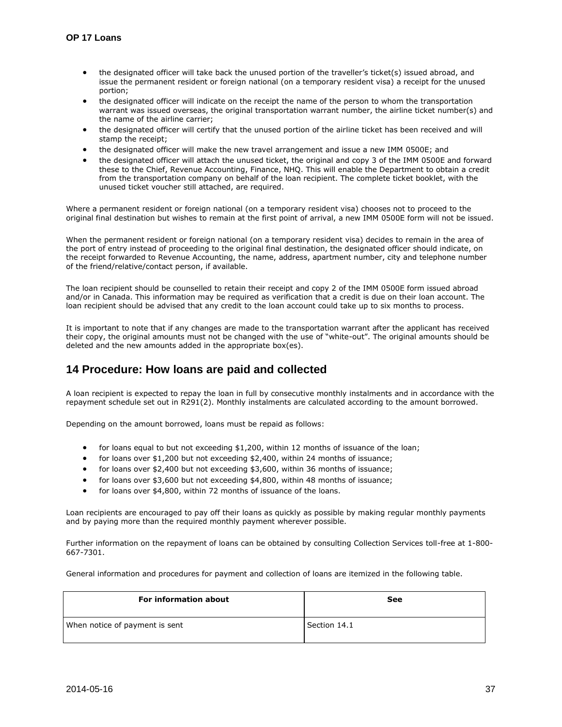- the designated officer will take back the unused portion of the traveller's ticket(s) issued abroad, and issue the permanent resident or foreign national (on a temporary resident visa) a receipt for the unused portion;
- the designated officer will indicate on the receipt the name of the person to whom the transportation warrant was issued overseas, the original transportation warrant number, the airline ticket number(s) and the name of the airline carrier;
- the designated officer will certify that the unused portion of the airline ticket has been received and will stamp the receipt;
- the designated officer will make the new travel arrangement and issue a new IMM 0500E; and
- the designated officer will attach the unused ticket, the original and copy 3 of the IMM 0500E and forward these to the Chief, Revenue Accounting, Finance, NHQ. This will enable the Department to obtain a credit from the transportation company on behalf of the loan recipient. The complete ticket booklet, with the unused ticket voucher still attached, are required.

Where a permanent resident or foreign national (on a temporary resident visa) chooses not to proceed to the original final destination but wishes to remain at the first point of arrival, a new IMM 0500E form will not be issued.

When the permanent resident or foreign national (on a temporary resident visa) decides to remain in the area of the port of entry instead of proceeding to the original final destination, the designated officer should indicate, on the receipt forwarded to Revenue Accounting, the name, address, apartment number, city and telephone number of the friend/relative/contact person, if available.

The loan recipient should be counselled to retain their receipt and copy 2 of the IMM 0500E form issued abroad and/or in Canada. This information may be required as verification that a credit is due on their loan account. The loan recipient should be advised that any credit to the loan account could take up to six months to process.

It is important to note that if any changes are made to the transportation warrant after the applicant has received their copy, the original amounts must not be changed with the use of "white-out". The original amounts should be deleted and the new amounts added in the appropriate box(es).

# <span id="page-36-0"></span>**14 Procedure: How loans are paid and collected**

A loan recipient is expected to repay the loan in full by consecutive monthly instalments and in accordance with the repayment schedule set out in R291(2). Monthly instalments are calculated according to the amount borrowed.

Depending on the amount borrowed, loans must be repaid as follows:

- for loans equal to but not exceeding \$1,200, within 12 months of issuance of the loan;
- for loans over \$1,200 but not exceeding \$2,400, within 24 months of issuance;
- for loans over \$2,400 but not exceeding \$3,600, within 36 months of issuance;
- for loans over \$3,600 but not exceeding \$4,800, within 48 months of issuance;
- for loans over \$4,800, within 72 months of issuance of the loans.

Loan recipients are encouraged to pay off their loans as quickly as possible by making regular monthly payments and by paying more than the required monthly payment wherever possible.

Further information on the repayment of loans can be obtained by consulting Collection Services toll-free at 1-800- 667-7301.

General information and procedures for payment and collection of loans are itemized in the following table.

| <b>For information about</b>   | See          |
|--------------------------------|--------------|
| When notice of payment is sent | Section 14.1 |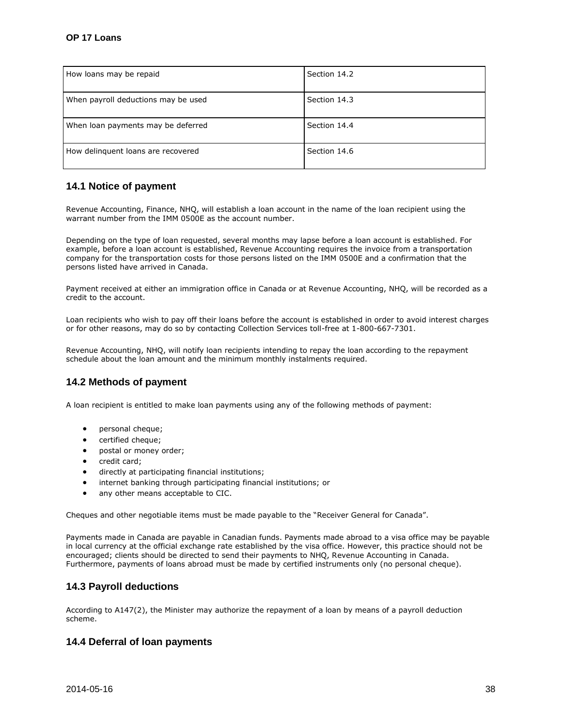| How loans may be repaid             | Section 14.2 |
|-------------------------------------|--------------|
| When payroll deductions may be used | Section 14.3 |
| When loan payments may be deferred  | Section 14.4 |
| How delinguent loans are recovered  | Section 14.6 |

# <span id="page-37-0"></span>**14.1 Notice of payment**

Revenue Accounting, Finance, NHQ, will establish a loan account in the name of the loan recipient using the warrant number from the IMM 0500E as the account number.

Depending on the type of loan requested, several months may lapse before a loan account is established. For example, before a loan account is established, Revenue Accounting requires the invoice from a transportation company for the transportation costs for those persons listed on the IMM 0500E and a confirmation that the persons listed have arrived in Canada.

Payment received at either an immigration office in Canada or at Revenue Accounting, NHQ, will be recorded as a credit to the account.

Loan recipients who wish to pay off their loans before the account is established in order to avoid interest charges or for other reasons, may do so by contacting Collection Services toll-free at 1-800-667-7301.

Revenue Accounting, NHQ, will notify loan recipients intending to repay the loan according to the repayment schedule about the loan amount and the minimum monthly instalments required.

# <span id="page-37-1"></span>**14.2 Methods of payment**

A loan recipient is entitled to make loan payments using any of the following methods of payment:

- personal cheque;
- certified cheque;
- postal or money order;
- credit card:
- directly at participating financial institutions;
- internet banking through participating financial institutions; or
- any other means acceptable to CIC.

Cheques and other negotiable items must be made payable to the "Receiver General for Canada".

Payments made in Canada are payable in Canadian funds. Payments made abroad to a visa office may be payable in local currency at the official exchange rate established by the visa office. However, this practice should not be encouraged; clients should be directed to send their payments to NHQ, Revenue Accounting in Canada. Furthermore, payments of loans abroad must be made by certified instruments only (no personal cheque).

# <span id="page-37-2"></span>**14.3 Payroll deductions**

According to A147(2), the Minister may authorize the repayment of a loan by means of a payroll deduction scheme.

# <span id="page-37-3"></span>**14.4 Deferral of loan payments**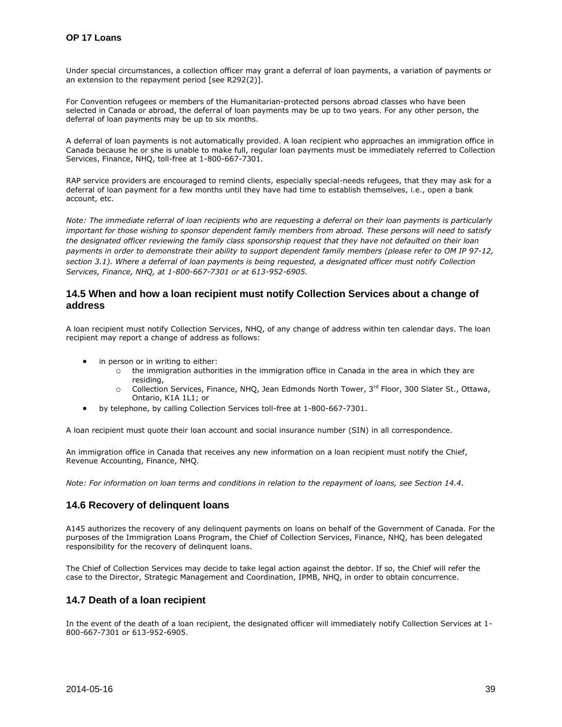Under special circumstances, a collection officer may grant a deferral of loan payments, a variation of payments or an extension to the repayment period [see R292(2)].

For Convention refugees or members of the Humanitarian-protected persons abroad classes who have been selected in Canada or abroad, the deferral of loan payments may be up to two years. For any other person, the deferral of loan payments may be up to six months.

A deferral of loan payments is not automatically provided. A loan recipient who approaches an immigration office in Canada because he or she is unable to make full, regular loan payments must be immediately referred to Collection Services, Finance, NHQ, toll-free at 1-800-667-7301*.*

RAP service providers are encouraged to remind clients, especially special-needs refugees, that they may ask for a deferral of loan payment for a few months until they have had time to establish themselves, i.e., open a bank account, etc.

*Note: The immediate referral of loan recipients who are requesting a deferral on their loan payments is particularly important for those wishing to sponsor dependent family members from abroad. These persons will need to satisfy the designated officer reviewing the family class sponsorship request that they have not defaulted on their loan payments in order to demonstrate their ability to support dependent family members (please refer to OM IP 97-12, section 3.1). Where a deferral of loan payments is being requested, a designated officer must notify Collection Services, Finance, NHQ, at 1-800-667-7301 or at 613-952-6905.*

# <span id="page-38-0"></span>**14.5 When and how a loan recipient must notify Collection Services about a change of address**

A loan recipient must notify Collection Services, NHQ, of any change of address within ten calendar days. The loan recipient may report a change of address as follows:

- in person or in writing to either:
	- $\circ$  the immigration authorities in the immigration office in Canada in the area in which they are residing,
	- o Collection Services, Finance, NHQ, Jean Edmonds North Tower, 3rd Floor, 300 Slater St., Ottawa, Ontario, K1A 1L1; or
- by telephone, by calling Collection Services toll-free at 1-800-667-7301.

A loan recipient must quote their loan account and social insurance number (SIN) in all correspondence.

An immigration office in Canada that receives any new information on a loan recipient must notify the Chief, Revenue Accounting, Finance, NHQ.

*Note: For information on loan terms and conditions in relation to the repayment of loans, see Section 14.4.* 

# <span id="page-38-1"></span>**14.6 Recovery of delinquent loans**

A145 authorizes the recovery of any delinquent payments on loans on behalf of the Government of Canada. For the purposes of the Immigration Loans Program, the Chief of Collection Services, Finance, NHQ, has been delegated responsibility for the recovery of delinquent loans.

The Chief of Collection Services may decide to take legal action against the debtor. If so, the Chief will refer the case to the Director, Strategic Management and Coordination, IPMB, NHQ, in order to obtain concurrence.

# <span id="page-38-2"></span>**14.7 Death of a loan recipient**

In the event of the death of a loan recipient, the designated officer will immediately notify Collection Services at 1- 800-667-7301 or 613-952-6905.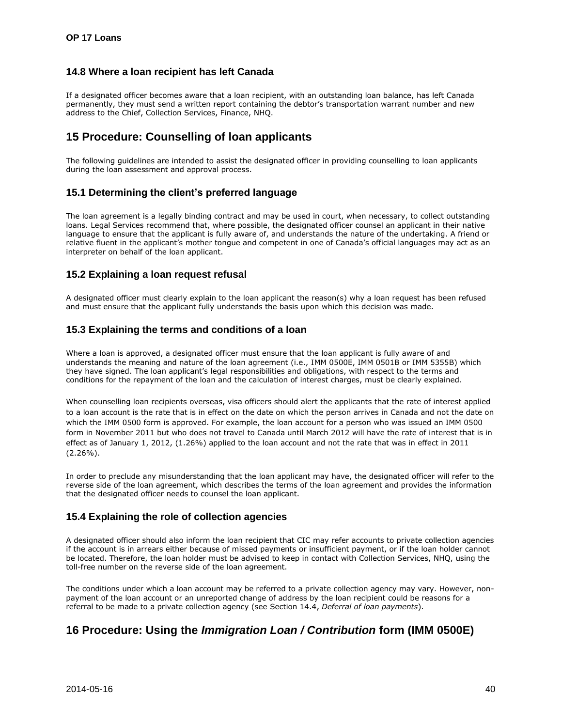# <span id="page-39-0"></span>**14.8 Where a loan recipient has left Canada**

If a designated officer becomes aware that a loan recipient, with an outstanding loan balance, has left Canada permanently, they must send a written report containing the debtor's transportation warrant number and new address to the Chief, Collection Services, Finance, NHQ.

# <span id="page-39-1"></span>**15 Procedure: Counselling of loan applicants**

The following guidelines are intended to assist the designated officer in providing counselling to loan applicants during the loan assessment and approval process.

# <span id="page-39-2"></span>**15.1 Determining the client's preferred language**

The loan agreement is a legally binding contract and may be used in court, when necessary, to collect outstanding loans. Legal Services recommend that, where possible, the designated officer counsel an applicant in their native language to ensure that the applicant is fully aware of, and understands the nature of the undertaking. A friend or relative fluent in the applicant's mother tongue and competent in one of Canada's official languages may act as an interpreter on behalf of the loan applicant.

# <span id="page-39-3"></span>**15.2 Explaining a loan request refusal**

A designated officer must clearly explain to the loan applicant the reason(s) why a loan request has been refused and must ensure that the applicant fully understands the basis upon which this decision was made.

# <span id="page-39-4"></span>**15.3 Explaining the terms and conditions of a loan**

Where a loan is approved, a designated officer must ensure that the loan applicant is fully aware of and understands the meaning and nature of the loan agreement (i.e., IMM 0500E, IMM 0501B or IMM 5355B) which they have signed. The loan applicant's legal responsibilities and obligations, with respect to the terms and conditions for the repayment of the loan and the calculation of interest charges, must be clearly explained.

When counselling loan recipients overseas, visa officers should alert the applicants that the rate of interest applied to a loan account is the rate that is in effect on the date on which the person arrives in Canada and not the date on which the IMM 0500 form is approved. For example, the loan account for a person who was issued an IMM 0500 form in November 2011 but who does not travel to Canada until March 2012 will have the rate of interest that is in effect as of January 1, 2012, (1.26%) applied to the loan account and not the rate that was in effect in 2011  $(2.26\%)$ .

In order to preclude any misunderstanding that the loan applicant may have, the designated officer will refer to the reverse side of the loan agreement, which describes the terms of the loan agreement and provides the information that the designated officer needs to counsel the loan applicant.

# <span id="page-39-5"></span>**15.4 Explaining the role of collection agencies**

A designated officer should also inform the loan recipient that CIC may refer accounts to private collection agencies if the account is in arrears either because of missed payments or insufficient payment, or if the loan holder cannot be located. Therefore, the loan holder must be advised to keep in contact with Collection Services, NHQ, using the toll-free number on the reverse side of the loan agreement.

The conditions under which a loan account may be referred to a private collection agency may vary. However, nonpayment of the loan account or an unreported change of address by the loan recipient could be reasons for a referral to be made to a private collection agency (see Section 14.4, *Deferral of loan payments*).

# <span id="page-39-6"></span>**16 Procedure: Using the** *Immigration Loan / Contribution* **form (IMM 0500E)**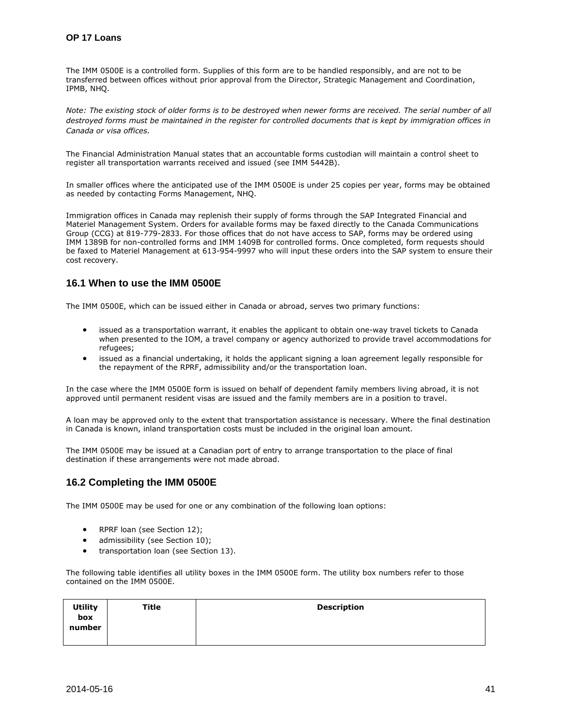The IMM 0500E is a controlled form. Supplies of this form are to be handled responsibly, and are not to be transferred between offices without prior approval from the Director, Strategic Management and Coordination, IPMB, NHQ.

*Note: The existing stock of older forms is to be destroyed when newer forms are received. The serial number of all destroyed forms must be maintained in the register for controlled documents that is kept by immigration offices in Canada or visa offices.* 

The Financial Administration Manual states that an accountable forms custodian will maintain a control sheet to register all transportation warrants received and issued (see IMM 5442B).

In smaller offices where the anticipated use of the IMM 0500E is under 25 copies per year, forms may be obtained as needed by contacting Forms Management, NHQ.

Immigration offices in Canada may replenish their supply of forms through the SAP Integrated Financial and Materiel Management System. Orders for available forms may be faxed directly to the Canada Communications Group (CCG) at 819-779-2833. For those offices that do not have access to SAP, forms may be ordered using IMM 1389B for non-controlled forms and IMM 1409B for controlled forms. Once completed, form requests should be faxed to Materiel Management at 613-954-9997 who will input these orders into the SAP system to ensure their cost recovery.

# <span id="page-40-0"></span>**16.1 When to use the IMM 0500E**

The IMM 0500E, which can be issued either in Canada or abroad, serves two primary functions:

- issued as a transportation warrant, it enables the applicant to obtain one-way travel tickets to Canada when presented to the IOM, a travel company or agency authorized to provide travel accommodations for refugees;
- issued as a financial undertaking, it holds the applicant signing a loan agreement legally responsible for the repayment of the RPRF, admissibility and/or the transportation loan.

In the case where the IMM 0500E form is issued on behalf of dependent family members living abroad, it is not approved until permanent resident visas are issued and the family members are in a position to travel.

A loan may be approved only to the extent that transportation assistance is necessary. Where the final destination in Canada is known, inland transportation costs must be included in the original loan amount.

The IMM 0500E may be issued at a Canadian port of entry to arrange transportation to the place of final destination if these arrangements were not made abroad.

# <span id="page-40-1"></span>**16.2 Completing the IMM 0500E**

The IMM 0500E may be used for one or any combination of the following loan options:

- RPRF loan (see Section 12);
- admissibility (see Section 10);
- transportation loan (see Section 13).

The following table identifies all utility boxes in the IMM 0500E form. The utility box numbers refer to those contained on the IMM 0500E.

| <b>Utility</b> | Title | <b>Description</b> |
|----------------|-------|--------------------|
| box            |       |                    |
| number         |       |                    |
|                |       |                    |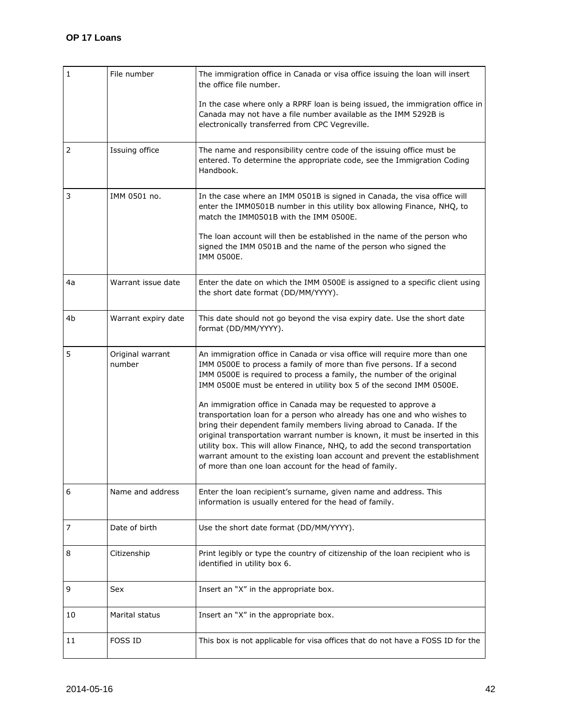| 1              | File number                | The immigration office in Canada or visa office issuing the loan will insert<br>the office file number.                                                                                                                                                                                                                                                                                                                                                                                                              |
|----------------|----------------------------|----------------------------------------------------------------------------------------------------------------------------------------------------------------------------------------------------------------------------------------------------------------------------------------------------------------------------------------------------------------------------------------------------------------------------------------------------------------------------------------------------------------------|
|                |                            | In the case where only a RPRF loan is being issued, the immigration office in<br>Canada may not have a file number available as the IMM 5292B is<br>electronically transferred from CPC Vegreville.                                                                                                                                                                                                                                                                                                                  |
| $\overline{2}$ | Issuing office             | The name and responsibility centre code of the issuing office must be<br>entered. To determine the appropriate code, see the Immigration Coding<br>Handbook.                                                                                                                                                                                                                                                                                                                                                         |
| 3              | IMM 0501 no.               | In the case where an IMM 0501B is signed in Canada, the visa office will<br>enter the IMM0501B number in this utility box allowing Finance, NHQ, to<br>match the IMM0501B with the IMM 0500E.                                                                                                                                                                                                                                                                                                                        |
|                |                            | The loan account will then be established in the name of the person who<br>signed the IMM 0501B and the name of the person who signed the<br>IMM 0500E.                                                                                                                                                                                                                                                                                                                                                              |
| 4a             | Warrant issue date         | Enter the date on which the IMM 0500E is assigned to a specific client using<br>the short date format (DD/MM/YYYY).                                                                                                                                                                                                                                                                                                                                                                                                  |
| 4b             | Warrant expiry date        | This date should not go beyond the visa expiry date. Use the short date<br>format (DD/MM/YYYY).                                                                                                                                                                                                                                                                                                                                                                                                                      |
| 5              | Original warrant<br>number | An immigration office in Canada or visa office will require more than one<br>IMM 0500E to process a family of more than five persons. If a second<br>IMM 0500E is required to process a family, the number of the original<br>IMM 0500E must be entered in utility box 5 of the second IMM 0500E.                                                                                                                                                                                                                    |
|                |                            | An immigration office in Canada may be requested to approve a<br>transportation loan for a person who already has one and who wishes to<br>bring their dependent family members living abroad to Canada. If the<br>original transportation warrant number is known, it must be inserted in this<br>utility box. This will allow Finance, NHQ, to add the second transportation<br>warrant amount to the existing loan account and prevent the establishment<br>of more than one loan account for the head of family. |
| 6              | Name and address           | Enter the loan recipient's surname, given name and address. This<br>information is usually entered for the head of family.                                                                                                                                                                                                                                                                                                                                                                                           |
| 7              | Date of birth              | Use the short date format (DD/MM/YYYY).                                                                                                                                                                                                                                                                                                                                                                                                                                                                              |
| 8              | Citizenship                | Print legibly or type the country of citizenship of the loan recipient who is<br>identified in utility box 6.                                                                                                                                                                                                                                                                                                                                                                                                        |
| 9              | Sex                        | Insert an "X" in the appropriate box.                                                                                                                                                                                                                                                                                                                                                                                                                                                                                |
| 10             | Marital status             | Insert an "X" in the appropriate box.                                                                                                                                                                                                                                                                                                                                                                                                                                                                                |
| 11             | <b>FOSS ID</b>             | This box is not applicable for visa offices that do not have a FOSS ID for the                                                                                                                                                                                                                                                                                                                                                                                                                                       |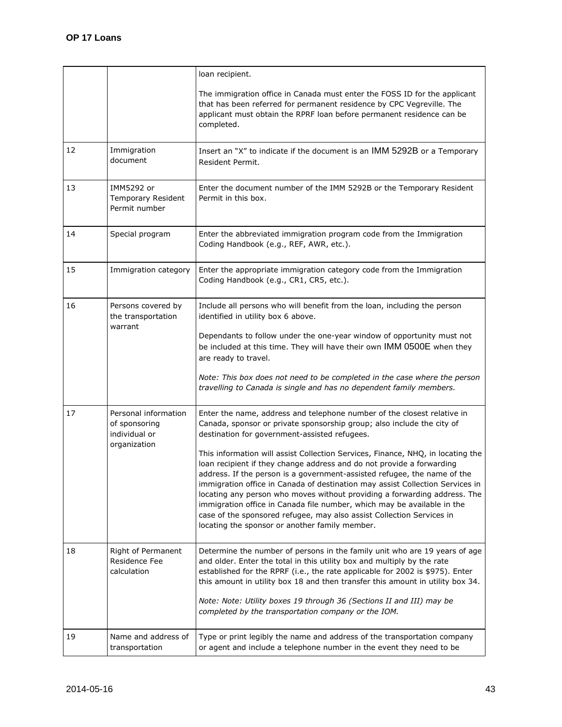|    |                                                                        | loan recipient.                                                                                                                                                                                                                                                                                                                                                                                                                                                                                                                                                                                                                                                                                                                                                                                                |
|----|------------------------------------------------------------------------|----------------------------------------------------------------------------------------------------------------------------------------------------------------------------------------------------------------------------------------------------------------------------------------------------------------------------------------------------------------------------------------------------------------------------------------------------------------------------------------------------------------------------------------------------------------------------------------------------------------------------------------------------------------------------------------------------------------------------------------------------------------------------------------------------------------|
|    |                                                                        | The immigration office in Canada must enter the FOSS ID for the applicant<br>that has been referred for permanent residence by CPC Vegreville. The<br>applicant must obtain the RPRF loan before permanent residence can be<br>completed.                                                                                                                                                                                                                                                                                                                                                                                                                                                                                                                                                                      |
| 12 | Immigration<br>document                                                | Insert an "X" to indicate if the document is an IMM 5292B or a Temporary<br>Resident Permit.                                                                                                                                                                                                                                                                                                                                                                                                                                                                                                                                                                                                                                                                                                                   |
| 13 | IMM5292 or<br>Temporary Resident<br>Permit number                      | Enter the document number of the IMM 5292B or the Temporary Resident<br>Permit in this box.                                                                                                                                                                                                                                                                                                                                                                                                                                                                                                                                                                                                                                                                                                                    |
| 14 | Special program                                                        | Enter the abbreviated immigration program code from the Immigration<br>Coding Handbook (e.g., REF, AWR, etc.).                                                                                                                                                                                                                                                                                                                                                                                                                                                                                                                                                                                                                                                                                                 |
| 15 | Immigration category                                                   | Enter the appropriate immigration category code from the Immigration<br>Coding Handbook (e.g., CR1, CR5, etc.).                                                                                                                                                                                                                                                                                                                                                                                                                                                                                                                                                                                                                                                                                                |
| 16 | Persons covered by<br>the transportation<br>warrant                    | Include all persons who will benefit from the loan, including the person<br>identified in utility box 6 above.<br>Dependants to follow under the one-year window of opportunity must not<br>be included at this time. They will have their own IMM 0500E when they<br>are ready to travel.<br>Note: This box does not need to be completed in the case where the person<br>travelling to Canada is single and has no dependent family members.                                                                                                                                                                                                                                                                                                                                                                 |
| 17 | Personal information<br>of sponsoring<br>individual or<br>organization | Enter the name, address and telephone number of the closest relative in<br>Canada, sponsor or private sponsorship group; also include the city of<br>destination for government-assisted refugees.<br>This information will assist Collection Services, Finance, NHQ, in locating the<br>loan recipient if they change address and do not provide a forwarding<br>address. If the person is a government-assisted refugee, the name of the<br>immigration office in Canada of destination may assist Collection Services in<br>locating any person who moves without providing a forwarding address. The<br>immigration office in Canada file number, which may be available in the<br>case of the sponsored refugee, may also assist Collection Services in<br>locating the sponsor or another family member. |
| 18 | Right of Permanent<br>Residence Fee<br>calculation                     | Determine the number of persons in the family unit who are 19 years of age<br>and older. Enter the total in this utility box and multiply by the rate<br>established for the RPRF (i.e., the rate applicable for 2002 is \$975). Enter<br>this amount in utility box 18 and then transfer this amount in utility box 34.<br>Note: Note: Utility boxes 19 through 36 (Sections II and III) may be<br>completed by the transportation company or the IOM.                                                                                                                                                                                                                                                                                                                                                        |
| 19 | Name and address of<br>transportation                                  | Type or print legibly the name and address of the transportation company<br>or agent and include a telephone number in the event they need to be                                                                                                                                                                                                                                                                                                                                                                                                                                                                                                                                                                                                                                                               |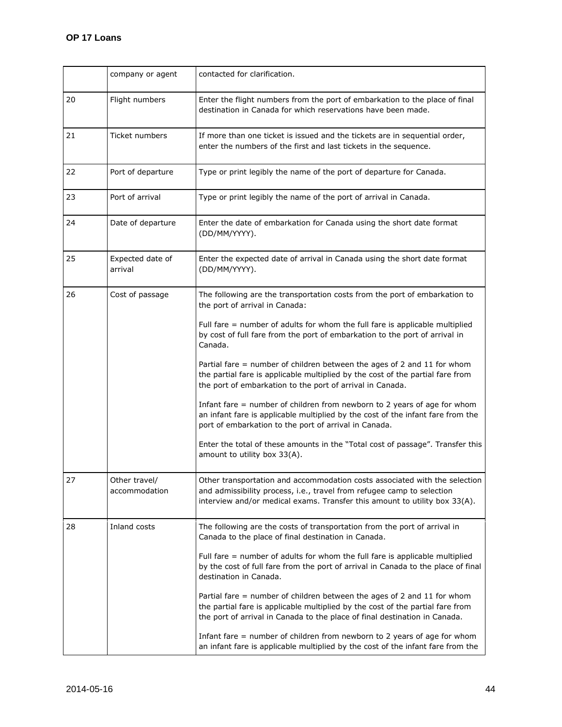|    | company or agent               | contacted for clarification.                                                                                                                                                                                                                                                                                                                                                                                                                                                                                                                                                                                                                                                                                                                                                                                                                                   |
|----|--------------------------------|----------------------------------------------------------------------------------------------------------------------------------------------------------------------------------------------------------------------------------------------------------------------------------------------------------------------------------------------------------------------------------------------------------------------------------------------------------------------------------------------------------------------------------------------------------------------------------------------------------------------------------------------------------------------------------------------------------------------------------------------------------------------------------------------------------------------------------------------------------------|
| 20 | Flight numbers                 | Enter the flight numbers from the port of embarkation to the place of final<br>destination in Canada for which reservations have been made.                                                                                                                                                                                                                                                                                                                                                                                                                                                                                                                                                                                                                                                                                                                    |
| 21 | Ticket numbers                 | If more than one ticket is issued and the tickets are in sequential order,<br>enter the numbers of the first and last tickets in the sequence.                                                                                                                                                                                                                                                                                                                                                                                                                                                                                                                                                                                                                                                                                                                 |
| 22 | Port of departure              | Type or print legibly the name of the port of departure for Canada.                                                                                                                                                                                                                                                                                                                                                                                                                                                                                                                                                                                                                                                                                                                                                                                            |
| 23 | Port of arrival                | Type or print legibly the name of the port of arrival in Canada.                                                                                                                                                                                                                                                                                                                                                                                                                                                                                                                                                                                                                                                                                                                                                                                               |
| 24 | Date of departure              | Enter the date of embarkation for Canada using the short date format<br>(DD/MM/YYYY).                                                                                                                                                                                                                                                                                                                                                                                                                                                                                                                                                                                                                                                                                                                                                                          |
| 25 | Expected date of<br>arrival    | Enter the expected date of arrival in Canada using the short date format<br>(DD/MM/YYYY).                                                                                                                                                                                                                                                                                                                                                                                                                                                                                                                                                                                                                                                                                                                                                                      |
| 26 | Cost of passage                | The following are the transportation costs from the port of embarkation to<br>the port of arrival in Canada:<br>Full fare $=$ number of adults for whom the full fare is applicable multiplied<br>by cost of full fare from the port of embarkation to the port of arrival in<br>Canada.<br>Partial fare = number of children between the ages of 2 and 11 for whom<br>the partial fare is applicable multiplied by the cost of the partial fare from<br>the port of embarkation to the port of arrival in Canada.<br>Infant fare $=$ number of children from newborn to 2 years of age for whom<br>an infant fare is applicable multiplied by the cost of the infant fare from the<br>port of embarkation to the port of arrival in Canada.<br>Enter the total of these amounts in the "Total cost of passage". Transfer this<br>amount to utility box 33(A). |
| 27 | Other travel/<br>accommodation | Other transportation and accommodation costs associated with the selection<br>and admissibility process, i.e., travel from refugee camp to selection<br>interview and/or medical exams. Transfer this amount to utility box 33(A).                                                                                                                                                                                                                                                                                                                                                                                                                                                                                                                                                                                                                             |
| 28 | Inland costs                   | The following are the costs of transportation from the port of arrival in<br>Canada to the place of final destination in Canada.<br>Full fare = number of adults for whom the full fare is applicable multiplied<br>by the cost of full fare from the port of arrival in Canada to the place of final<br>destination in Canada.<br>Partial fare $=$ number of children between the ages of 2 and 11 for whom<br>the partial fare is applicable multiplied by the cost of the partial fare from<br>the port of arrival in Canada to the place of final destination in Canada.<br>Infant fare $=$ number of children from newborn to 2 years of age for whom<br>an infant fare is applicable multiplied by the cost of the infant fare from the                                                                                                                  |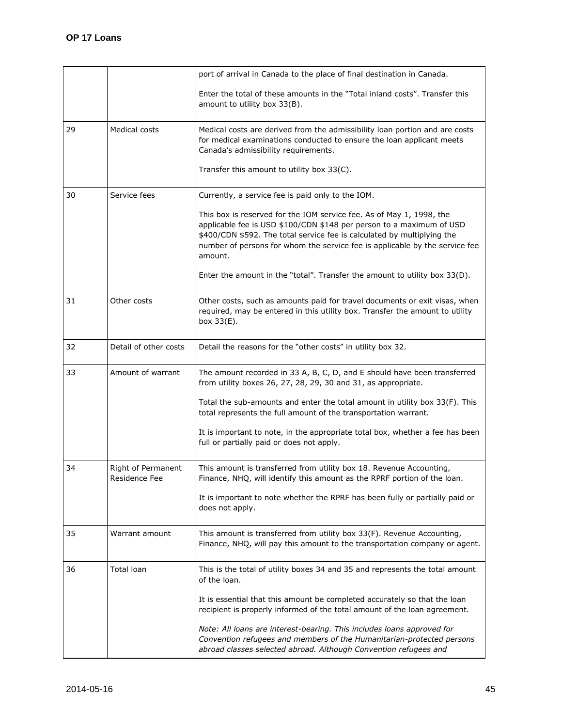|    |                                     | port of arrival in Canada to the place of final destination in Canada.                                                                                                                                                                                                                                            |
|----|-------------------------------------|-------------------------------------------------------------------------------------------------------------------------------------------------------------------------------------------------------------------------------------------------------------------------------------------------------------------|
|    |                                     | Enter the total of these amounts in the "Total inland costs". Transfer this<br>amount to utility box 33(B).                                                                                                                                                                                                       |
| 29 | Medical costs                       | Medical costs are derived from the admissibility loan portion and are costs<br>for medical examinations conducted to ensure the loan applicant meets<br>Canada's admissibility requirements.                                                                                                                      |
|    |                                     | Transfer this amount to utility box 33(C).                                                                                                                                                                                                                                                                        |
| 30 | Service fees                        | Currently, a service fee is paid only to the IOM.                                                                                                                                                                                                                                                                 |
|    |                                     | This box is reserved for the IOM service fee. As of May 1, 1998, the<br>applicable fee is USD \$100/CDN \$148 per person to a maximum of USD<br>\$400/CDN \$592. The total service fee is calculated by multiplying the<br>number of persons for whom the service fee is applicable by the service fee<br>amount. |
|    |                                     | Enter the amount in the "total". Transfer the amount to utility box $33(D)$ .                                                                                                                                                                                                                                     |
| 31 | Other costs                         | Other costs, such as amounts paid for travel documents or exit visas, when<br>required, may be entered in this utility box. Transfer the amount to utility<br>box 33(E).                                                                                                                                          |
| 32 | Detail of other costs               | Detail the reasons for the "other costs" in utility box 32.                                                                                                                                                                                                                                                       |
| 33 | Amount of warrant                   | The amount recorded in 33 A, B, C, D, and E should have been transferred<br>from utility boxes 26, 27, 28, 29, 30 and 31, as appropriate.                                                                                                                                                                         |
|    |                                     | Total the sub-amounts and enter the total amount in utility box 33(F). This<br>total represents the full amount of the transportation warrant.                                                                                                                                                                    |
|    |                                     | It is important to note, in the appropriate total box, whether a fee has been<br>full or partially paid or does not apply.                                                                                                                                                                                        |
| 34 | Right of Permanent<br>Residence Fee | This amount is transferred from utility box 18. Revenue Accounting,<br>Finance, NHQ, will identify this amount as the RPRF portion of the loan.                                                                                                                                                                   |
|    |                                     | It is important to note whether the RPRF has been fully or partially paid or<br>does not apply.                                                                                                                                                                                                                   |
| 35 | Warrant amount                      | This amount is transferred from utility box 33(F). Revenue Accounting,<br>Finance, NHQ, will pay this amount to the transportation company or agent.                                                                                                                                                              |
| 36 | <b>Total loan</b>                   | This is the total of utility boxes 34 and 35 and represents the total amount<br>of the loan.                                                                                                                                                                                                                      |
|    |                                     | It is essential that this amount be completed accurately so that the loan<br>recipient is properly informed of the total amount of the loan agreement.                                                                                                                                                            |
|    |                                     | Note: All loans are interest-bearing. This includes loans approved for<br>Convention refugees and members of the Humanitarian-protected persons<br>abroad classes selected abroad. Although Convention refugees and                                                                                               |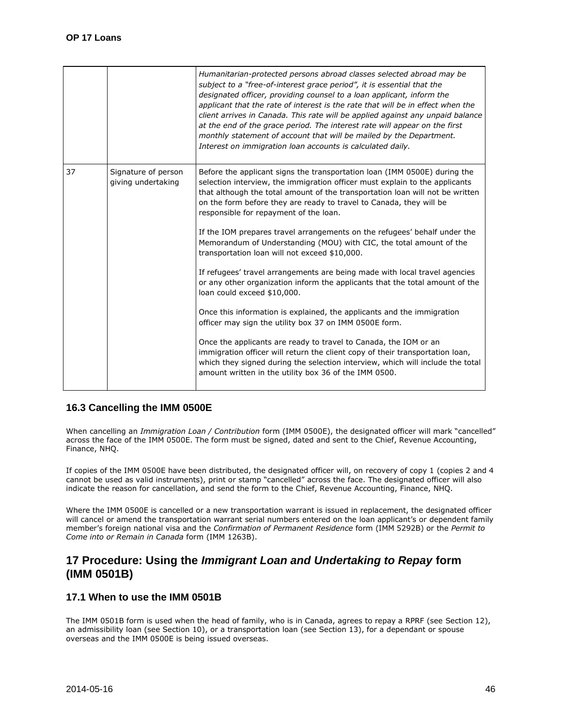|    |                                           | Humanitarian-protected persons abroad classes selected abroad may be<br>subject to a "free-of-interest grace period", it is essential that the<br>designated officer, providing counsel to a loan applicant, inform the<br>applicant that the rate of interest is the rate that will be in effect when the<br>client arrives in Canada. This rate will be applied against any unpaid balance<br>at the end of the grace period. The interest rate will appear on the first<br>monthly statement of account that will be mailed by the Department.<br>Interest on immigration loan accounts is calculated daily. |
|----|-------------------------------------------|-----------------------------------------------------------------------------------------------------------------------------------------------------------------------------------------------------------------------------------------------------------------------------------------------------------------------------------------------------------------------------------------------------------------------------------------------------------------------------------------------------------------------------------------------------------------------------------------------------------------|
| 37 | Signature of person<br>giving undertaking | Before the applicant signs the transportation loan (IMM 0500E) during the<br>selection interview, the immigration officer must explain to the applicants<br>that although the total amount of the transportation loan will not be written<br>on the form before they are ready to travel to Canada, they will be<br>responsible for repayment of the loan.                                                                                                                                                                                                                                                      |
|    |                                           | If the IOM prepares travel arrangements on the refugees' behalf under the<br>Memorandum of Understanding (MOU) with CIC, the total amount of the<br>transportation loan will not exceed \$10,000.                                                                                                                                                                                                                                                                                                                                                                                                               |
|    |                                           | If refugees' travel arrangements are being made with local travel agencies<br>or any other organization inform the applicants that the total amount of the<br>loan could exceed \$10,000.                                                                                                                                                                                                                                                                                                                                                                                                                       |
|    |                                           | Once this information is explained, the applicants and the immigration<br>officer may sign the utility box 37 on IMM 0500E form.                                                                                                                                                                                                                                                                                                                                                                                                                                                                                |
|    |                                           | Once the applicants are ready to travel to Canada, the IOM or an<br>immigration officer will return the client copy of their transportation loan,<br>which they signed during the selection interview, which will include the total<br>amount written in the utility box 36 of the IMM 0500.                                                                                                                                                                                                                                                                                                                    |

# <span id="page-45-0"></span>**16.3 Cancelling the IMM 0500E**

When cancelling an *Immigration Loan / Contribution* form (IMM 0500E), the designated officer will mark "cancelled" across the face of the IMM 0500E. The form must be signed, dated and sent to the Chief, Revenue Accounting, Finance, NHQ.

If copies of the IMM 0500E have been distributed, the designated officer will, on recovery of copy 1 (copies 2 and 4 cannot be used as valid instruments), print or stamp "cancelled" across the face. The designated officer will also indicate the reason for cancellation, and send the form to the Chief, Revenue Accounting, Finance, NHQ.

Where the IMM 0500E is cancelled or a new transportation warrant is issued in replacement, the designated officer will cancel or amend the transportation warrant serial numbers entered on the loan applicant's or dependent family member's foreign national visa and the *Confirmation of Permanent Residence* form (IMM 5292B) or the *Permit to Come into or Remain in Canada* form (IMM 1263B).

# <span id="page-45-1"></span>**17 Procedure: Using the** *Immigrant Loan and Undertaking to Repay* **form (IMM 0501B)**

# <span id="page-45-2"></span>**17.1 When to use the IMM 0501B**

The IMM 0501B form is used when the head of family, who is in Canada, agrees to repay a RPRF (see Section 12), an admissibility loan (see Section 10), or a transportation loan (see Section 13), for a dependant or spouse overseas and the IMM 0500E is being issued overseas.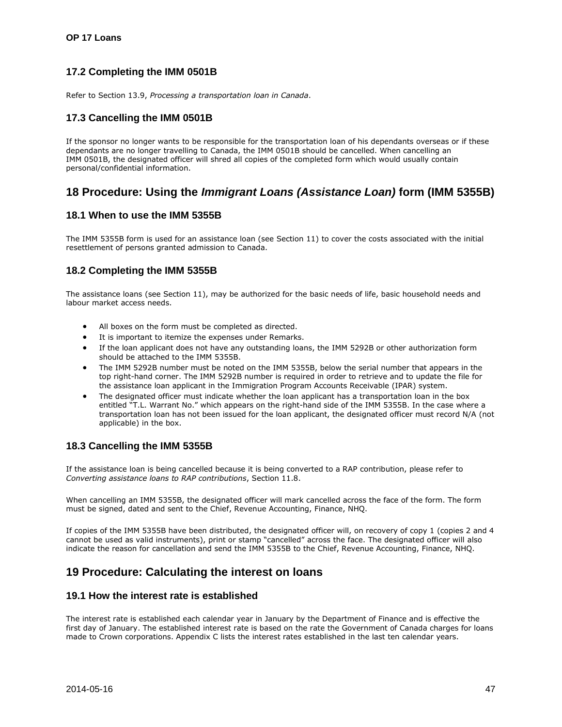# <span id="page-46-0"></span>**17.2 Completing the IMM 0501B**

Refer to Section 13.9, *Processing a transportation loan in Canada*.

# <span id="page-46-1"></span>**17.3 Cancelling the IMM 0501B**

If the sponsor no longer wants to be responsible for the transportation loan of his dependants overseas or if these dependants are no longer travelling to Canada, the IMM 0501B should be cancelled. When cancelling an IMM 0501B, the designated officer will shred all copies of the completed form which would usually contain personal/confidential information.

# <span id="page-46-2"></span>**18 Procedure: Using the** *Immigrant Loans (Assistance Loan)* **form (IMM 5355B)**

#### <span id="page-46-3"></span>**18.1 When to use the IMM 5355B**

The IMM 5355B form is used for an assistance loan (see Section 11) to cover the costs associated with the initial resettlement of persons granted admission to Canada.

# <span id="page-46-4"></span>**18.2 Completing the IMM 5355B**

The assistance loans (see Section 11), may be authorized for the basic needs of life, basic household needs and labour market access needs.

- All boxes on the form must be completed as directed.
- It is important to itemize the expenses under Remarks.
- If the loan applicant does not have any outstanding loans, the IMM 5292B or other authorization form should be attached to the IMM 5355B.
- The IMM 5292B number must be noted on the IMM 5355B, below the serial number that appears in the top right-hand corner. The IMM 5292B number is required in order to retrieve and to update the file for the assistance loan applicant in the Immigration Program Accounts Receivable (IPAR) system.
- The designated officer must indicate whether the loan applicant has a transportation loan in the box entitled "T.L. Warrant No." which appears on the right-hand side of the IMM 5355B. In the case where a transportation loan has not been issued for the loan applicant, the designated officer must record N/A (not applicable) in the box.

# <span id="page-46-5"></span>**18.3 Cancelling the IMM 5355B**

If the assistance loan is being cancelled because it is being converted to a RAP contribution, please refer to *Converting assistance loans to RAP contributions*, Section 11.8.

When cancelling an IMM 5355B, the designated officer will mark cancelled across the face of the form. The form must be signed, dated and sent to the Chief, Revenue Accounting, Finance, NHQ.

If copies of the IMM 5355B have been distributed, the designated officer will, on recovery of copy 1 (copies 2 and 4 cannot be used as valid instruments), print or stamp "cancelled" across the face. The designated officer will also indicate the reason for cancellation and send the IMM 5355B to the Chief, Revenue Accounting, Finance, NHQ.

# <span id="page-46-6"></span>**19 Procedure: Calculating the interest on loans**

#### <span id="page-46-7"></span>**19.1 How the interest rate is established**

The interest rate is established each calendar year in January by the Department of Finance and is effective the first day of January. The established interest rate is based on the rate the Government of Canada charges for loans made to Crown corporations. Appendix C lists the interest rates established in the last ten calendar years.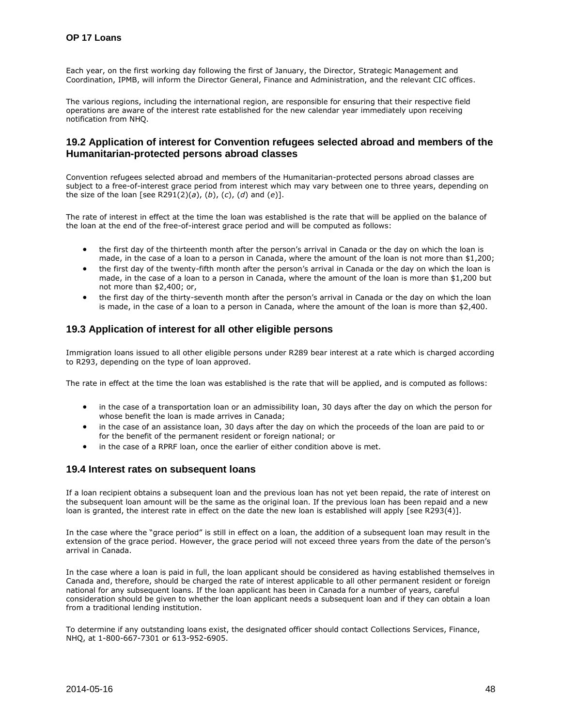Each year, on the first working day following the first of January, the Director, Strategic Management and Coordination, IPMB, will inform the Director General, Finance and Administration, and the relevant CIC offices.

The various regions, including the international region, are responsible for ensuring that their respective field operations are aware of the interest rate established for the new calendar year immediately upon receiving notification from NHQ.

# <span id="page-47-0"></span>**19.2 Application of interest for Convention refugees selected abroad and members of the Humanitarian-protected persons abroad classes**

Convention refugees selected abroad and members of the Humanitarian-protected persons abroad classes are subject to a free-of-interest grace period from interest which may vary between one to three years, depending on the size of the loan [see R291(2)(*a*), (*b*), (*c*), (*d*) and (*e*)].

The rate of interest in effect at the time the loan was established is the rate that will be applied on the balance of the loan at the end of the free-of-interest grace period and will be computed as follows:

- the first day of the thirteenth month after the person's arrival in Canada or the day on which the loan is made, in the case of a loan to a person in Canada, where the amount of the loan is not more than \$1,200;
- the first day of the twenty-fifth month after the person's arrival in Canada or the day on which the loan is made, in the case of a loan to a person in Canada, where the amount of the loan is more than \$1,200 but not more than \$2,400; or,
- the first day of the thirty-seventh month after the person's arrival in Canada or the day on which the loan is made, in the case of a loan to a person in Canada, where the amount of the loan is more than \$2,400.

# <span id="page-47-1"></span>**19.3 Application of interest for all other eligible persons**

Immigration loans issued to all other eligible persons under R289 bear interest at a rate which is charged according to R293, depending on the type of loan approved.

The rate in effect at the time the loan was established is the rate that will be applied, and is computed as follows:

- in the case of a transportation loan or an admissibility loan, 30 days after the day on which the person for whose benefit the loan is made arrives in Canada;
- in the case of an assistance loan, 30 days after the day on which the proceeds of the loan are paid to or for the benefit of the permanent resident or foreign national; or
- in the case of a RPRF loan, once the earlier of either condition above is met.

#### <span id="page-47-2"></span>**19.4 Interest rates on subsequent loans**

If a loan recipient obtains a subsequent loan and the previous loan has not yet been repaid, the rate of interest on the subsequent loan amount will be the same as the original loan. If the previous loan has been repaid and a new loan is granted, the interest rate in effect on the date the new loan is established will apply [see R293(4)].

In the case where the "grace period" is still in effect on a loan, the addition of a subsequent loan may result in the extension of the grace period. However, the grace period will not exceed three years from the date of the person's arrival in Canada.

In the case where a loan is paid in full, the loan applicant should be considered as having established themselves in Canada and, therefore, should be charged the rate of interest applicable to all other permanent resident or foreign national for any subsequent loans. If the loan applicant has been in Canada for a number of years, careful consideration should be given to whether the loan applicant needs a subsequent loan and if they can obtain a loan from a traditional lending institution.

To determine if any outstanding loans exist, the designated officer should contact Collections Services, Finance, NHQ, at 1-800-667-7301 or 613-952-6905.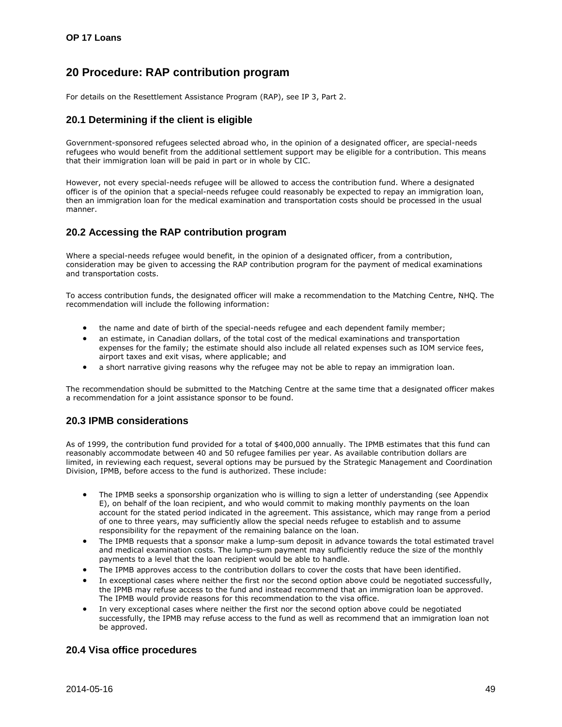# <span id="page-48-0"></span>**20 Procedure: RAP contribution program**

For details on the Resettlement Assistance Program (RAP), see IP 3, Part 2.

### <span id="page-48-1"></span>**20.1 Determining if the client is eligible**

Government-sponsored refugees selected abroad who, in the opinion of a designated officer, are special-needs refugees who would benefit from the additional settlement support may be eligible for a contribution. This means that their immigration loan will be paid in part or in whole by CIC.

However, not every special-needs refugee will be allowed to access the contribution fund. Where a designated officer is of the opinion that a special-needs refugee could reasonably be expected to repay an immigration loan, then an immigration loan for the medical examination and transportation costs should be processed in the usual manner.

# <span id="page-48-2"></span>**20.2 Accessing the RAP contribution program**

Where a special-needs refugee would benefit, in the opinion of a designated officer, from a contribution, consideration may be given to accessing the RAP contribution program for the payment of medical examinations and transportation costs.

To access contribution funds, the designated officer will make a recommendation to the Matching Centre, NHQ. The recommendation will include the following information:

- the name and date of birth of the special-needs refugee and each dependent family member;
- an estimate, in Canadian dollars, of the total cost of the medical examinations and transportation expenses for the family; the estimate should also include all related expenses such as IOM service fees, airport taxes and exit visas, where applicable; and
- a short narrative giving reasons why the refugee may not be able to repay an immigration loan.

The recommendation should be submitted to the Matching Centre at the same time that a designated officer makes a recommendation for a joint assistance sponsor to be found.

# <span id="page-48-3"></span>**20.3 IPMB considerations**

As of 1999, the contribution fund provided for a total of \$400,000 annually. The IPMB estimates that this fund can reasonably accommodate between 40 and 50 refugee families per year. As available contribution dollars are limited, in reviewing each request, several options may be pursued by the Strategic Management and Coordination Division, IPMB, before access to the fund is authorized. These include:

- The IPMB seeks a sponsorship organization who is willing to sign a letter of understanding (see Appendix E), on behalf of the loan recipient, and who would commit to making monthly payments on the loan account for the stated period indicated in the agreement. This assistance, which may range from a period of one to three years, may sufficiently allow the special needs refugee to establish and to assume responsibility for the repayment of the remaining balance on the loan.
- The IPMB requests that a sponsor make a lump-sum deposit in advance towards the total estimated travel and medical examination costs. The lump-sum payment may sufficiently reduce the size of the monthly payments to a level that the loan recipient would be able to handle.
- The IPMB approves access to the contribution dollars to cover the costs that have been identified.
- In exceptional cases where neither the first nor the second option above could be negotiated successfully, the IPMB may refuse access to the fund and instead recommend that an immigration loan be approved. The IPMB would provide reasons for this recommendation to the visa office.
- In very exceptional cases where neither the first nor the second option above could be negotiated successfully, the IPMB may refuse access to the fund as well as recommend that an immigration loan not be approved.

# <span id="page-48-4"></span>**20.4 Visa office procedures**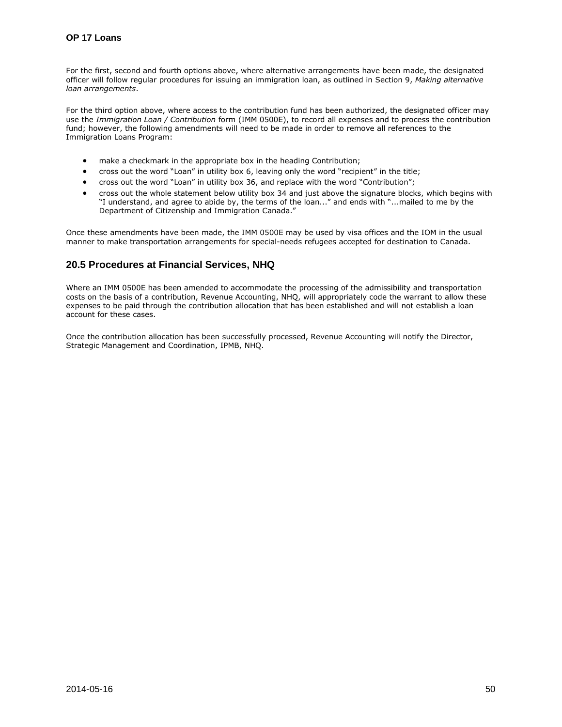For the first, second and fourth options above, where alternative arrangements have been made, the designated officer will follow regular procedures for issuing an immigration loan, as outlined in Section 9, *Making alternative loan arrangements*.

For the third option above, where access to the contribution fund has been authorized, the designated officer may use the *Immigration Loan / Contribution* form (IMM 0500E), to record all expenses and to process the contribution fund; however, the following amendments will need to be made in order to remove all references to the Immigration Loans Program:

- make a checkmark in the appropriate box in the heading Contribution;
- cross out the word "Loan" in utility box 6, leaving only the word "recipient" in the title;
- cross out the word "Loan" in utility box 36, and replace with the word "Contribution";
- cross out the whole statement below utility box 34 and just above the signature blocks, which begins with "I understand, and agree to abide by, the terms of the loan..." and ends with "...mailed to me by the Department of Citizenship and Immigration Canada."

Once these amendments have been made, the IMM 0500E may be used by visa offices and the IOM in the usual manner to make transportation arrangements for special-needs refugees accepted for destination to Canada.

# <span id="page-49-0"></span>**20.5 Procedures at Financial Services, NHQ**

Where an IMM 0500E has been amended to accommodate the processing of the admissibility and transportation costs on the basis of a contribution, Revenue Accounting, NHQ, will appropriately code the warrant to allow these expenses to be paid through the contribution allocation that has been established and will not establish a loan account for these cases.

Once the contribution allocation has been successfully processed, Revenue Accounting will notify the Director, Strategic Management and Coordination, IPMB, NHQ.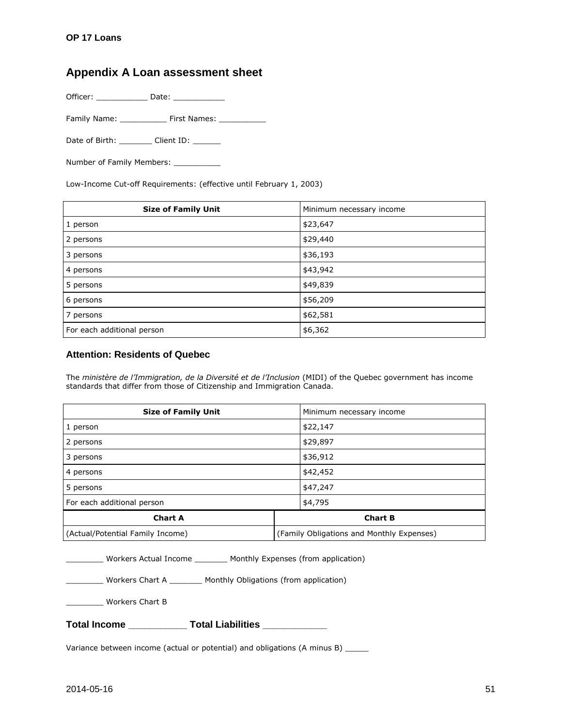# <span id="page-50-0"></span>**Appendix A Loan assessment sheet**

Officer: \_\_\_\_\_\_\_\_\_\_\_ Date: \_\_\_\_\_\_\_\_\_\_\_

Family Name: \_\_\_\_\_\_\_\_\_\_ First Names: \_\_\_\_\_\_\_\_\_\_

Date of Birth: \_\_\_\_\_\_\_\_\_\_ Client ID: \_\_\_\_\_\_\_

Number of Family Members: \_\_\_\_\_\_\_

Low-Income Cut-off Requirements: (effective until February 1, 2003)

| <b>Size of Family Unit</b> | Minimum necessary income |
|----------------------------|--------------------------|
| 1 person                   | \$23,647                 |
| 2 persons                  | \$29,440                 |
| 3 persons                  | \$36,193                 |
| 4 persons                  | \$43,942                 |
| 5 persons                  | \$49,839                 |
| 6 persons                  | \$56,209                 |
| 7 persons                  | \$62,581                 |
| For each additional person | \$6,362                  |

# **Attention: Residents of Quebec**

The *ministère de l'Immigration, de la Diversité et de l'Inclusion* (MIDI) of the Quebec government has income standards that differ from those of Citizenship and Immigration Canada.

| <b>Size of Family Unit</b>       | Minimum necessary income                  |
|----------------------------------|-------------------------------------------|
| 1 person                         | \$22,147                                  |
| 2 persons                        | \$29,897                                  |
| 3 persons                        | \$36,912                                  |
| 4 persons                        | \$42,452                                  |
| 5 persons                        | \$47,247                                  |
| For each additional person       | \$4,795                                   |
| <b>Chart A</b>                   | <b>Chart B</b>                            |
| (Actual/Potential Family Income) | (Family Obligations and Monthly Expenses) |

| Workers Actual Income | Monthly Expenses (from application) |  |
|-----------------------|-------------------------------------|--|
|                       |                                     |  |

\_\_\_\_\_\_\_\_ Workers Chart A \_\_\_\_\_\_\_ Monthly Obligations (from application)

\_\_\_\_\_\_\_\_ Workers Chart B

| <b>Total Income</b> | <b>Total Liabilities</b> |
|---------------------|--------------------------|
|---------------------|--------------------------|

Variance between income (actual or potential) and obligations (A minus B) \_\_\_\_\_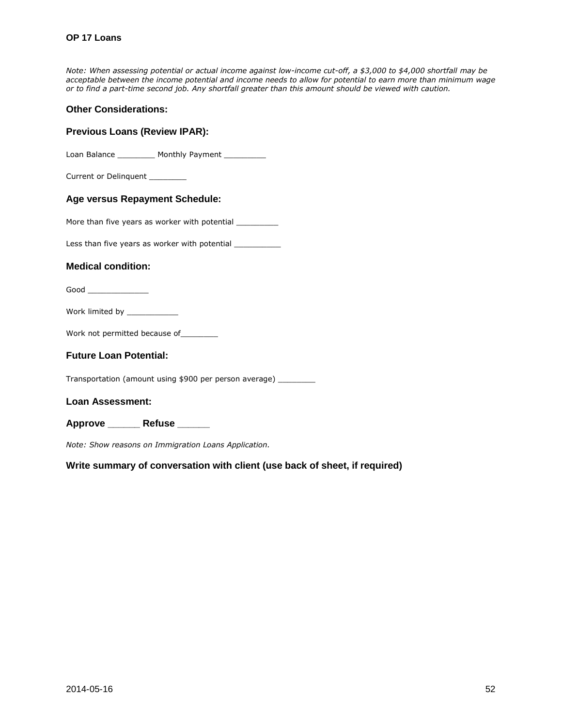#### **OP 17 Loans**

*Note: When assessing potential or actual income against low-income cut-off, a \$3,000 to \$4,000 shortfall may be acceptable between the income potential and income needs to allow for potential to earn more than minimum wage or to find a part-time second job. Any shortfall greater than this amount should be viewed with caution.* 

#### **Other Considerations:**

# **Previous Loans (Review IPAR):**

Loan Balance \_\_\_\_\_\_\_\_\_\_ Monthly Payment \_\_\_\_\_\_\_\_\_\_

Current or Delinquent \_\_\_\_\_\_\_\_

#### **Age versus Repayment Schedule:**

More than five years as worker with potential \_\_\_\_\_\_\_\_\_\_

Less than five years as worker with potential \_\_\_\_\_\_\_\_\_\_\_

#### **Medical condition:**

Good \_\_\_\_\_\_\_\_\_\_\_\_\_

Work limited by \_\_\_\_\_\_\_\_\_\_\_\_\_

Work not permitted because of\_\_\_\_\_\_\_\_\_

#### **Future Loan Potential:**

Transportation (amount using \$900 per person average) \_\_\_\_\_\_\_\_

**Loan Assessment:** 

**Approve \_\_\_\_\_\_ Refuse \_\_\_\_\_\_** 

*Note: Show reasons on Immigration Loans Application.*

**Write summary of conversation with client (use back of sheet, if required)**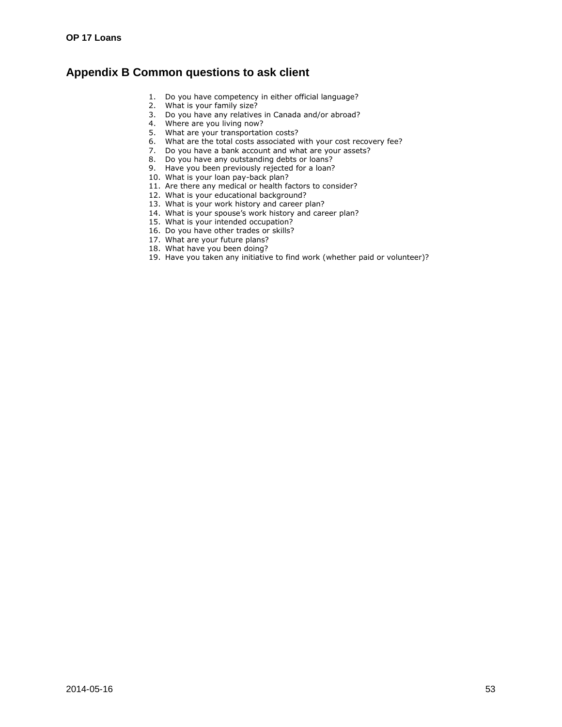# <span id="page-52-0"></span>**Appendix B Common questions to ask client**

- 1. Do you have competency in either official language?
- 2. What is your family size?
- 3. Do you have any relatives in Canada and/or abroad?
- 4. Where are you living now?
- 5. What are your transportation costs?
- 6. What are the total costs associated with your cost recovery fee?
- 7. Do you have a bank account and what are your assets?
- 8. Do you have any outstanding debts or loans?
- 9. Have you been previously rejected for a loan?
- 10. What is your loan pay-back plan?
- 11. Are there any medical or health factors to consider?
- 12. What is your educational background?
- 13. What is your work history and career plan?
- 14. What is your spouse's work history and career plan?
- 15. What is your intended occupation?
- 16. Do you have other trades or skills?
- 17. What are your future plans?
- 18. What have you been doing?
- 19. Have you taken any initiative to find work (whether paid or volunteer)?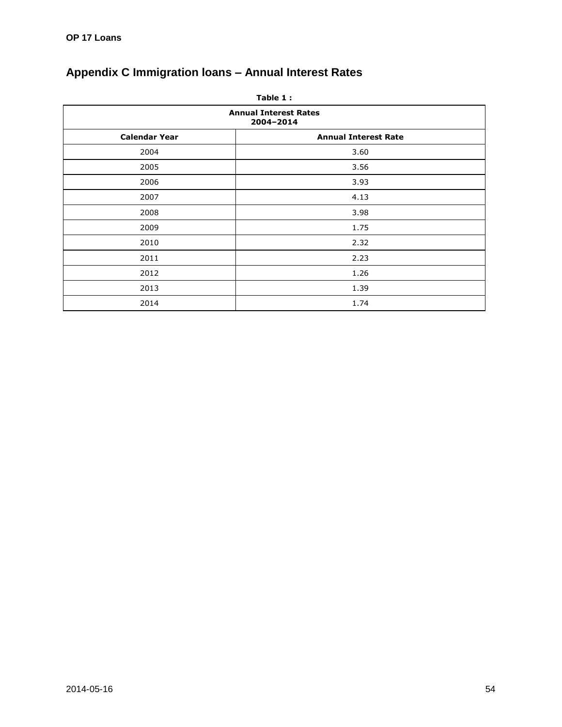| Table 1:                                  |                             |  |  |
|-------------------------------------------|-----------------------------|--|--|
| <b>Annual Interest Rates</b><br>2004-2014 |                             |  |  |
| <b>Calendar Year</b>                      | <b>Annual Interest Rate</b> |  |  |
| 2004                                      | 3.60                        |  |  |
| 2005                                      | 3.56                        |  |  |
| 2006                                      | 3.93                        |  |  |
| 2007                                      | 4.13                        |  |  |
| 2008                                      | 3.98                        |  |  |
| 2009                                      | 1.75                        |  |  |
| 2010                                      | 2.32                        |  |  |
| 2011                                      | 2.23                        |  |  |
| 2012                                      | 1.26                        |  |  |
| 2013                                      | 1.39                        |  |  |
| 2014                                      | 1.74                        |  |  |

# <span id="page-53-0"></span>**Appendix C Immigration loans – Annual Interest Rates**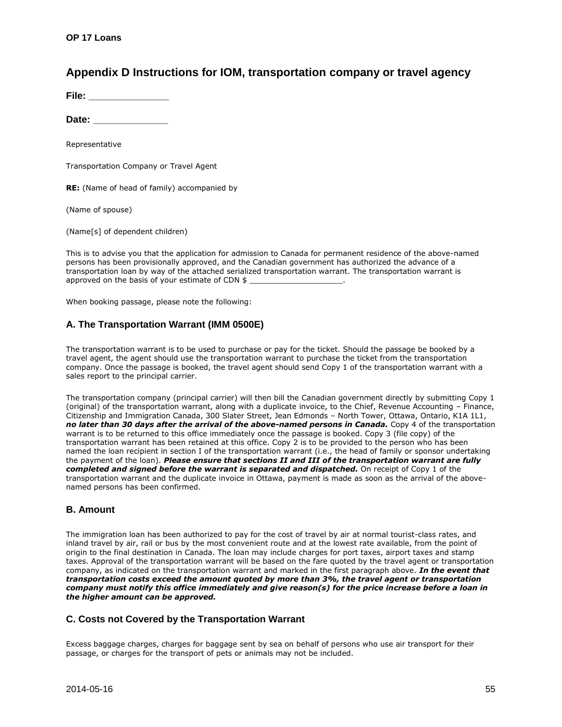# <span id="page-54-0"></span>**Appendix D Instructions for IOM, transportation company or travel agency**

**File:** \_\_\_\_\_\_\_\_\_\_\_\_

**Date: \_\_\_\_\_\_\_\_\_\_\_\_\_\_** 

Representative

Transportation Company or Travel Agent

**RE:** (Name of head of family) accompanied by

(Name of spouse)

(Name[s] of dependent children)

This is to advise you that the application for admission to Canada for permanent residence of the above-named persons has been provisionally approved, and the Canadian government has authorized the advance of a transportation loan by way of the attached serialized transportation warrant. The transportation warrant is approved on the basis of your estimate of CDN \$

When booking passage, please note the following:

#### **A. The Transportation Warrant (IMM 0500E)**

The transportation warrant is to be used to purchase or pay for the ticket. Should the passage be booked by a travel agent, the agent should use the transportation warrant to purchase the ticket from the transportation company. Once the passage is booked, the travel agent should send Copy 1 of the transportation warrant with a sales report to the principal carrier.

The transportation company (principal carrier) will then bill the Canadian government directly by submitting Copy 1 (original) of the transportation warrant, along with a duplicate invoice, to the Chief, Revenue Accounting – Finance, Citizenship and Immigration Canada, 300 Slater Street, Jean Edmonds – North Tower, Ottawa, Ontario, K1A 1L1, *no later than 30 days after the arrival of the above-named persons in Canada.* Copy 4 of the transportation warrant is to be returned to this office immediately once the passage is booked. Copy 3 (file copy) of the transportation warrant has been retained at this office. Copy 2 is to be provided to the person who has been named the loan recipient in section I of the transportation warrant (i.e., the head of family or sponsor undertaking the payment of the loan). *Please ensure that sections II and III of the transportation warrant are fully completed and signed before the warrant is separated and dispatched.* On receipt of Copy 1 of the transportation warrant and the duplicate invoice in Ottawa, payment is made as soon as the arrival of the abovenamed persons has been confirmed.

#### **B. Amount**

The immigration loan has been authorized to pay for the cost of travel by air at normal tourist-class rates, and inland travel by air, rail or bus by the most convenient route and at the lowest rate available, from the point of origin to the final destination in Canada. The loan may include charges for port taxes, airport taxes and stamp taxes. Approval of the transportation warrant will be based on the fare quoted by the travel agent or transportation company, as indicated on the transportation warrant and marked in the first paragraph above. *In the event that transportation costs exceed the amount quoted by more than 3%, the travel agent or transportation company must notify this office immediately and give reason(s) for the price increase before a loan in the higher amount can be approved.*

#### **C. Costs not Covered by the Transportation Warrant**

Excess baggage charges, charges for baggage sent by sea on behalf of persons who use air transport for their passage, or charges for the transport of pets or animals may not be included.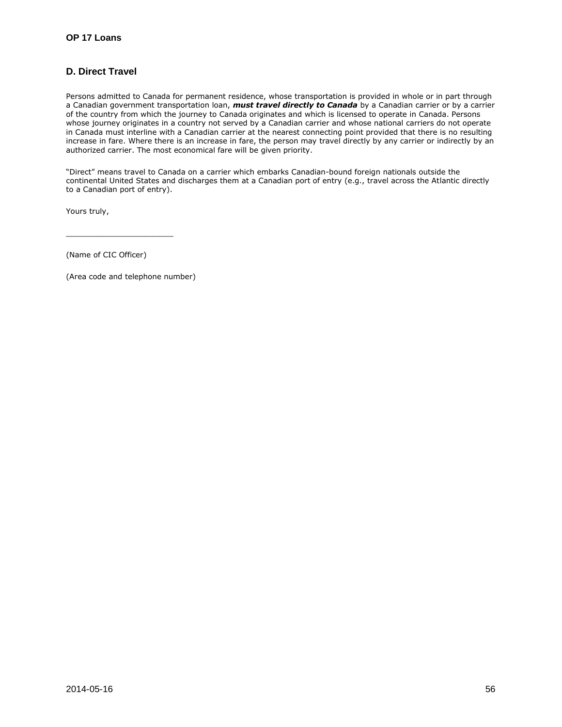# **D. Direct Travel**

Persons admitted to Canada for permanent residence, whose transportation is provided in whole or in part through a Canadian government transportation loan, *must travel directly to Canada* by a Canadian carrier or by a carrier of the country from which the journey to Canada originates and which is licensed to operate in Canada. Persons whose journey originates in a country not served by a Canadian carrier and whose national carriers do not operate in Canada must interline with a Canadian carrier at the nearest connecting point provided that there is no resulting increase in fare. Where there is an increase in fare, the person may travel directly by any carrier or indirectly by an authorized carrier. The most economical fare will be given priority.

"Direct" means travel to Canada on a carrier which embarks Canadian-bound foreign nationals outside the continental United States and discharges them at a Canadian port of entry (e.g., travel across the Atlantic directly to a Canadian port of entry).

Yours truly,

(Name of CIC Officer)

(Area code and telephone number)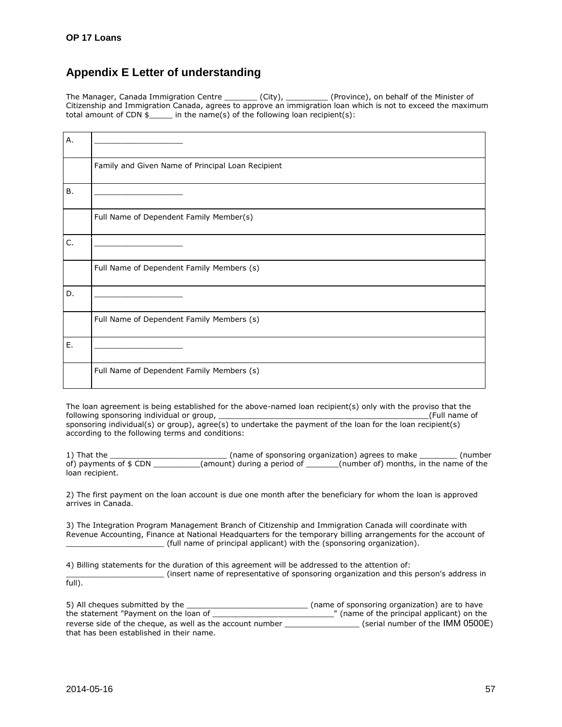# <span id="page-56-0"></span>**Appendix E Letter of understanding**

The Manager, Canada Immigration Centre \_\_\_\_\_\_\_\_ (City), \_\_\_\_\_\_\_\_\_ (Province), on behalf of the Minister of Citizenship and Immigration Canada, agrees to approve an immigration loan which is not to exceed the maximum total amount of CDN  $\overline{s}$  in the name(s) of the following loan recipient(s):

| Α. |                                                   |
|----|---------------------------------------------------|
|    | Family and Given Name of Principal Loan Recipient |
| В. |                                                   |
|    | Full Name of Dependent Family Member(s)           |
| C. |                                                   |
|    | Full Name of Dependent Family Members (s)         |
| D. |                                                   |
|    | Full Name of Dependent Family Members (s)         |
| E. |                                                   |
|    | Full Name of Dependent Family Members (s)         |

The loan agreement is being established for the above-named loan recipient(s) only with the proviso that the following sponsoring individual or group, following sponsoring individual or group, sponsoring individual(s) or group), agree(s) to undertake the payment of the loan for the loan recipient(s) according to the following terms and conditions:

1) That the \_\_\_\_\_\_\_\_\_\_\_\_\_\_\_\_\_\_\_\_\_\_\_\_\_ (name of sponsoring organization) agrees to make \_\_\_\_\_\_\_\_ (number of) payments of \$ CDN \_\_\_\_\_\_\_\_\_\_(amount) during a period of \_\_\_\_\_\_\_(number of) months, in the name of the loan recipient.

2) The first payment on the loan account is due one month after the beneficiary for whom the loan is approved arrives in Canada.

3) The Integration Program Management Branch of Citizenship and Immigration Canada will coordinate with Revenue Accounting, Finance at National Headquarters for the temporary billing arrangements for the account of \_\_\_\_\_\_\_\_\_\_\_\_\_\_\_\_\_\_\_\_\_ (full name of principal applicant) with the (sponsoring organization).

4) Billing statements for the duration of this agreement will be addressed to the attention of:

\_\_\_\_\_\_\_\_\_\_\_\_\_\_\_\_\_\_\_\_\_ (insert name of representative of sponsoring organization and this person's address in full).

| 5) All cheques submitted by the                           | (name of sponsoring organization) are to have |
|-----------------------------------------------------------|-----------------------------------------------|
| the statement "Payment on the loan of                     | " (name of the principal applicant) on the    |
| reverse side of the cheque, as well as the account number | (serial number of the IMM 0500E)              |
| that has been established in their name.                  |                                               |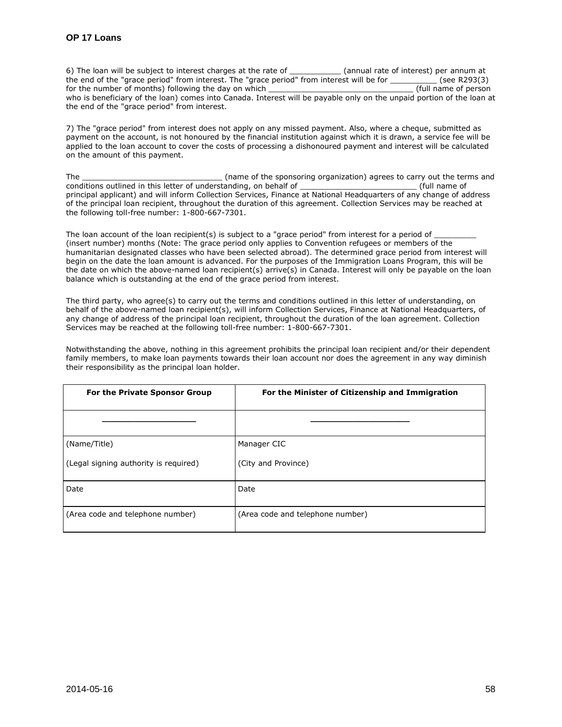6) The loan will be subject to interest charges at the rate of \_\_\_\_\_\_\_\_\_\_\_\_\_\_\_\_\_\_ (annual rate of interest) per annum at the end of the "grace period" from interest. The "grace period" from interest will be for \_\_\_\_\_\_\_\_\_\_ (see R293(3) for the number of months) following the day on which who is beneficiary of the loan) comes into Canada. Interest will be payable only on the unpaid portion of the loan at the end of the "grace period" from interest.

7) The "grace period" from interest does not apply on any missed payment. Also, where a cheque, submitted as payment on the account, is not honoured by the financial institution against which it is drawn, a service fee will be applied to the loan account to cover the costs of processing a dishonoured payment and interest will be calculated on the amount of this payment.

The the sponsoring organization) agrees to carry out the terms and conditions outlined in this letter of understanding, on behalf of **with a struck of the conditions** (full name of principal applicant) and will inform Collection Services, Finance at National Headquarters of any change of address of the principal loan recipient, throughout the duration of this agreement. Collection Services may be reached at the following toll-free number: 1-800-667-7301.

The loan account of the loan recipient(s) is subject to a "grace period" from interest for a period of (insert number) months (Note: The grace period only applies to Convention refugees or members of the humanitarian designated classes who have been selected abroad). The determined grace period from interest will begin on the date the loan amount is advanced. For the purposes of the Immigration Loans Program, this will be the date on which the above-named loan recipient(s) arrive(s) in Canada. Interest will only be payable on the loan balance which is outstanding at the end of the grace period from interest.

The third party, who agree(s) to carry out the terms and conditions outlined in this letter of understanding, on behalf of the above-named loan recipient(s), will inform Collection Services, Finance at National Headquarters, of any change of address of the principal loan recipient, throughout the duration of the loan agreement. Collection Services may be reached at the following toll-free number: 1-800-667-7301.

Notwithstanding the above, nothing in this agreement prohibits the principal loan recipient and/or their dependent family members, to make loan payments towards their loan account nor does the agreement in any way diminish their responsibility as the principal loan holder.

| For the Private Sponsor Group         | For the Minister of Citizenship and Immigration |
|---------------------------------------|-------------------------------------------------|
|                                       |                                                 |
| (Name/Title)                          | Manager CIC                                     |
| (Legal signing authority is required) | (City and Province)                             |
| Date                                  | Date                                            |
| (Area code and telephone number)      | (Area code and telephone number)                |